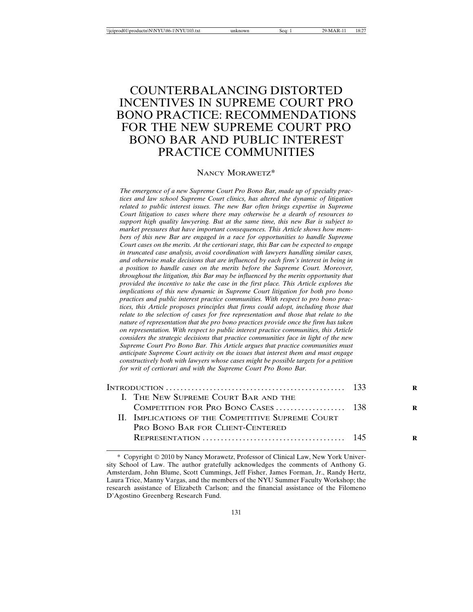# COUNTERBALANCING DISTORTED INCENTIVES IN SUPREME COURT PRO BONO PRACTICE: RECOMMENDATIONS FOR THE NEW SUPREME COURT PRO BONO BAR AND PUBLIC INTEREST PRACTICE COMMUNITIES

#### NANCY MORAWETZ\*

*The emergence of a new Supreme Court Pro Bono Bar, made up of specialty practices and law school Supreme Court clinics, has altered the dynamic of litigation related to public interest issues. The new Bar often brings expertise in Supreme Court litigation to cases where there may otherwise be a dearth of resources to support high quality lawyering. But at the same time, this new Bar is subject to market pressures that have important consequences. This Article shows how members of this new Bar are engaged in a race for opportunities to handle Supreme Court cases on the merits. At the certiorari stage, this Bar can be expected to engage in truncated case analysis, avoid coordination with lawyers handling similar cases, and otherwise make decisions that are influenced by each firm's interest in being in a position to handle cases on the merits before the Supreme Court. Moreover, throughout the litigation, this Bar may be influenced by the merits opportunity that provided the incentive to take the case in the first place. This Article explores the implications of this new dynamic in Supreme Court litigation for both pro bono practices and public interest practice communities. With respect to pro bono practices, this Article proposes principles that firms could adopt, including those that relate to the selection of cases for free representation and those that relate to the nature of representation that the pro bono practices provide once the firm has taken on representation. With respect to public interest practice communities, this Article considers the strategic decisions that practice communities face in light of the new Supreme Court Pro Bono Bar. This Article argues that practice communities must anticipate Supreme Court activity on the issues that interest them and must engage constructively both with lawyers whose cases might be possible targets for a petition for writ of certiorari and with the Supreme Court Pro Bono Bar.*

| I. THE NEW SUPREME COURT BAR AND THE              |  |
|---------------------------------------------------|--|
|                                                   |  |
| II. IMPLICATIONS OF THE COMPETITIVE SUPREME COURT |  |
| PRO BONO BAR FOR CLIENT-CENTERED                  |  |
|                                                   |  |
|                                                   |  |

<sup>\*</sup> Copyright 2010 by Nancy Morawetz, Professor of Clinical Law, New York University School of Law. The author gratefully acknowledges the comments of Anthony G. Amsterdam, John Blume, Scott Cummings, Jeff Fisher, James Forman, Jr., Randy Hertz, Laura Trice, Manny Vargas, and the members of the NYU Summer Faculty Workshop; the research assistance of Elizabeth Carlson; and the financial assistance of the Filomeno D'Agostino Greenberg Research Fund.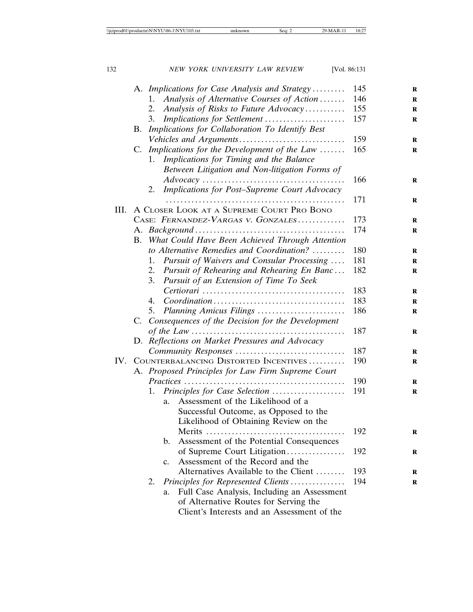|      |                                           |                                    | A. Implications for Case Analysis and Strategy                                                        | 145 |
|------|-------------------------------------------|------------------------------------|-------------------------------------------------------------------------------------------------------|-----|
|      |                                           | 1.                                 | Analysis of Alternative Courses of Action                                                             | 146 |
|      |                                           | 2.                                 | Analysis of Risks to Future Advocacy                                                                  | 155 |
|      |                                           | 3.                                 | Implications for Settlement                                                                           | 157 |
|      | B.                                        |                                    |                                                                                                       |     |
|      |                                           |                                    | Implications for Collaboration To Identify Best                                                       | 159 |
|      | C.                                        |                                    | Implications for the Development of the Law                                                           | 165 |
|      |                                           | 1.                                 | Implications for Timing and the Balance                                                               |     |
|      |                                           |                                    | Between Litigation and Non-litigation Forms of                                                        |     |
|      |                                           |                                    | $Advocacy \ldots \ldots \ldots \ldots \ldots \ldots \ldots \ldots \ldots \ldots \ldots \ldots \ldots$ | 166 |
|      |                                           | 2.                                 | Implications for Post-Supreme Court Advocacy                                                          |     |
|      |                                           |                                    |                                                                                                       | 171 |
| III. | A CLOSER LOOK AT A SUPREME COURT PRO BONO |                                    |                                                                                                       |     |
|      |                                           | CASE: FERNANDEZ-VARGAS V. GONZALES | 173                                                                                                   |     |
|      |                                           |                                    | 174                                                                                                   |     |
|      | B.                                        |                                    | What Could Have Been Achieved Through Attention                                                       |     |
|      |                                           |                                    | to Alternative Remedies and Coordination?                                                             | 180 |
|      |                                           | 1.                                 | Pursuit of Waivers and Consular Processing                                                            | 181 |
|      |                                           | 2.                                 | Pursuit of Rehearing and Rehearing En Banc                                                            | 182 |
|      |                                           | 3.                                 | Pursuit of an Extension of Time To Seek                                                               |     |
|      |                                           |                                    |                                                                                                       | 183 |
|      |                                           | 4.                                 | $Coordination \ldots \ldots \ldots \ldots \ldots \ldots \ldots \ldots \ldots \ldots \ldots$           | 183 |
|      |                                           | 5.                                 | Planning Amicus Filings                                                                               | 186 |
|      |                                           |                                    | C. Consequences of the Decision for the Development                                                   |     |
|      |                                           |                                    | 187                                                                                                   |     |
|      |                                           |                                    | D. Reflections on Market Pressures and Advocacy                                                       |     |
|      |                                           |                                    | 187                                                                                                   |     |
| IV.  |                                           |                                    | 190                                                                                                   |     |
|      |                                           |                                    | COUNTERBALANCING DISTORTED INCENTIVES<br>A. Proposed Principles for Law Firm Supreme Court            |     |
|      |                                           |                                    | 190                                                                                                   |     |
|      |                                           |                                    | Principles for Case Selection                                                                         | 191 |
|      |                                           |                                    | Assessment of the Likelihood of a<br>a.                                                               |     |
|      |                                           |                                    | Successful Outcome, as Opposed to the                                                                 |     |
|      |                                           |                                    | Likelihood of Obtaining Review on the                                                                 |     |
|      |                                           |                                    | Merits                                                                                                | 192 |
|      |                                           |                                    | Assessment of the Potential Consequences<br>$\mathbf{b}$ .                                            |     |
|      |                                           |                                    | of Supreme Court Litigation                                                                           | 192 |
|      |                                           |                                    | Assessment of the Record and the<br>$c_{\cdot}$                                                       |     |
|      |                                           |                                    | Alternatives Available to the Client                                                                  | 193 |
|      |                                           | 2.                                 | Principles for Represented Clients                                                                    | 194 |
|      |                                           |                                    | Full Case Analysis, Including an Assessment<br>a.                                                     |     |
|      |                                           |                                    | of Alternative Routes for Serving the                                                                 |     |
|      |                                           |                                    | Client's Interests and an Assessment of the                                                           |     |
|      |                                           |                                    |                                                                                                       |     |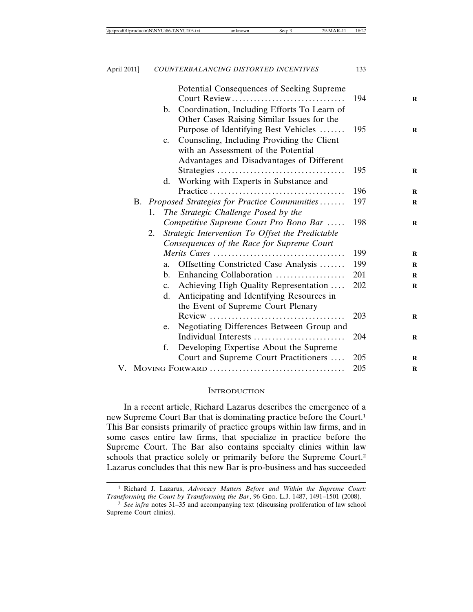|  |     |                | Potential Consequences of Seeking Supreme       |     |
|--|-----|----------------|-------------------------------------------------|-----|
|  |     |                | Court Review                                    | 194 |
|  |     | $\mathbf{b}$ . | Coordination, Including Efforts To Learn of     |     |
|  |     |                | Other Cases Raising Similar Issues for the      |     |
|  |     |                | Purpose of Identifying Best Vehicles            | 195 |
|  |     | $c_{\cdot}$    | Counseling, Including Providing the Client      |     |
|  |     |                | with an Assessment of the Potential             |     |
|  |     |                | Advantages and Disadvantages of Different       |     |
|  |     |                |                                                 | 195 |
|  |     | d.             | Working with Experts in Substance and           |     |
|  |     |                |                                                 | 196 |
|  |     |                | B. Proposed Strategies for Practice Communities | 197 |
|  | 1.  |                | The Strategic Challenge Posed by the            |     |
|  |     |                | Competitive Supreme Court Pro Bono Bar          | 198 |
|  |     |                |                                                 |     |
|  |     |                |                                                 |     |
|  |     | 199            |                                                 |     |
|  |     | a.             | Offsetting Constricted Case Analysis            | 199 |
|  |     | $\mathbf{b}$ . | Enhancing Collaboration                         | 201 |
|  |     | $c_{\cdot}$    | Achieving High Quality Representation           | 202 |
|  |     | d.             | Anticipating and Identifying Resources in       |     |
|  |     |                | the Event of Supreme Court Plenary              |     |
|  |     |                |                                                 | 203 |
|  |     | e.             | Negotiating Differences Between Group and       |     |
|  |     |                | Individual Interests                            | 204 |
|  |     | f.             | Developing Expertise About the Supreme          |     |
|  |     |                | Court and Supreme Court Practitioners           | 205 |
|  | 205 |                |                                                 |     |
|  |     |                |                                                 |     |

#### **INTRODUCTION**

In a recent article, Richard Lazarus describes the emergence of a new Supreme Court Bar that is dominating practice before the Court.1 This Bar consists primarily of practice groups within law firms, and in some cases entire law firms, that specialize in practice before the Supreme Court. The Bar also contains specialty clinics within law schools that practice solely or primarily before the Supreme Court.2 Lazarus concludes that this new Bar is pro-business and has succeeded

<sup>1</sup> Richard J. Lazarus, *Advocacy Matters Before and Within the Supreme Court: Transforming the Court by Transforming the Bar*, 96 GEO. L.J. 1487, 1491–1501 (2008).

<sup>2</sup> *See infra* notes 31–35 and accompanying text (discussing proliferation of law school Supreme Court clinics).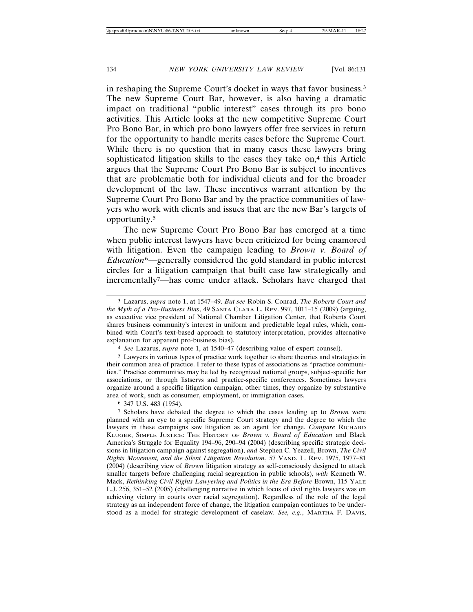in reshaping the Supreme Court's docket in ways that favor business.3 The new Supreme Court Bar, however, is also having a dramatic impact on traditional "public interest" cases through its pro bono activities. This Article looks at the new competitive Supreme Court Pro Bono Bar, in which pro bono lawyers offer free services in return for the opportunity to handle merits cases before the Supreme Court. While there is no question that in many cases these lawyers bring sophisticated litigation skills to the cases they take on, $4$  this Article argues that the Supreme Court Pro Bono Bar is subject to incentives that are problematic both for individual clients and for the broader development of the law. These incentives warrant attention by the Supreme Court Pro Bono Bar and by the practice communities of lawyers who work with clients and issues that are the new Bar's targets of opportunity.5

The new Supreme Court Pro Bono Bar has emerged at a time when public interest lawyers have been criticized for being enamored with litigation. Even the campaign leading to *Brown v. Board of Education*6—generally considered the gold standard in public interest circles for a litigation campaign that built case law strategically and incrementally7—has come under attack. Scholars have charged that

4 *See* Lazarus, *supra* note 1, at 1540–47 (describing value of expert counsel).

5 Lawyers in various types of practice work together to share theories and strategies in their common area of practice. I refer to these types of associations as "practice communities." Practice communities may be led by recognized national groups, subject-specific bar associations, or through listservs and practice-specific conferences. Sometimes lawyers organize around a specific litigation campaign; other times, they organize by substantive area of work, such as consumer, employment, or immigration cases.

6 347 U.S. 483 (1954).

7 Scholars have debated the degree to which the cases leading up to *Brown* were planned with an eye to a specific Supreme Court strategy and the degree to which the lawyers in these campaigns saw litigation as an agent for change. *Compare* RICHARD KLUGER, SIMPLE JUSTICE: THE HISTORY OF *Brown v. Board of Education* and Black America's Struggle for Equality 194–96, 290–94 (2004) (describing specific strategic decisions in litigation campaign against segregation), *and* Stephen C. Yeazell, Brown, *The Civil Rights Movement, and the Silent Litigation Revolution*, 57 VAND. L. REV. 1975, 1977–81 (2004) (describing view of *Brown* litigation strategy as self-consciously designed to attack smaller targets before challenging racial segregation in public schools), *with* Kenneth W. Mack, *Rethinking Civil Rights Lawyering and Politics in the Era Before* Brown, 115 YALE L.J. 256, 351–52 (2005) (challenging narrative in which focus of civil rights lawyers was on achieving victory in courts over racial segregation). Regardless of the role of the legal strategy as an independent force of change, the litigation campaign continues to be understood as a model for strategic development of caselaw. *See, e.g.*, MARTHA F. DAVIS,

<sup>3</sup> Lazarus, *supra* note 1, at 1547–49. *But see* Robin S. Conrad, *The Roberts Court and the Myth of a Pro-Business Bias*, 49 SANTA CLARA L. REV. 997, 1011–15 (2009) (arguing, as executive vice president of National Chamber Litigation Center, that Roberts Court shares business community's interest in uniform and predictable legal rules, which, combined with Court's text-based approach to statutory interpretation, provides alternative explanation for apparent pro-business bias).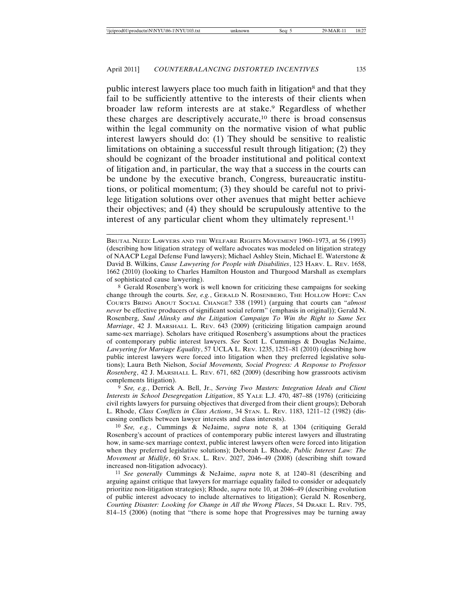public interest lawyers place too much faith in litigation<sup>8</sup> and that they fail to be sufficiently attentive to the interests of their clients when broader law reform interests are at stake.9 Regardless of whether these charges are descriptively accurate,10 there is broad consensus within the legal community on the normative vision of what public interest lawyers should do: (1) They should be sensitive to realistic limitations on obtaining a successful result through litigation; (2) they should be cognizant of the broader institutional and political context of litigation and, in particular, the way that a success in the courts can be undone by the executive branch, Congress, bureaucratic institutions, or political momentum; (3) they should be careful not to privilege litigation solutions over other avenues that might better achieve their objectives; and (4) they should be scrupulously attentive to the interest of any particular client whom they ultimately represent.<sup>11</sup>

8 Gerald Rosenberg's work is well known for criticizing these campaigns for seeking change through the courts. *See, e.g.*, GERALD N. ROSENBERG, THE HOLLOW HOPE: CAN COURTS BRING ABOUT SOCIAL CHANGE? 338 (1991) (arguing that courts can "*almost never* be effective producers of significant social reform" (emphasis in original)); Gerald N. Rosenberg, *Saul Alinsky and the Litigation Campaign To Win the Right to Same Sex Marriage*, 42 J. MARSHALL L. REV. 643 (2009) (criticizing litigation campaign around same-sex marriage). Scholars have critiqued Rosenberg's assumptions about the practices of contemporary public interest lawyers. *See* Scott L. Cummings & Douglas NeJaime, *Lawyering for Marriage Equality*, 57 UCLA L. REV. 1235, 1251–81 (2010) (describing how public interest lawyers were forced into litigation when they preferred legislative solutions); Laura Beth Nielson, *Social Movements, Social Progress: A Response to Professor Rosenberg*, 42 J. MARSHALL L. REV. 671, 682 (2009) (describing how grassroots activism complements litigation).

9 *See, e.g.*, Derrick A. Bell, Jr., *Serving Two Masters: Integration Ideals and Client Interests in School Desegregation Litigation*, 85 YALE L.J. 470, 487–88 (1976) (criticizing civil rights lawyers for pursuing objectives that diverged from their client groups); Deborah L. Rhode, *Class Conflicts in Class Actions*, 34 STAN. L. REV. 1183, 1211–12 (1982) (discussing conflicts between lawyer interests and class interests).

10 *See, e.g.*, Cummings & NeJaime, *supra* note 8, at 1304 (critiquing Gerald Rosenberg's account of practices of contemporary public interest lawyers and illustrating how, in same-sex marriage context, public interest lawyers often were forced into litigation when they preferred legislative solutions); Deborah L. Rhode, *Public Interest Law: The Movement at Midlife*, 60 STAN. L. REV. 2027, 2046–49 (2008) (describing shift toward increased non-litigation advocacy).

11 *See generally* Cummings & NeJaime, *supra* note 8, at 1240–81 (describing and arguing against critique that lawyers for marriage equality failed to consider or adequately prioritize non-litigation strategies); Rhode, *supra* note 10, at 2046–49 (describing evolution of public interest advocacy to include alternatives to litigation); Gerald N. Rosenberg, *Courting Disaster: Looking for Change in All the Wrong Places*, 54 DRAKE L. REV. 795, 814–15 (2006) (noting that "there is some hope that Progressives may be turning away

BRUTAL NEED: LAWYERS AND THE WELFARE RIGHTS MOVEMENT 1960-1973, at 56 (1993) (describing how litigation strategy of welfare advocates was modeled on litigation strategy of NAACP Legal Defense Fund lawyers); Michael Ashley Stein, Michael E. Waterstone & David B. Wilkins, *Cause Lawyering for People with Disabilities*, 123 HARV. L. REV. 1658, 1662 (2010) (looking to Charles Hamilton Houston and Thurgood Marshall as exemplars of sophisticated cause lawyering).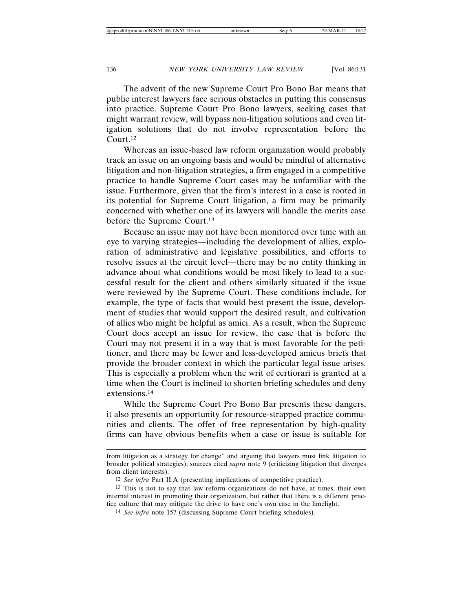The advent of the new Supreme Court Pro Bono Bar means that public interest lawyers face serious obstacles in putting this consensus into practice. Supreme Court Pro Bono lawyers, seeking cases that might warrant review, will bypass non-litigation solutions and even litigation solutions that do not involve representation before the Court.12

Whereas an issue-based law reform organization would probably track an issue on an ongoing basis and would be mindful of alternative litigation and non-litigation strategies, a firm engaged in a competitive practice to handle Supreme Court cases may be unfamiliar with the issue. Furthermore, given that the firm's interest in a case is rooted in its potential for Supreme Court litigation, a firm may be primarily concerned with whether one of its lawyers will handle the merits case before the Supreme Court.13

Because an issue may not have been monitored over time with an eye to varying strategies—including the development of allies, exploration of administrative and legislative possibilities, and efforts to resolve issues at the circuit level—there may be no entity thinking in advance about what conditions would be most likely to lead to a successful result for the client and others similarly situated if the issue were reviewed by the Supreme Court. These conditions include, for example, the type of facts that would best present the issue, development of studies that would support the desired result, and cultivation of allies who might be helpful as amici. As a result, when the Supreme Court does accept an issue for review, the case that is before the Court may not present it in a way that is most favorable for the petitioner, and there may be fewer and less-developed amicus briefs that provide the broader context in which the particular legal issue arises. This is especially a problem when the writ of certiorari is granted at a time when the Court is inclined to shorten briefing schedules and deny extensions.14

While the Supreme Court Pro Bono Bar presents these dangers, it also presents an opportunity for resource-strapped practice communities and clients. The offer of free representation by high-quality firms can have obvious benefits when a case or issue is suitable for

from litigation as a strategy for change" and arguing that lawyers must link litigation to broader political strategies); sources cited *supra* note 9 (criticizing litigation that diverges from client interests).

<sup>12</sup> *See infra* Part II.A (presenting implications of competitive practice).

<sup>13</sup> This is not to say that law reform organizations do not have, at times, their own internal interest in promoting their organization, but rather that there is a different practice culture that may mitigate the drive to have one's own case in the limelight.

<sup>14</sup> *See infra* note 157 (discussing Supreme Court briefing schedules).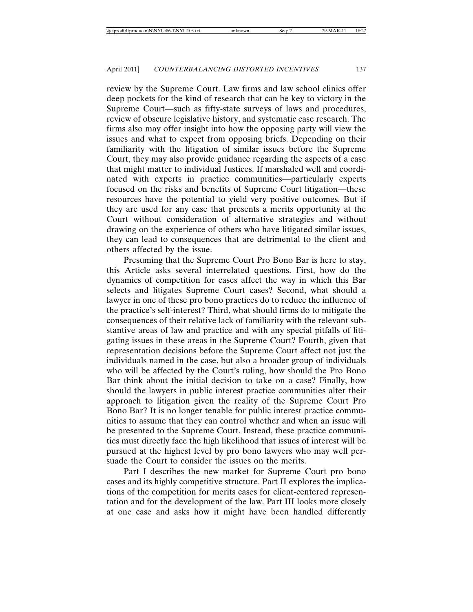review by the Supreme Court. Law firms and law school clinics offer deep pockets for the kind of research that can be key to victory in the Supreme Court—such as fifty-state surveys of laws and procedures, review of obscure legislative history, and systematic case research. The firms also may offer insight into how the opposing party will view the issues and what to expect from opposing briefs. Depending on their familiarity with the litigation of similar issues before the Supreme Court, they may also provide guidance regarding the aspects of a case that might matter to individual Justices. If marshaled well and coordinated with experts in practice communities—particularly experts focused on the risks and benefits of Supreme Court litigation—these resources have the potential to yield very positive outcomes. But if they are used for any case that presents a merits opportunity at the Court without consideration of alternative strategies and without drawing on the experience of others who have litigated similar issues, they can lead to consequences that are detrimental to the client and others affected by the issue.

Presuming that the Supreme Court Pro Bono Bar is here to stay, this Article asks several interrelated questions. First, how do the dynamics of competition for cases affect the way in which this Bar selects and litigates Supreme Court cases? Second, what should a lawyer in one of these pro bono practices do to reduce the influence of the practice's self-interest? Third, what should firms do to mitigate the consequences of their relative lack of familiarity with the relevant substantive areas of law and practice and with any special pitfalls of litigating issues in these areas in the Supreme Court? Fourth, given that representation decisions before the Supreme Court affect not just the individuals named in the case, but also a broader group of individuals who will be affected by the Court's ruling, how should the Pro Bono Bar think about the initial decision to take on a case? Finally, how should the lawyers in public interest practice communities alter their approach to litigation given the reality of the Supreme Court Pro Bono Bar? It is no longer tenable for public interest practice communities to assume that they can control whether and when an issue will be presented to the Supreme Court. Instead, these practice communities must directly face the high likelihood that issues of interest will be pursued at the highest level by pro bono lawyers who may well persuade the Court to consider the issues on the merits.

Part I describes the new market for Supreme Court pro bono cases and its highly competitive structure. Part II explores the implications of the competition for merits cases for client-centered representation and for the development of the law. Part III looks more closely at one case and asks how it might have been handled differently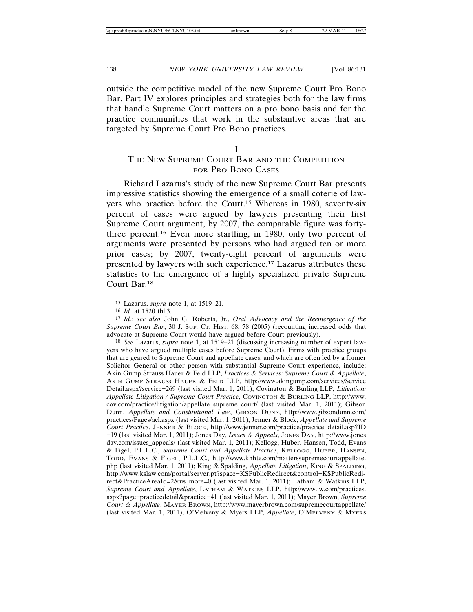outside the competitive model of the new Supreme Court Pro Bono Bar. Part IV explores principles and strategies both for the law firms that handle Supreme Court matters on a pro bono basis and for the practice communities that work in the substantive areas that are targeted by Supreme Court Pro Bono practices.

I

## THE NEW SUPREME COURT BAR AND THE COMPETITION FOR PRO BONO CASES

Richard Lazarus's study of the new Supreme Court Bar presents impressive statistics showing the emergence of a small coterie of lawyers who practice before the Court.15 Whereas in 1980, seventy-six percent of cases were argued by lawyers presenting their first Supreme Court argument, by 2007, the comparable figure was fortythree percent.16 Even more startling, in 1980, only two percent of arguments were presented by persons who had argued ten or more prior cases; by 2007, twenty-eight percent of arguments were presented by lawyers with such experience.17 Lazarus attributes these statistics to the emergence of a highly specialized private Supreme Court Bar.18

17 *Id*.; *see also* John G. Roberts, Jr., *Oral Advocacy and the Reemergence of the Supreme Court Bar*, 30 J. SUP. CT. HIST. 68, 78 (2005) (recounting increased odds that advocate at Supreme Court would have argued before Court previously).

18 *See* Lazarus, *supra* note 1, at 1519–21 (discussing increasing number of expert lawyers who have argued multiple cases before Supreme Court). Firms with practice groups that are geared to Supreme Court and appellate cases, and which are often led by a former Solicitor General or other person with substantial Supreme Court experience, include: Akin Gump Strauss Hauer & Feld LLP, *Practices & Services: Supreme Court & Appellate*, AKIN GUMP STRAUSS HAUER & FELD LLP, http://www.akingump.com/services/Service Detail.aspx?service=269 (last visited Mar. 1, 2011); Covington & Burling LLP, *Litigation: Appellate Litigation / Supreme Court Practice*, COVINGTON & BURLING LLP, http://www. cov.com/practice/litigation/appellate\_supreme\_court/ (last visited Mar. 1, 2011); Gibson Dunn, *Appellate and Constitutional Law*, GIBSON DUNN, http://www.gibsondunn.com/ practices/Pages/acl.aspx (last visited Mar. 1, 2011); Jenner & Block, *Appellate and Supreme Court Practice*, JENNER & BLOCK, http://www.jenner.com/practice/practice\_detail.asp?ID =19 (last visited Mar. 1, 2011); Jones Day, *Issues & Appeals*, JONES DAY, http://www.jones day.com/issues\_appeals/ (last visited Mar. 1, 2011); Kellogg, Huber, Hansen, Todd, Evans & Figel, P.L.L.C., *Supreme Court and Appellate Practice*, KELLOGG, HUBER, HANSEN, TODD, EVANS & FIGEL, P.L.L.C., http://www.khhte.com/matterssupremecourtappellate. php (last visited Mar. 1, 2011); King & Spalding, *Appellate Litigation*, KING & SPALDING, http://www.kslaw.com/portal/server.pt?space=KSPublicRedirect&control=KSPublicRedirect&PracticeAreaId=2&us\_more=0 (last visited Mar. 1, 2011); Latham & Watkins LLP, *Supreme Court and Appellate*, LATHAM & WATKINS LLP, http://www.lw.com/practices. aspx?page=practicedetail&practice=41 (last visited Mar. 1, 2011); Mayer Brown, *Supreme Court & Appellate*, MAYER BROWN, http://www.mayerbrown.com/supremecourtappellate/ (last visited Mar. 1, 2011); O'Melveny & Myers LLP, *Appellate*, O'MELVENY & MYERS

<sup>15</sup> Lazarus, *supra* note 1, at 1519–21.

<sup>16</sup> *Id*. at 1520 tbl.3.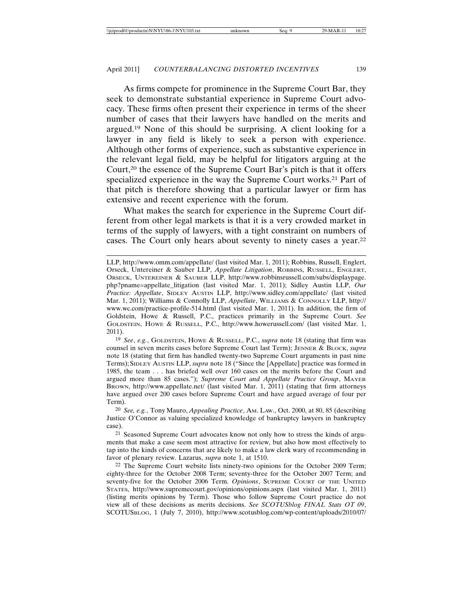As firms compete for prominence in the Supreme Court Bar, they seek to demonstrate substantial experience in Supreme Court advocacy. These firms often present their experience in terms of the sheer number of cases that their lawyers have handled on the merits and argued.19 None of this should be surprising. A client looking for a lawyer in any field is likely to seek a person with experience. Although other forms of experience, such as substantive experience in the relevant legal field, may be helpful for litigators arguing at the Court,20 the essence of the Supreme Court Bar's pitch is that it offers specialized experience in the way the Supreme Court works.<sup>21</sup> Part of that pitch is therefore showing that a particular lawyer or firm has extensive and recent experience with the forum.

What makes the search for experience in the Supreme Court different from other legal markets is that it is a very crowded market in terms of the supply of lawyers, with a tight constraint on numbers of cases. The Court only hears about seventy to ninety cases a year.22

19 *See*, *e.g.*, GOLDSTEIN, HOWE & RUSSELL, P.C., *supra* note 18 (stating that firm was counsel in seven merits cases before Supreme Court last Term); JENNER & BLOCK, *supra* note 18 (stating that firm has handled twenty-two Supreme Court arguments in past nine Terms); SIDLEY AUSTIN LLP, *supra* note 18 ("Since the [Appellate] practice was formed in 1985, the team . . . has briefed well over 160 cases on the merits before the Court and argued more than 85 cases."); *Supreme Court and Appellate Practice Group*, MAYER BROWN, http://www.appellate.net/ (last visited Mar. 1, 2011) (stating that firm attorneys have argued over 200 cases before Supreme Court and have argued average of four per Term).

20 *See, e.g.*, Tony Mauro, *Appealing Practice*, AM. LAW., Oct. 2000, at 80, 85 (describing Justice O'Connor as valuing specialized knowledge of bankruptcy lawyers in bankruptcy case).

21 Seasoned Supreme Court advocates know not only how to stress the kinds of arguments that make a case seem most attractive for review, but also how most effectively to tap into the kinds of concerns that are likely to make a law clerk wary of recommending in favor of plenary review. Lazarus, *supra* note 1, at 1510.

22 The Supreme Court website lists ninety-two opinions for the October 2009 Term; eighty-three for the October 2008 Term; seventy-three for the October 2007 Term; and seventy-five for the October 2006 Term. *Opinions*, SUPREME COURT OF THE UNITED STATES, http://www.supremecourt.gov/opinions/opinions.aspx (last visited Mar. 1, 2011) (listing merits opinions by Term). Those who follow Supreme Court practice do not view all of these decisions as merits decisions. *See SCOTUSblog FINAL Stats OT 09*, SCOTUSBLOG, 1 (July 7, 2010), http://www.scotusblog.com/wp-content/uploads/2010/07/

LLP, http://www.omm.com/appellate/ (last visited Mar. 1, 2011); Robbins, Russell, Englert, Orseck, Untereiner & Sauber LLP, *Appellate Litigation*, ROBBINS, RUSSELL, ENGLERT, ORSECK, UNTEREINER & SAUBER LLP, http://www.robbinsrussell.com/subs/displaypage. php?pname=appellate\_litigation (last visited Mar. 1, 2011); Sidley Austin LLP, *Our Practice: Appellate*, SIDLEY AUSTIN LLP, http://www.sidley.com/appellate/ (last visited Mar. 1, 2011); Williams & Connolly LLP, *Appellate*, WILLIAMS & CONNOLLY LLP, http:// www.wc.com/practice-profile-514.html (last visited Mar. 1, 2011). In addition, the firm of Goldstein, Howe & Russell, P.C., practices primarily in the Supreme Court. *See* GOLDSTEIN, HOWE & RUSSELL, P.C., http://www.howerussell.com/ (last visited Mar. 1, 2011).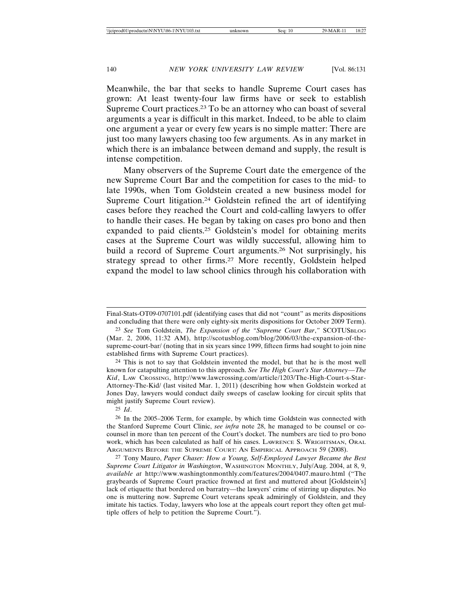Meanwhile, the bar that seeks to handle Supreme Court cases has grown: At least twenty-four law firms have or seek to establish Supreme Court practices.23 To be an attorney who can boast of several arguments a year is difficult in this market. Indeed, to be able to claim one argument a year or every few years is no simple matter: There are just too many lawyers chasing too few arguments. As in any market in which there is an imbalance between demand and supply, the result is intense competition.

Many observers of the Supreme Court date the emergence of the new Supreme Court Bar and the competition for cases to the mid- to late 1990s, when Tom Goldstein created a new business model for Supreme Court litigation.<sup>24</sup> Goldstein refined the art of identifying cases before they reached the Court and cold-calling lawyers to offer to handle their cases. He began by taking on cases pro bono and then expanded to paid clients.25 Goldstein's model for obtaining merits cases at the Supreme Court was wildly successful, allowing him to build a record of Supreme Court arguments.26 Not surprisingly, his strategy spread to other firms.27 More recently, Goldstein helped expand the model to law school clinics through his collaboration with

24 This is not to say that Goldstein invented the model, but that he is the most well known for catapulting attention to this approach. *See The High Court's Star Attorney*—*The Kid*, LAW CROSSING, http://www.lawcrossing.com/article/1203/The-High-Court-s-Star-Attorney-The-Kid/ (last visited Mar. 1, 2011) (describing how when Goldstein worked at Jones Day, lawyers would conduct daily sweeps of caselaw looking for circuit splits that might justify Supreme Court review).

25 *Id*.

26 In the 2005–2006 Term, for example, by which time Goldstein was connected with the Stanford Supreme Court Clinic, *see infra* note 28, he managed to be counsel or cocounsel in more than ten percent of the Court's docket. The numbers are tied to pro bono work, which has been calculated as half of his cases. LAWRENCE S. WRIGHTSMAN, ORAL ARGUMENTS BEFORE THE SUPREME COURT: AN EMPIRICAL APPROACH 59 (2008).

27 Tony Mauro, *Paper Chaser: How a Young, Self-Employed Lawyer Became the Best Supreme Court Litigator in Washington*, WASHINGTON MONTHLY, July/Aug. 2004, at 8, 9, *available at* http://www.washingtonmonthly.com/features/2004/0407.mauro.html ("The graybeards of Supreme Court practice frowned at first and muttered about [Goldstein's] lack of etiquette that bordered on barratry—the lawyers' crime of stirring up disputes. No one is muttering now. Supreme Court veterans speak admiringly of Goldstein, and they imitate his tactics. Today, lawyers who lose at the appeals court report they often get multiple offers of help to petition the Supreme Court.").

Final-Stats-OT09-0707101.pdf (identifying cases that did not "count" as merits dispositions and concluding that there were only eighty-six merits dispositions for October 2009 Term).

<sup>23</sup> *See* Tom Goldstein, *The Expansion of the "Supreme Court Bar*,*"* SCOTUSBLOG (Mar. 2, 2006, 11:32 AM), http://scotusblog.com/blog/2006/03/the-expansion-of-thesupreme-court-bar/ (noting that in six years since 1999, fifteen firms had sought to join nine established firms with Supreme Court practices).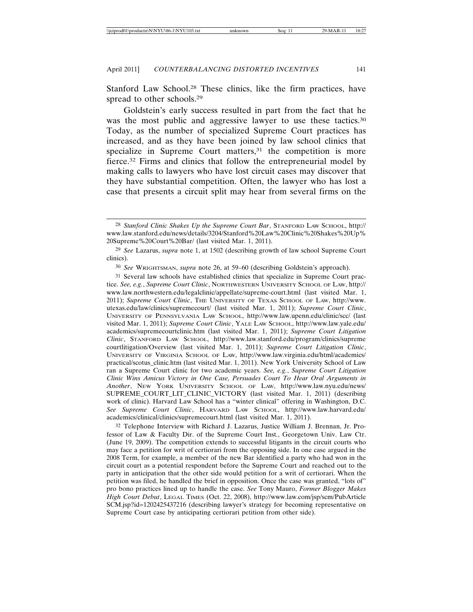Stanford Law School.28 These clinics, like the firm practices, have spread to other schools.29

Goldstein's early success resulted in part from the fact that he was the most public and aggressive lawyer to use these tactics.<sup>30</sup> Today, as the number of specialized Supreme Court practices has increased, and as they have been joined by law school clinics that specialize in Supreme Court matters,<sup>31</sup> the competition is more fierce.32 Firms and clinics that follow the entrepreneurial model by making calls to lawyers who have lost circuit cases may discover that they have substantial competition. Often, the lawyer who has lost a case that presents a circuit split may hear from several firms on the

30 *See* WRIGHTSMAN, *supra* note 26, at 59–60 (describing Goldstein's approach).

31 Several law schools have established clinics that specialize in Supreme Court practice. *See, e.g.*, *Supreme Court Clinic*, NORTHWESTERN UNIVERSITY SCHOOL OF LAW, http:// www.law.northwestern.edu/legalclinic/appellate/supreme-court.html (last visited Mar. 1, 2011); *Supreme Court Clinic*, THE UNIVERSITY OF TEXAS SCHOOL OF LAW, http://www. utexas.edu/law/clinics/supremecourt/ (last visited Mar. 1, 2011); *Supreme Court Clinic*, UNIVERSITY OF PENNSYLVANIA LAW SCHOOL, http://www.law.upenn.edu/clinic/scc/ (last visited Mar. 1, 2011); *Supreme Court Clinic*, YALE LAW SCHOOL, http://www.law.yale.edu/ academics/supremecourtclinic.htm (last visited Mar. 1, 2011); *Supreme Court Litigation Clinic*, STANFORD LAW SCHOOL, http://www.law.stanford.edu/program/clinics/supreme courtlitigation/Overview (last visited Mar. 1, 2011); *Supreme Court Litigation Clinic*, UNIVERSITY OF VIRGINIA SCHOOL OF LAW, http://www.law.virginia.edu/html/academics/ practical/scotus\_clinic.htm (last visited Mar. 1, 2011). New York University School of Law ran a Supreme Court clinic for two academic years. *See, e.g.*, *Supreme Court Litigation Clinic Wins Amicus Victory in One Case, Persuades Court To Hear Oral Arguments in Another*, NEW YORK UNIVERSITY SCHOOL OF LAW, http://www.law.nyu.edu/news/ SUPREME\_COURT\_LIT\_CLINIC\_VICTORY (last visited Mar. 1, 2011) (describing work of clinic). Harvard Law School has a "winter clinical" offering in Washington, D.C. *See Supreme Court Clinic*, HARVARD LAW SCHOOL, http://www.law.harvard.edu/ academics/clinical/clinics/supremecourt.html (last visited Mar. 1, 2011).

32 Telephone Interview with Richard J. Lazarus, Justice William J. Brennan, Jr. Professor of Law & Faculty Dir. of the Supreme Court Inst., Georgetown Univ. Law Ctr. (June 19, 2009). The competition extends to successful litigants in the circuit courts who may face a petition for writ of certiorari from the opposing side. In one case argued in the 2008 Term, for example, a member of the new Bar identified a party who had won in the circuit court as a potential respondent before the Supreme Court and reached out to the party in anticipation that the other side would petition for a writ of certiorari. When the petition was filed, he handled the brief in opposition. Once the case was granted, "lots of" pro bono practices lined up to handle the case. *See* Tony Mauro, *Former Blogger Makes High Court Debut*, LEGAL TIMES (Oct. 22, 2008), http://www.law.com/jsp/scm/PubArticle SCM.jsp?id=1202425437216 (describing lawyer's strategy for becoming representative on Supreme Court case by anticipating certiorari petition from other side).

<sup>28</sup> *Stanford Clinic Shakes Up the Supreme Court Bar*, STANFORD LAW SCHOOL, http:// www.law.stanford.edu/news/details/3204/Stanford%20Law%20Clinic%20Shakes%20Up% 20Supreme%20Court%20Bar/ (last visited Mar. 1, 2011).

<sup>29</sup> *See* Lazarus, *supra* note 1, at 1502 (describing growth of law school Supreme Court clinics).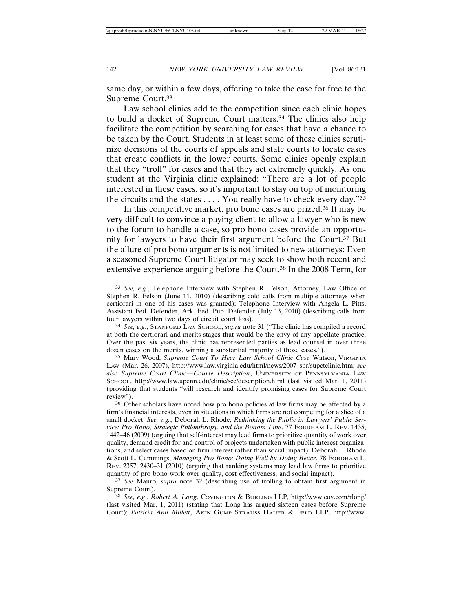same day, or within a few days, offering to take the case for free to the Supreme Court.33

Law school clinics add to the competition since each clinic hopes to build a docket of Supreme Court matters.34 The clinics also help facilitate the competition by searching for cases that have a chance to be taken by the Court. Students in at least some of these clinics scrutinize decisions of the courts of appeals and state courts to locate cases that create conflicts in the lower courts. Some clinics openly explain that they "troll" for cases and that they act extremely quickly. As one student at the Virginia clinic explained: "There are a lot of people interested in these cases, so it's important to stay on top of monitoring the circuits and the states . . . . You really have to check every day."35

In this competitive market, pro bono cases are prized.36 It may be very difficult to convince a paying client to allow a lawyer who is new to the forum to handle a case, so pro bono cases provide an opportunity for lawyers to have their first argument before the Court.37 But the allure of pro bono arguments is not limited to new attorneys: Even a seasoned Supreme Court litigator may seek to show both recent and extensive experience arguing before the Court.38 In the 2008 Term, for

<sup>33</sup> *See, e.g.*, Telephone Interview with Stephen R. Felson, Attorney, Law Office of Stephen R. Felson (June 11, 2010) (describing cold calls from multiple attorneys when certiorari in one of his cases was granted); Telephone Interview with Angela L. Pitts, Assistant Fed. Defender, Ark. Fed. Pub. Defender (July 13, 2010) (describing calls from four lawyers within two days of circuit court loss).

<sup>34</sup> *See, e.g.*, STANFORD LAW SCHOOL, *supra* note 31 ("The clinic has compiled a record at both the certiorari and merits stages that would be the envy of any appellate practice. Over the past six years, the clinic has represented parties as lead counsel in over three dozen cases on the merits, winning a substantial majority of those cases.").

<sup>35</sup> Mary Wood, *Supreme Court To Hear Law School Clinic Case* Watson, VIRGINIA LAW (Mar. 26, 2007), http://www.law.virginia.edu/html/news/2007\_spr/supctclinic.htm; *see also Supreme Court Clinic*—*Course Description*, UNIVERSITY OF PENNSYLVANIA LAW SCHOOL, http://www.law.upenn.edu/clinic/scc/description.html (last visited Mar. 1, 2011) (providing that students "will research and identify promising cases for Supreme Court review").

<sup>&</sup>lt;sup>36</sup> Other scholars have noted how pro bono policies at law firms may be affected by a firm's financial interests, even in situations in which firms are not competing for a slice of a small docket. *See, e.g.*, Deborah L. Rhode, *Rethinking the Public in Lawyers' Public Service: Pro Bono, Strategic Philanthropy, and the Bottom Line*, 77 FORDHAM L. REV. 1435, 1442–46 (2009) (arguing that self-interest may lead firms to prioritize quantity of work over quality, demand credit for and control of projects undertaken with public interest organizations, and select cases based on firm interest rather than social impact); Deborah L. Rhode & Scott L. Cummings, *Managing Pro Bono: Doing Well by Doing Better*, 78 FORDHAM L. REV. 2357, 2430–31 (2010) (arguing that ranking systems may lead law firms to prioritize quantity of pro bono work over quality, cost effectiveness, and social impact).

<sup>37</sup> *See* Mauro, *supra* note 32 (describing use of trolling to obtain first argument in Supreme Court).

<sup>38</sup> *See, e.g*., *Robert A. Long*, COVINGTON & BURLING LLP, http://www.cov.com/rlong/ (last visited Mar. 1, 2011) (stating that Long has argued sixteen cases before Supreme Court); *Patricia Ann Millett*, AKIN GUMP STRAUSS HAUER & FELD LLP, http://www.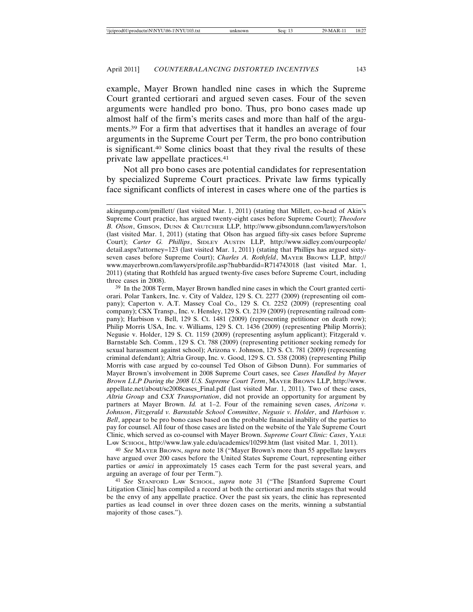example, Mayer Brown handled nine cases in which the Supreme Court granted certiorari and argued seven cases. Four of the seven arguments were handled pro bono. Thus, pro bono cases made up almost half of the firm's merits cases and more than half of the arguments.39 For a firm that advertises that it handles an average of four arguments in the Supreme Court per Term, the pro bono contribution is significant.40 Some clinics boast that they rival the results of these private law appellate practices.41

Not all pro bono cases are potential candidates for representation by specialized Supreme Court practices. Private law firms typically face significant conflicts of interest in cases where one of the parties is

39 In the 2008 Term, Mayer Brown handled nine cases in which the Court granted certiorari. Polar Tankers, Inc. v. City of Valdez, 129 S. Ct. 2277 (2009) (representing oil company); Caperton v. A.T. Massey Coal Co., 129 S. Ct. 2252 (2009) (representing coal company); CSX Transp., Inc. v. Hensley, 129 S. Ct. 2139 (2009) (representing railroad company); Harbison v. Bell, 129 S. Ct. 1481 (2009) (representing petitioner on death row); Philip Morris USA, Inc. v. Williams, 129 S. Ct. 1436 (2009) (representing Philip Morris); Negusie v. Holder, 129 S. Ct. 1159 (2009) (representing asylum applicant); Fitzgerald v. Barnstable Sch. Comm*.*, 129 S. Ct. 788 (2009) (representing petitioner seeking remedy for sexual harassment against school); Arizona v. Johnson, 129 S. Ct. 781 (2009) (representing criminal defendant); Altria Group, Inc. v. Good, 129 S. Ct. 538 (2008) (representing Philip Morris with case argued by co-counsel Ted Olson of Gibson Dunn). For summaries of Mayer Brown's involvement in 2008 Supreme Court cases, see *Cases Handled by Mayer Brown LLP During the 2008 U.S. Supreme Court Term*, MAYER BROWN LLP, http://www. appellate.net/about/sc2008cases\_Final.pdf (last visited Mar. 1, 2011). Two of these cases, *Altria Group* and *CSX Transportation*, did not provide an opportunity for argument by partners at Mayer Brown. *Id.* at 1–2. Four of the remaining seven cases, *Arizona v. Johnson*, *Fitzgerald v. Barnstable School Committee*, *Negusie v. Holder*, and *Harbison v. Bell*, appear to be pro bono cases based on the probable financial inability of the parties to pay for counsel. All four of those cases are listed on the website of the Yale Supreme Court Clinic, which served as co-counsel with Mayer Brown. *Supreme Court Clinic: Cases*, YALE LAW SCHOOL, http://www.law.yale.edu/academics/10299.htm (last visited Mar. 1, 2011).

40 *See* MAYER BROWN, *supra* note 18 ("Mayer Brown's more than 55 appellate lawyers have argued over 200 cases before the United States Supreme Court, representing either parties or *amici* in approximately 15 cases each Term for the past several years, and arguing an average of four per Term.").

41 *See* STANFORD LAW SCHOOL, *supra* note 31 ("The [Stanford Supreme Court Litigation Clinic] has compiled a record at both the certiorari and merits stages that would be the envy of any appellate practice. Over the past six years, the clinic has represented parties as lead counsel in over three dozen cases on the merits, winning a substantial majority of those cases.").

akingump.com/pmillett/ (last visited Mar. 1, 2011) (stating that Millett, co-head of Akin's Supreme Court practice, has argued twenty-eight cases before Supreme Court); *Theodore B. Olson*, GIBSON, DUNN & CRUTCHER LLP, http://www.gibsondunn.com/lawyers/tolson (last visited Mar. 1, 2011) (stating that Olson has argued fifty-six cases before Supreme Court); *Carter G. Phillips*, SIDLEY AUSTIN LLP, http://www.sidley.com/ourpeople/ detail.aspx?attorney=123 (last visited Mar. 1, 2011) (stating that Phillips has argued sixtyseven cases before Supreme Court); *Charles A. Rothfeld*, MAYER BROWN LLP, http:// www.mayerbrown.com/lawyers/profile.asp?hubbardid=R714743018 (last visited Mar. 1, 2011) (stating that Rothfeld has argued twenty-five cases before Supreme Court, including three cases in 2008).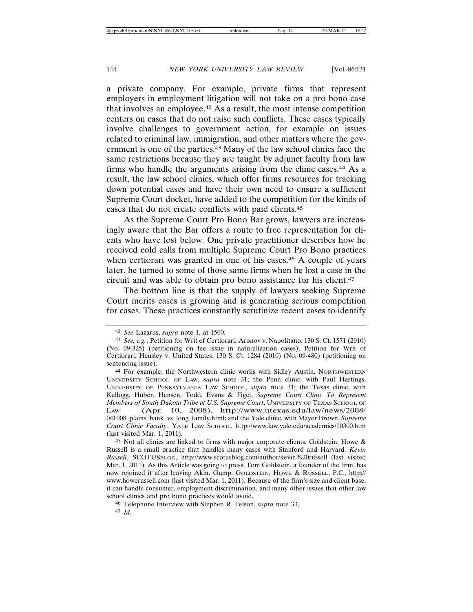a private company. For example, private firms that represent employers in employment litigation will not take on a pro bono case that involves an employee.42 As a result, the most intense competition centers on cases that do not raise such conflicts. These cases typically involve challenges to government action, for example on issues related to criminal law, immigration, and other matters where the government is one of the parties.43 Many of the law school clinics face the same restrictions because they are taught by adjunct faculty from law firms who handle the arguments arising from the clinic cases.44 As a result, the law school clinics, which offer firms resources for tracking down potential cases and have their own need to ensure a sufficient Supreme Court docket, have added to the competition for the kinds of cases that do not create conflicts with paid clients.45

As the Supreme Court Pro Bono Bar grows, lawyers are increasingly aware that the Bar offers a route to free representation for clients who have lost below. One private practitioner describes how he received cold calls from multiple Supreme Court Pro Bono practices when certiorari was granted in one of his cases.<sup>46</sup> A couple of years later, he turned to some of those same firms when he lost a case in the circuit and was able to obtain pro bono assistance for his client.47

The bottom line is that the supply of lawyers seeking Supreme Court merits cases is growing and is generating serious competition for cases. These practices constantly scrutinize recent cases to identify

<sup>42</sup> *See* Lazarus, *supra* note 1, at 1560.

<sup>43</sup> *See, e.g.*, Petition for Writ of Certiorari, Aronov v. Napolitano, 130 S. Ct. 1571 (2010) (No. 09-325) (petitioning on fee issue in naturalization cases); Petition for Writ of Certiorari, Hensley v. United States, 130 S. Ct. 1284 (2010) (No. 09-480) (petitioning on sentencing issue).

<sup>44</sup> For example, the Northwestern clinic works with Sidley Austin, NORTHWESTERN UNIVERSITY SCHOOL OF LAW, *supra* note 31; the Penn clinic, with Paul Hastings, UNIVERSITY OF PENNSYLVANIA LAW SCHOOL, *supra* note 31; the Texas clinic, with Kellogg, Huber, Hansen, Todd, Evans & Figel, *Supreme Court Clinic To Represent Members of South Dakota Tribe at U.S. Supreme Court*, UNIVERSITY OF TEXAS SCHOOL OF LAW (Apr. 10, 2008), http://www.utexas.edu/law/news/2008/ 041008\_plains\_bank\_vs\_long\_family.html; and the Yale clinic, with Mayer Brown, *Supreme Court Clinic Faculty*, YALE LAW SCHOOL, http://www.law.yale.edu/academics/10300.htm (last visited Mar. 1, 2011).

 $45$  Not all clinics are linked to firms with major corporate clients. Goldstein, Howe & Russell is a small practice that handles many cases with Stanford and Harvard. *Kevin Russell*, SCOTUSBLOG, http://www.scotusblog.com/author/kevin%20russell (last visited Mar. 1, 2011). As this Article was going to press, Tom Goldstein, a founder of the firm, has now rejoined it after leaving Akin, Gump. GOLDSTEIN, HOWE & RUSSELL, P.C., http:// www.howerussell.com (last visited Mar. 1, 2011). Because of the firm's size and client base, it can handle consumer, employment discrimination, and many other issues that other law school clinics and pro bono practices would avoid.

<sup>46</sup> Telephone Interview with Stephen R. Felson, *supra* note 33.

<sup>47</sup> *Id.*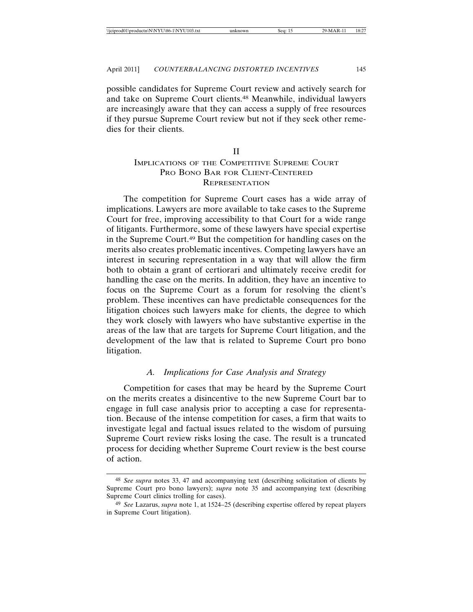possible candidates for Supreme Court review and actively search for and take on Supreme Court clients.48 Meanwhile, individual lawyers are increasingly aware that they can access a supply of free resources if they pursue Supreme Court review but not if they seek other remedies for their clients.

II

# IMPLICATIONS OF THE COMPETITIVE SUPREME COURT PRO BONO BAR FOR CLIENT-CENTERED REPRESENTATION

The competition for Supreme Court cases has a wide array of implications. Lawyers are more available to take cases to the Supreme Court for free, improving accessibility to that Court for a wide range of litigants. Furthermore, some of these lawyers have special expertise in the Supreme Court.49 But the competition for handling cases on the merits also creates problematic incentives. Competing lawyers have an interest in securing representation in a way that will allow the firm both to obtain a grant of certiorari and ultimately receive credit for handling the case on the merits. In addition, they have an incentive to focus on the Supreme Court as a forum for resolving the client's problem. These incentives can have predictable consequences for the litigation choices such lawyers make for clients, the degree to which they work closely with lawyers who have substantive expertise in the areas of the law that are targets for Supreme Court litigation, and the development of the law that is related to Supreme Court pro bono litigation.

#### *A. Implications for Case Analysis and Strategy*

Competition for cases that may be heard by the Supreme Court on the merits creates a disincentive to the new Supreme Court bar to engage in full case analysis prior to accepting a case for representation. Because of the intense competition for cases, a firm that waits to investigate legal and factual issues related to the wisdom of pursuing Supreme Court review risks losing the case. The result is a truncated process for deciding whether Supreme Court review is the best course of action.

<sup>48</sup> *See supra* notes 33, 47 and accompanying text (describing solicitation of clients by Supreme Court pro bono lawyers); *supra* note 35 and accompanying text (describing Supreme Court clinics trolling for cases).

<sup>49</sup> *See* Lazarus, *supra* note 1, at 1524–25 (describing expertise offered by repeat players in Supreme Court litigation).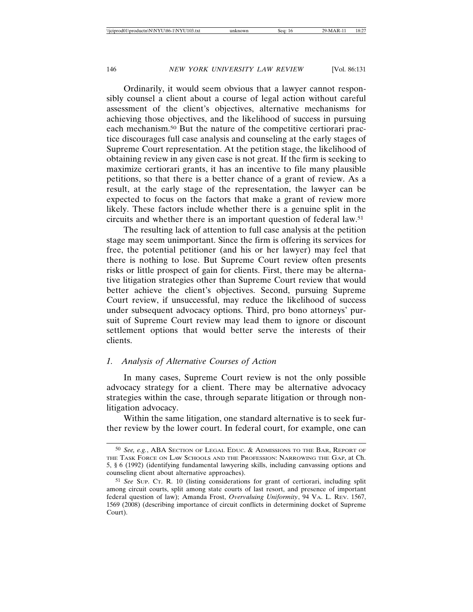Ordinarily, it would seem obvious that a lawyer cannot responsibly counsel a client about a course of legal action without careful assessment of the client's objectives, alternative mechanisms for achieving those objectives, and the likelihood of success in pursuing each mechanism.50 But the nature of the competitive certiorari practice discourages full case analysis and counseling at the early stages of Supreme Court representation. At the petition stage, the likelihood of obtaining review in any given case is not great. If the firm is seeking to maximize certiorari grants, it has an incentive to file many plausible petitions, so that there is a better chance of a grant of review. As a result, at the early stage of the representation, the lawyer can be expected to focus on the factors that make a grant of review more likely. These factors include whether there is a genuine split in the circuits and whether there is an important question of federal law.51

The resulting lack of attention to full case analysis at the petition stage may seem unimportant. Since the firm is offering its services for free, the potential petitioner (and his or her lawyer) may feel that there is nothing to lose. But Supreme Court review often presents risks or little prospect of gain for clients. First, there may be alternative litigation strategies other than Supreme Court review that would better achieve the client's objectives. Second, pursuing Supreme Court review, if unsuccessful, may reduce the likelihood of success under subsequent advocacy options. Third, pro bono attorneys' pursuit of Supreme Court review may lead them to ignore or discount settlement options that would better serve the interests of their clients.

## *1. Analysis of Alternative Courses of Action*

In many cases, Supreme Court review is not the only possible advocacy strategy for a client. There may be alternative advocacy strategies within the case, through separate litigation or through nonlitigation advocacy.

Within the same litigation, one standard alternative is to seek further review by the lower court. In federal court, for example, one can

<sup>50</sup> *See, e.g.*, ABA SECTION OF LEGAL EDUC. & ADMISSIONS TO THE BAR, REPORT OF THE TASK FORCE ON LAW SCHOOLS AND THE PROFESSION: NARROWING THE GAP, at Ch. 5, § 6 (1992) (identifying fundamental lawyering skills, including canvassing options and counseling client about alternative approaches).

<sup>51</sup> *See* SUP. CT. R. 10 (listing considerations for grant of certiorari, including split among circuit courts, split among state courts of last resort, and presence of important federal question of law); Amanda Frost, *Overvaluing Uniformity*, 94 VA. L. REV. 1567, 1569 (2008) (describing importance of circuit conflicts in determining docket of Supreme Court).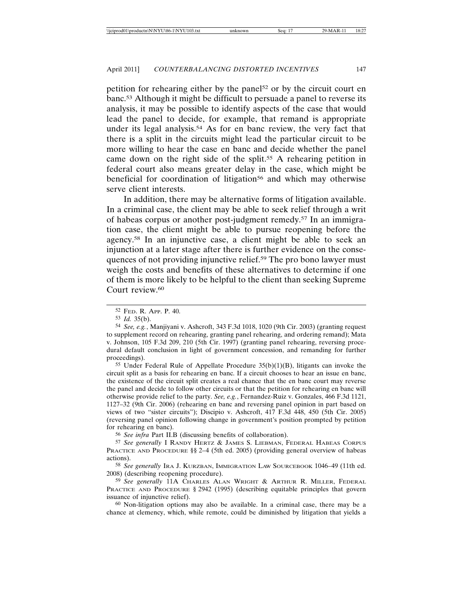petition for rehearing either by the panel<sup>52</sup> or by the circuit court en banc.53 Although it might be difficult to persuade a panel to reverse its analysis, it may be possible to identify aspects of the case that would lead the panel to decide, for example, that remand is appropriate under its legal analysis.54 As for en banc review, the very fact that there is a split in the circuits might lead the particular circuit to be more willing to hear the case en banc and decide whether the panel came down on the right side of the split.55 A rehearing petition in federal court also means greater delay in the case, which might be beneficial for coordination of litigation<sup>56</sup> and which may otherwise serve client interests.

In addition, there may be alternative forms of litigation available. In a criminal case, the client may be able to seek relief through a writ of habeas corpus or another post-judgment remedy.57 In an immigration case, the client might be able to pursue reopening before the agency.58 In an injunctive case, a client might be able to seek an injunction at a later stage after there is further evidence on the consequences of not providing injunctive relief.59 The pro bono lawyer must weigh the costs and benefits of these alternatives to determine if one of them is more likely to be helpful to the client than seeking Supreme Court review.<sup>60</sup>

55 Under Federal Rule of Appellate Procedure 35(b)(1)(B), litigants can invoke the circuit split as a basis for rehearing en banc. If a circuit chooses to hear an issue en banc, the existence of the circuit split creates a real chance that the en banc court may reverse the panel and decide to follow other circuits or that the petition for rehearing en banc will otherwise provide relief to the party. *See, e.g.*, Fernandez-Ruiz v. Gonzales, 466 F.3d 1121, 1127–32 (9th Cir. 2006) (rehearing en banc and reversing panel opinion in part based on views of two "sister circuits"); Discipio v. Ashcroft, 417 F.3d 448, 450 (5th Cir. 2005) (reversing panel opinion following change in government's position prompted by petition for rehearing en banc).

56 *See infra* Part II.B (discussing benefits of collaboration).

57 *See generally* I RANDY HERTZ & JAMES S. LIEBMAN, FEDERAL HABEAS CORPUS PRACTICE AND PROCEDURE §§ 2–4 (5th ed. 2005) (providing general overview of habeas actions).

58 *See generally* IRA J. KURZBAN, IMMIGRATION LAW SOURCEBOOK 1046–49 (11th ed. 2008) (describing reopening procedure).

59 *See generally* 11A CHARLES ALAN WRIGHT & ARTHUR R. MILLER, FEDERAL PRACTICE AND PROCEDURE § 2942 (1995) (describing equitable principles that govern issuance of injunctive relief).

60 Non-litigation options may also be available. In a criminal case, there may be a chance at clemency, which, while remote, could be diminished by litigation that yields a

<sup>52</sup> FED. R. APP. P. 40.

<sup>53</sup> *Id.* 35(b).

<sup>54</sup> *See, e.g.*, Manjiyani v. Ashcroft, 343 F.3d 1018, 1020 (9th Cir. 2003) (granting request to supplement record on rehearing, granting panel rehearing, and ordering remand); Mata v. Johnson, 105 F.3d 209, 210 (5th Cir. 1997) (granting panel rehearing, reversing procedural default conclusion in light of government concession, and remanding for further proceedings).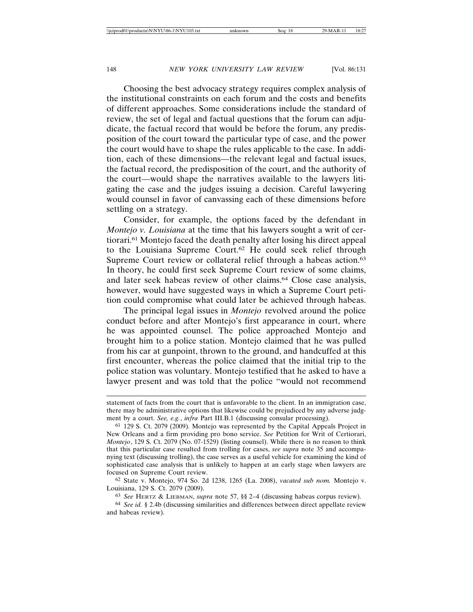Choosing the best advocacy strategy requires complex analysis of the institutional constraints on each forum and the costs and benefits of different approaches. Some considerations include the standard of review, the set of legal and factual questions that the forum can adjudicate, the factual record that would be before the forum, any predisposition of the court toward the particular type of case, and the power the court would have to shape the rules applicable to the case. In addition, each of these dimensions—the relevant legal and factual issues, the factual record, the predisposition of the court, and the authority of the court—would shape the narratives available to the lawyers litigating the case and the judges issuing a decision. Careful lawyering would counsel in favor of canvassing each of these dimensions before settling on a strategy.

Consider, for example, the options faced by the defendant in *Montejo v. Louisiana* at the time that his lawyers sought a writ of certiorari.61 Montejo faced the death penalty after losing his direct appeal to the Louisiana Supreme Court.62 He could seek relief through Supreme Court review or collateral relief through a habeas action.<sup>63</sup> In theory, he could first seek Supreme Court review of some claims, and later seek habeas review of other claims.64 Close case analysis, however, would have suggested ways in which a Supreme Court petition could compromise what could later be achieved through habeas.

The principal legal issues in *Montejo* revolved around the police conduct before and after Montejo's first appearance in court, where he was appointed counsel. The police approached Montejo and brought him to a police station. Montejo claimed that he was pulled from his car at gunpoint, thrown to the ground, and handcuffed at this first encounter, whereas the police claimed that the initial trip to the police station was voluntary. Montejo testified that he asked to have a lawyer present and was told that the police "would not recommend

62 State v. Montejo, 974 So. 2d 1238, 1265 (La. 2008), *vacated sub nom.* Montejo v. Louisiana, 129 S. Ct. 2079 (2009).

63 *See* HERTZ & LIEBMAN, *supra* note 57, §§ 2–4 (discussing habeas corpus review).

64 *See id.* § 2.4b (discussing similarities and differences between direct appellate review and habeas review).

statement of facts from the court that is unfavorable to the client. In an immigration case, there may be administrative options that likewise could be prejudiced by any adverse judgment by a court. *See, e.g.*, *infra* Part III.B.1 (discussing consular processing).

<sup>61</sup> 129 S. Ct. 2079 (2009). Montejo was represented by the Capital Appeals Project in New Orleans and a firm providing pro bono service. *See* Petition for Writ of Certiorari, *Montejo*, 129 S. Ct. 2079 (No. 07-1529) (listing counsel). While there is no reason to think that this particular case resulted from trolling for cases, *see supra* note 35 and accompanying text (discussing trolling), the case serves as a useful vehicle for examining the kind of sophisticated case analysis that is unlikely to happen at an early stage when lawyers are focused on Supreme Court review.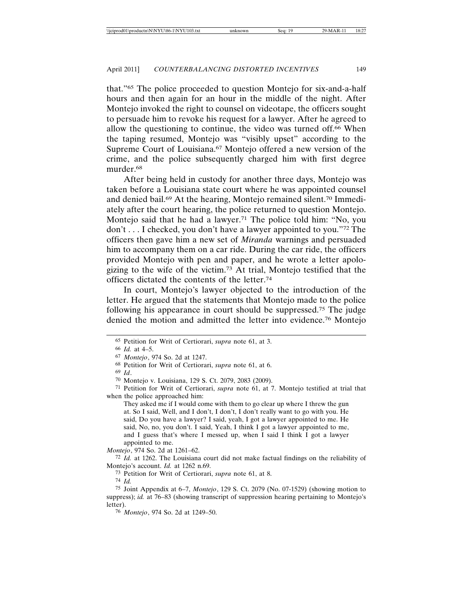that."65 The police proceeded to question Montejo for six-and-a-half hours and then again for an hour in the middle of the night. After Montejo invoked the right to counsel on videotape, the officers sought to persuade him to revoke his request for a lawyer. After he agreed to allow the questioning to continue, the video was turned off.66 When the taping resumed, Montejo was "visibly upset" according to the Supreme Court of Louisiana.67 Montejo offered a new version of the crime, and the police subsequently charged him with first degree murder.68

After being held in custody for another three days, Montejo was taken before a Louisiana state court where he was appointed counsel and denied bail.69 At the hearing, Montejo remained silent.70 Immediately after the court hearing, the police returned to question Montejo. Montejo said that he had a lawyer.<sup>71</sup> The police told him: "No, you don't . . . I checked, you don't have a lawyer appointed to you."72 The officers then gave him a new set of *Miranda* warnings and persuaded him to accompany them on a car ride. During the car ride, the officers provided Montejo with pen and paper, and he wrote a letter apologizing to the wife of the victim.73 At trial, Montejo testified that the officers dictated the contents of the letter.74

In court, Montejo's lawyer objected to the introduction of the letter. He argued that the statements that Montejo made to the police following his appearance in court should be suppressed.75 The judge denied the motion and admitted the letter into evidence.76 Montejo

They asked me if I would come with them to go clear up where I threw the gun at. So I said, Well, and I don't, I don't, I don't really want to go with you. He said, Do you have a lawyer? I said, yeah, I got a lawyer appointed to me. He said, No, no, you don't. I said, Yeah, I think I got a lawyer appointed to me, and I guess that's where I messed up, when I said I think I got a lawyer appointed to me.

*Montejo*, 974 So. 2d at 1261–62.

74 *Id.*

75 Joint Appendix at 6–7, *Montejo*, 129 S. Ct. 2079 (No. 07-1529) (showing motion to suppress); *id.* at 76–83 (showing transcript of suppression hearing pertaining to Montejo's letter).

76 *Montejo*, 974 So. 2d at 1249–50.

<sup>65</sup> Petition for Writ of Certiorari, *supra* note 61, at 3.

<sup>66</sup> *Id.* at 4–5.

<sup>67</sup> *Montejo*, 974 So. 2d at 1247.

<sup>68</sup> Petition for Writ of Certiorari, *supra* note 61, at 6.

<sup>69</sup> *Id*.

<sup>70</sup> Montejo v. Louisiana, 129 S. Ct. 2079, 2083 (2009).

<sup>71</sup> Petition for Writ of Certiorari, *supra* note 61, at 7. Montejo testified at trial that when the police approached him:

<sup>72</sup> *Id.* at 1262. The Louisiana court did not make factual findings on the reliability of Montejo's account. *Id.* at 1262 n.69.

<sup>73</sup> Petition for Writ of Certiorari, *supra* note 61, at 8.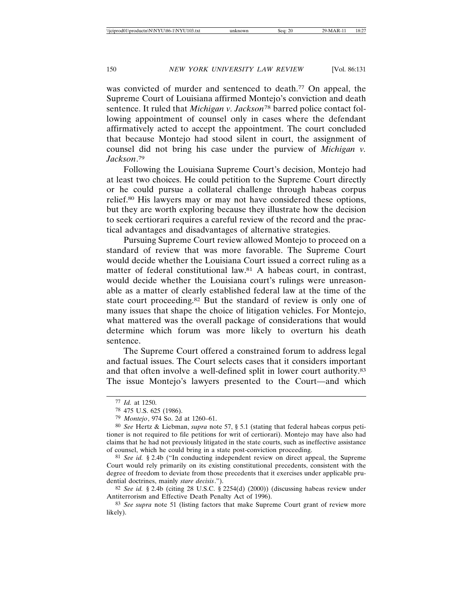was convicted of murder and sentenced to death.<sup>77</sup> On appeal, the Supreme Court of Louisiana affirmed Montejo's conviction and death sentence. It ruled that *Michigan v. Jackson*<sup>78</sup> barred police contact following appointment of counsel only in cases where the defendant affirmatively acted to accept the appointment. The court concluded that because Montejo had stood silent in court, the assignment of counsel did not bring his case under the purview of *Michigan v. Jackson*. 79

Following the Louisiana Supreme Court's decision, Montejo had at least two choices. He could petition to the Supreme Court directly or he could pursue a collateral challenge through habeas corpus relief.80 His lawyers may or may not have considered these options, but they are worth exploring because they illustrate how the decision to seek certiorari requires a careful review of the record and the practical advantages and disadvantages of alternative strategies.

Pursuing Supreme Court review allowed Montejo to proceed on a standard of review that was more favorable. The Supreme Court would decide whether the Louisiana Court issued a correct ruling as a matter of federal constitutional law.81 A habeas court, in contrast, would decide whether the Louisiana court's rulings were unreasonable as a matter of clearly established federal law at the time of the state court proceeding.82 But the standard of review is only one of many issues that shape the choice of litigation vehicles. For Montejo, what mattered was the overall package of considerations that would determine which forum was more likely to overturn his death sentence.

The Supreme Court offered a constrained forum to address legal and factual issues. The Court selects cases that it considers important and that often involve a well-defined split in lower court authority.83 The issue Montejo's lawyers presented to the Court—and which

81 *See id.* § 2.4b ("In conducting independent review on direct appeal, the Supreme Court would rely primarily on its existing constitutional precedents, consistent with the degree of freedom to deviate from those precedents that it exercises under applicable prudential doctrines, mainly *stare decisis*.").

82 *See id.* § 2.4b (citing 28 U.S.C. § 2254(d) (2000)) (discussing habeas review under Antiterrorism and Effective Death Penalty Act of 1996).

83 *See supra* note 51 (listing factors that make Supreme Court grant of review more likely).

<sup>77</sup> *Id.* at 1250.

<sup>78</sup> 475 U.S. 625 (1986).

<sup>79</sup> *Montejo*, 974 So. 2d at 1260–61.

<sup>80</sup> *See* Hertz & Liebman, *supra* note 57, § 5.1 (stating that federal habeas corpus petitioner is not required to file petitions for writ of certiorari). Montejo may have also had claims that he had not previously litigated in the state courts, such as ineffective assistance of counsel, which he could bring in a state post-conviction proceeding.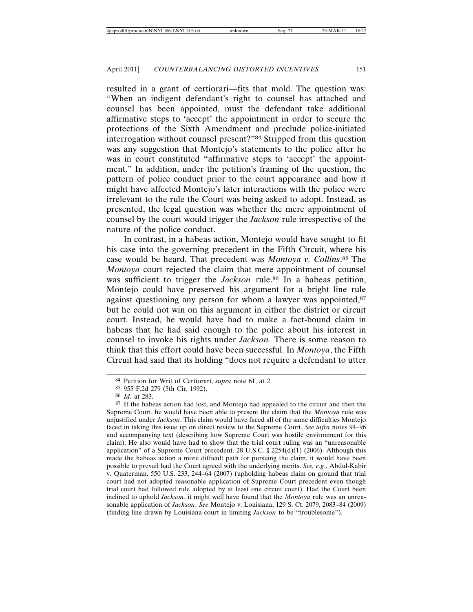resulted in a grant of certiorari—fits that mold. The question was: "When an indigent defendant's right to counsel has attached and counsel has been appointed, must the defendant take additional affirmative steps to 'accept' the appointment in order to secure the protections of the Sixth Amendment and preclude police-initiated interrogation without counsel present?"84 Stripped from this question was any suggestion that Montejo's statements to the police after he was in court constituted "affirmative steps to 'accept' the appointment." In addition, under the petition's framing of the question, the pattern of police conduct prior to the court appearance and how it might have affected Montejo's later interactions with the police were irrelevant to the rule the Court was being asked to adopt. Instead, as presented, the legal question was whether the mere appointment of counsel by the court would trigger the *Jackson* rule irrespective of the nature of the police conduct.

In contrast, in a habeas action, Montejo would have sought to fit his case into the governing precedent in the Fifth Circuit, where his case would be heard. That precedent was *Montoya v. Collins*. 85 The *Montoya* court rejected the claim that mere appointment of counsel was sufficient to trigger the *Jackson* rule.<sup>86</sup> In a habeas petition, Montejo could have preserved his argument for a bright line rule against questioning any person for whom a lawyer was appointed,<sup>87</sup> but he could not win on this argument in either the district or circuit court. Instead, he would have had to make a fact-bound claim in habeas that he had said enough to the police about his interest in counsel to invoke his rights under *Jackson.* There is some reason to think that this effort could have been successful. In *Montoya*, the Fifth Circuit had said that its holding "does not require a defendant to utter

<sup>84</sup> Petition for Writ of Certiorari, *supra* note 61, at 2.

<sup>85</sup> 955 F.2d 279 (5th Cir. 1992).

<sup>86</sup> *Id.* at 283.

<sup>87</sup> If the habeas action had lost, and Montejo had appealed to the circuit and then the Supreme Court, he would have been able to present the claim that the *Montoya* rule was unjustified under *Jackson*. This claim would have faced all of the same difficulties Montejo faced in taking this issue up on direct review to the Supreme Court. *See infra* notes 94–96 and accompanying text (describing how Supreme Court was hostile environment for this claim). He also would have had to show that the trial court ruling was an "unreasonable application" of a Supreme Court precedent. 28 U.S.C.  $\S$  2254(d)(1) (2006). Although this made the habeas action a more difficult path for pursuing the claim, it would have been possible to prevail had the Court agreed with the underlying merits. *See, e.g.*, Abdul-Kabir v. Quaterman, 550 U.S. 233, 244–64 (2007) (upholding habeas claim on ground that trial court had not adopted reasonable application of Supreme Court precedent even though trial court had followed rule adopted by at least one circuit court). Had the Court been inclined to uphold *Jackson*, it might well have found that the *Montoya* rule was an unreasonable application of *Jackson*. *See* Montejo v. Louisiana, 129 S. Ct. 2079, 2083–84 (2009) (finding line drawn by Louisiana court in limiting *Jackson* to be "troublesome").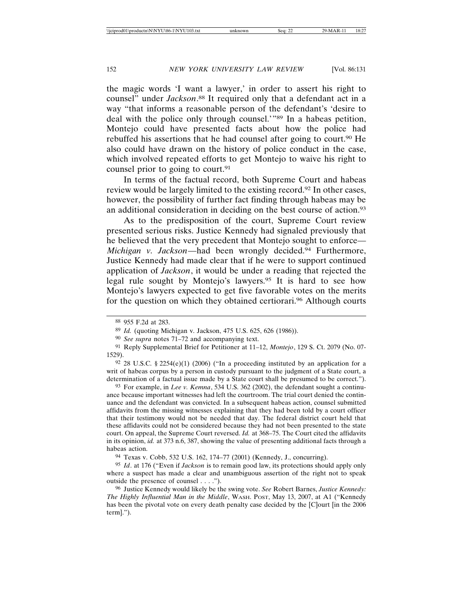the magic words 'I want a lawyer,' in order to assert his right to counsel" under *Jackson*. 88 It required only that a defendant act in a way "that informs a reasonable person of the defendant's 'desire to deal with the police only through counsel.'"89 In a habeas petition, Montejo could have presented facts about how the police had rebuffed his assertions that he had counsel after going to court.90 He also could have drawn on the history of police conduct in the case, which involved repeated efforts to get Montejo to waive his right to counsel prior to going to court.<sup>91</sup>

In terms of the factual record, both Supreme Court and habeas review would be largely limited to the existing record.92 In other cases, however, the possibility of further fact finding through habeas may be an additional consideration in deciding on the best course of action.93

As to the predisposition of the court, Supreme Court review presented serious risks. Justice Kennedy had signaled previously that he believed that the very precedent that Montejo sought to enforce— *Michigan v. Jackson*—had been wrongly decided.<sup>94</sup> Furthermore, Justice Kennedy had made clear that if he were to support continued application of *Jackson*, it would be under a reading that rejected the legal rule sought by Montejo's lawyers.95 It is hard to see how Montejo's lawyers expected to get five favorable votes on the merits for the question on which they obtained certiorari.<sup>96</sup> Although courts

 $92$  28 U.S.C. § 2254(e)(1) (2006) ("In a proceeding instituted by an application for a writ of habeas corpus by a person in custody pursuant to the judgment of a State court, a determination of a factual issue made by a State court shall be presumed to be correct.").

93 For example, in *Lee v. Kemna*, 534 U.S. 362 (2002), the defendant sought a continuance because important witnesses had left the courtroom. The trial court denied the continuance and the defendant was convicted. In a subsequent habeas action, counsel submitted affidavits from the missing witnesses explaining that they had been told by a court officer that their testimony would not be needed that day. The federal district court held that these affidavits could not be considered because they had not been presented to the state court. On appeal, the Supreme Court reversed. *Id.* at 368–75. The Court cited the affidavits in its opinion, *id.* at 373 n.6, 387, showing the value of presenting additional facts through a habeas action.

94 Texas v. Cobb, 532 U.S. 162, 174–77 (2001) (Kennedy, J., concurring).

95 *Id*. at 176 ("Even if *Jackson* is to remain good law, its protections should apply only where a suspect has made a clear and unambiguous assertion of the right not to speak outside the presence of counsel . . . .").

96 Justice Kennedy would likely be the swing vote. *See* Robert Barnes, *Justice Kennedy: The Highly Influential Man in the Middle*, WASH. POST, May 13, 2007, at A1 ("Kennedy has been the pivotal vote on every death penalty case decided by the [C]ourt [in the 2006 term].").

<sup>88</sup> 955 F.2d at 283.

<sup>89</sup> *Id.* (quoting Michigan v. Jackson, 475 U.S. 625, 626 (1986)).

<sup>90</sup> *See supra* notes 71–72 and accompanying text.

<sup>91</sup> Reply Supplemental Brief for Petitioner at 11–12, *Montejo*, 129 S. Ct. 2079 (No. 07- 1529).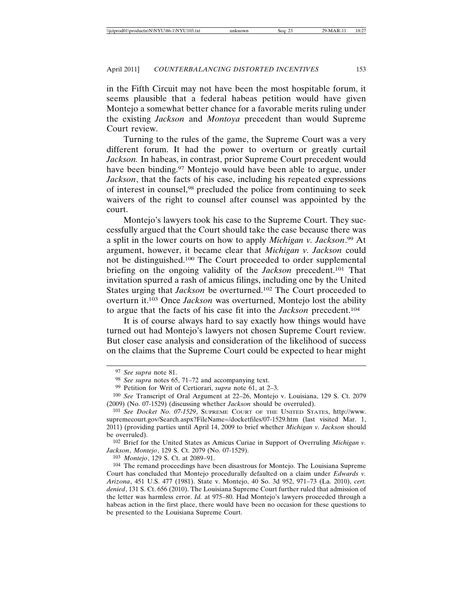in the Fifth Circuit may not have been the most hospitable forum, it seems plausible that a federal habeas petition would have given Montejo a somewhat better chance for a favorable merits ruling under the existing *Jackson* and *Montoya* precedent than would Supreme Court review.

Turning to the rules of the game, the Supreme Court was a very different forum. It had the power to overturn or greatly curtail *Jackson.* In habeas, in contrast, prior Supreme Court precedent would have been binding.<sup>97</sup> Montejo would have been able to argue, under *Jackson*, that the facts of his case, including his repeated expressions of interest in counsel,98 precluded the police from continuing to seek waivers of the right to counsel after counsel was appointed by the court.

Montejo's lawyers took his case to the Supreme Court. They successfully argued that the Court should take the case because there was a split in the lower courts on how to apply *Michigan v. Jackson*. 99 At argument, however, it became clear that *Michigan v. Jackson* could not be distinguished.100 The Court proceeded to order supplemental briefing on the ongoing validity of the *Jackson* precedent.101 That invitation spurred a rash of amicus filings, including one by the United States urging that *Jackson* be overturned.102 The Court proceeded to overturn it.103 Once *Jackson* was overturned, Montejo lost the ability to argue that the facts of his case fit into the *Jackson* precedent.104

It is of course always hard to say exactly how things would have turned out had Montejo's lawyers not chosen Supreme Court review. But closer case analysis and consideration of the likelihood of success on the claims that the Supreme Court could be expected to hear might

102 Brief for the United States as Amicus Curiae in Support of Overruling *Michigan v. Jackson*, *Montejo*, 129 S. Ct. 2079 (No. 07-1529).

103 *Montejo*, 129 S. Ct. at 2089–91.

<sup>97</sup> *See supra* note 81.

<sup>98</sup> *See supra* notes 65, 71–72 and accompanying text.

<sup>99</sup> Petition for Writ of Certiorari, *supra* note 61, at 2–3.

<sup>100</sup> *See* Transcript of Oral Argument at 22–26, Montejo v. Louisiana, 129 S. Ct. 2079 (2009) (No. 07-1529) (discussing whether *Jackson* should be overruled).

<sup>101</sup> *See Docket No. 07-1529*, SUPREME COURT OF THE UNITED STATES, http://www. supremecourt.gov/Search.aspx?FileName=/docketfiles/07-1529.htm (last visited Mar. 1, 2011) (providing parties until April 14, 2009 to brief whether *Michigan v. Jackson* should be overruled).

<sup>104</sup> The remand proceedings have been disastrous for Montejo. The Louisiana Supreme Court has concluded that Montejo procedurally defaulted on a claim under *Edwards v. Arizona*, 451 U.S. 477 (1981). State v. Montejo, 40 So. 3d 952, 971–73 (La. 2010), *cert. denied*, 131 S. Ct. 656 (2010). The Louisiana Supreme Court further ruled that admission of the letter was harmless error. *Id.* at 975–80. Had Montejo's lawyers proceeded through a habeas action in the first place, there would have been no occasion for these questions to be presented to the Louisiana Supreme Court.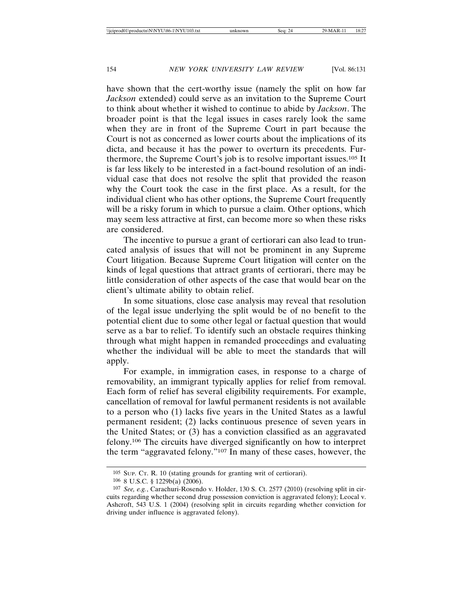have shown that the cert-worthy issue (namely the split on how far *Jackson* extended) could serve as an invitation to the Supreme Court to think about whether it wished to continue to abide by *Jackson*. The broader point is that the legal issues in cases rarely look the same when they are in front of the Supreme Court in part because the Court is not as concerned as lower courts about the implications of its dicta, and because it has the power to overturn its precedents. Furthermore, the Supreme Court's job is to resolve important issues.105 It is far less likely to be interested in a fact-bound resolution of an individual case that does not resolve the split that provided the reason why the Court took the case in the first place. As a result, for the individual client who has other options, the Supreme Court frequently will be a risky forum in which to pursue a claim. Other options, which may seem less attractive at first, can become more so when these risks are considered.

The incentive to pursue a grant of certiorari can also lead to truncated analysis of issues that will not be prominent in any Supreme Court litigation. Because Supreme Court litigation will center on the kinds of legal questions that attract grants of certiorari, there may be little consideration of other aspects of the case that would bear on the client's ultimate ability to obtain relief.

In some situations, close case analysis may reveal that resolution of the legal issue underlying the split would be of no benefit to the potential client due to some other legal or factual question that would serve as a bar to relief. To identify such an obstacle requires thinking through what might happen in remanded proceedings and evaluating whether the individual will be able to meet the standards that will apply.

For example, in immigration cases, in response to a charge of removability, an immigrant typically applies for relief from removal. Each form of relief has several eligibility requirements. For example, cancellation of removal for lawful permanent residents is not available to a person who (1) lacks five years in the United States as a lawful permanent resident; (2) lacks continuous presence of seven years in the United States; or (3) has a conviction classified as an aggravated felony.106 The circuits have diverged significantly on how to interpret the term "aggravated felony."107 In many of these cases, however, the

<sup>105</sup> SUP. CT. R. 10 (stating grounds for granting writ of certiorari).

<sup>106</sup> 8 U.S.C. § 1229b(a) (2006).

<sup>107</sup> *See, e.g.*, Carachuri-Rosendo v. Holder, 130 S. Ct. 2577 (2010) (resolving split in circuits regarding whether second drug possession conviction is aggravated felony); Leocal v. Ashcroft, 543 U.S. 1 (2004) (resolving split in circuits regarding whether conviction for driving under influence is aggravated felony).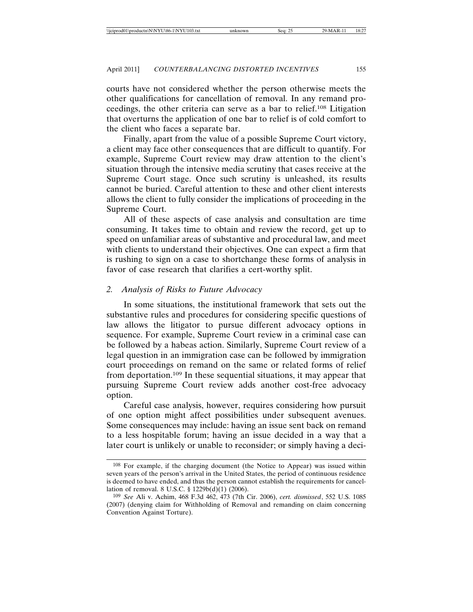courts have not considered whether the person otherwise meets the other qualifications for cancellation of removal. In any remand proceedings, the other criteria can serve as a bar to relief.108 Litigation that overturns the application of one bar to relief is of cold comfort to the client who faces a separate bar.

Finally, apart from the value of a possible Supreme Court victory, a client may face other consequences that are difficult to quantify. For example, Supreme Court review may draw attention to the client's situation through the intensive media scrutiny that cases receive at the Supreme Court stage. Once such scrutiny is unleashed, its results cannot be buried. Careful attention to these and other client interests allows the client to fully consider the implications of proceeding in the Supreme Court.

All of these aspects of case analysis and consultation are time consuming. It takes time to obtain and review the record, get up to speed on unfamiliar areas of substantive and procedural law, and meet with clients to understand their objectives. One can expect a firm that is rushing to sign on a case to shortchange these forms of analysis in favor of case research that clarifies a cert-worthy split.

### *2. Analysis of Risks to Future Advocacy*

In some situations, the institutional framework that sets out the substantive rules and procedures for considering specific questions of law allows the litigator to pursue different advocacy options in sequence. For example, Supreme Court review in a criminal case can be followed by a habeas action. Similarly, Supreme Court review of a legal question in an immigration case can be followed by immigration court proceedings on remand on the same or related forms of relief from deportation.109 In these sequential situations, it may appear that pursuing Supreme Court review adds another cost-free advocacy option.

Careful case analysis, however, requires considering how pursuit of one option might affect possibilities under subsequent avenues. Some consequences may include: having an issue sent back on remand to a less hospitable forum; having an issue decided in a way that a later court is unlikely or unable to reconsider; or simply having a deci-

<sup>108</sup> For example, if the charging document (the Notice to Appear) was issued within seven years of the person's arrival in the United States, the period of continuous residence is deemed to have ended, and thus the person cannot establish the requirements for cancellation of removal. 8 U.S.C. § 1229b(d)(1) (2006).

<sup>109</sup> *See* Ali v. Achim, 468 F.3d 462, 473 (7th Cir. 2006), *cert. dismissed*, 552 U.S. 1085 (2007) (denying claim for Withholding of Removal and remanding on claim concerning Convention Against Torture).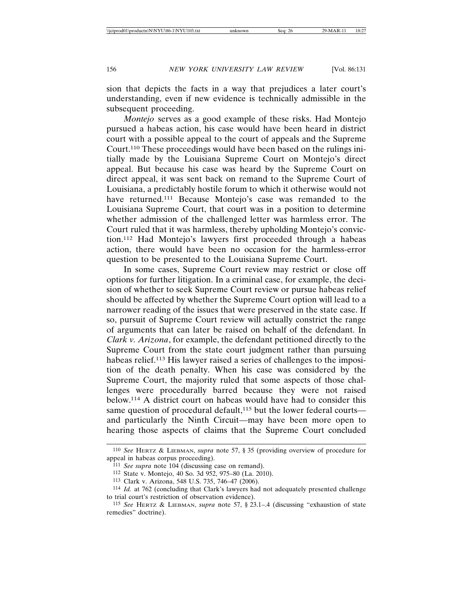sion that depicts the facts in a way that prejudices a later court's understanding, even if new evidence is technically admissible in the subsequent proceeding.

*Montejo* serves as a good example of these risks. Had Montejo pursued a habeas action, his case would have been heard in district court with a possible appeal to the court of appeals and the Supreme Court.110 These proceedings would have been based on the rulings initially made by the Louisiana Supreme Court on Montejo's direct appeal. But because his case was heard by the Supreme Court on direct appeal, it was sent back on remand to the Supreme Court of Louisiana, a predictably hostile forum to which it otherwise would not have returned.<sup>111</sup> Because Montejo's case was remanded to the Louisiana Supreme Court, that court was in a position to determine whether admission of the challenged letter was harmless error. The Court ruled that it was harmless, thereby upholding Montejo's conviction.112 Had Montejo's lawyers first proceeded through a habeas action, there would have been no occasion for the harmless-error question to be presented to the Louisiana Supreme Court.

In some cases, Supreme Court review may restrict or close off options for further litigation. In a criminal case, for example, the decision of whether to seek Supreme Court review or pursue habeas relief should be affected by whether the Supreme Court option will lead to a narrower reading of the issues that were preserved in the state case. If so, pursuit of Supreme Court review will actually constrict the range of arguments that can later be raised on behalf of the defendant. In *Clark v. Arizona*, for example, the defendant petitioned directly to the Supreme Court from the state court judgment rather than pursuing habeas relief.113 His lawyer raised a series of challenges to the imposition of the death penalty. When his case was considered by the Supreme Court, the majority ruled that some aspects of those challenges were procedurally barred because they were not raised below.114 A district court on habeas would have had to consider this same question of procedural default,<sup>115</sup> but the lower federal courts and particularly the Ninth Circuit—may have been more open to hearing those aspects of claims that the Supreme Court concluded

<sup>110</sup> *See* HERTZ & LIEBMAN, *supra* note 57, § 35 (providing overview of procedure for appeal in habeas corpus proceeding).

<sup>111</sup> *See supra* note 104 (discussing case on remand).

<sup>112</sup> State v. Montejo, 40 So. 3d 952, 975–80 (La. 2010).

<sup>113</sup> Clark v. Arizona, 548 U.S. 735, 746–47 (2006).

<sup>114</sup> *Id.* at 762 (concluding that Clark's lawyers had not adequately presented challenge to trial court's restriction of observation evidence).

<sup>115</sup> *See* HERTZ & LIEBMAN, *supra* note 57, § 23.1–.4 (discussing "exhaustion of state remedies" doctrine).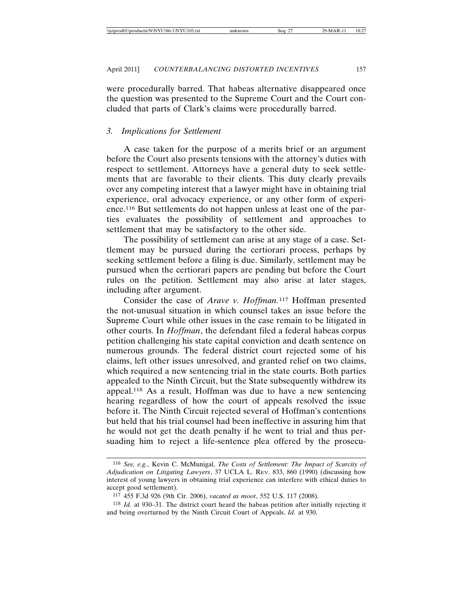were procedurally barred. That habeas alternative disappeared once the question was presented to the Supreme Court and the Court concluded that parts of Clark's claims were procedurally barred.

#### *3. Implications for Settlement*

A case taken for the purpose of a merits brief or an argument before the Court also presents tensions with the attorney's duties with respect to settlement. Attorneys have a general duty to seek settlements that are favorable to their clients. This duty clearly prevails over any competing interest that a lawyer might have in obtaining trial experience, oral advocacy experience, or any other form of experience.116 But settlements do not happen unless at least one of the parties evaluates the possibility of settlement and approaches to settlement that may be satisfactory to the other side.

The possibility of settlement can arise at any stage of a case. Settlement may be pursued during the certiorari process, perhaps by seeking settlement before a filing is due. Similarly, settlement may be pursued when the certiorari papers are pending but before the Court rules on the petition. Settlement may also arise at later stages, including after argument.

Consider the case of *Arave v. Hoffman.*117 Hoffman presented the not-unusual situation in which counsel takes an issue before the Supreme Court while other issues in the case remain to be litigated in other courts. In *Hoffman*, the defendant filed a federal habeas corpus petition challenging his state capital conviction and death sentence on numerous grounds. The federal district court rejected some of his claims, left other issues unresolved, and granted relief on two claims, which required a new sentencing trial in the state courts. Both parties appealed to the Ninth Circuit, but the State subsequently withdrew its appeal.118 As a result, Hoffman was due to have a new sentencing hearing regardless of how the court of appeals resolved the issue before it. The Ninth Circuit rejected several of Hoffman's contentions but held that his trial counsel had been ineffective in assuring him that he would not get the death penalty if he went to trial and thus persuading him to reject a life-sentence plea offered by the prosecu-

<sup>116</sup> *See, e.g.*, Kevin C. McMunigal, *The Costs of Settlement: The Impact of Scarcity of Adjudication on Litigating Lawyers*, 37 UCLA L. REV. 833, 860 (1990) (discussing how interest of young lawyers in obtaining trial experience can interfere with ethical duties to accept good settlement).

<sup>117</sup> 455 F.3d 926 (9th Cir. 2006), *vacated as moot*, 552 U.S. 117 (2008).

<sup>118</sup> *Id.* at 930–31. The district court heard the habeas petition after initially rejecting it and being overturned by the Ninth Circuit Court of Appeals. *Id.* at 930.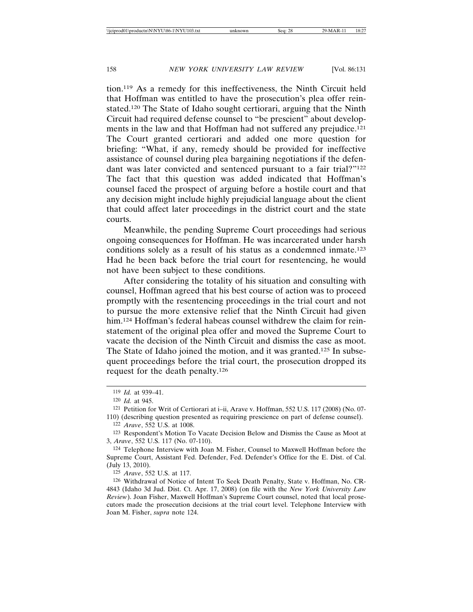tion.119 As a remedy for this ineffectiveness, the Ninth Circuit held that Hoffman was entitled to have the prosecution's plea offer reinstated.120 The State of Idaho sought certiorari, arguing that the Ninth Circuit had required defense counsel to "be prescient" about developments in the law and that Hoffman had not suffered any prejudice.<sup>121</sup> The Court granted certiorari and added one more question for briefing: "What, if any, remedy should be provided for ineffective assistance of counsel during plea bargaining negotiations if the defendant was later convicted and sentenced pursuant to a fair trial?"<sup>122</sup> The fact that this question was added indicated that Hoffman's counsel faced the prospect of arguing before a hostile court and that any decision might include highly prejudicial language about the client that could affect later proceedings in the district court and the state courts.

Meanwhile, the pending Supreme Court proceedings had serious ongoing consequences for Hoffman. He was incarcerated under harsh conditions solely as a result of his status as a condemned inmate.123 Had he been back before the trial court for resentencing, he would not have been subject to these conditions.

After considering the totality of his situation and consulting with counsel, Hoffman agreed that his best course of action was to proceed promptly with the resentencing proceedings in the trial court and not to pursue the more extensive relief that the Ninth Circuit had given him.<sup>124</sup> Hoffman's federal habeas counsel withdrew the claim for reinstatement of the original plea offer and moved the Supreme Court to vacate the decision of the Ninth Circuit and dismiss the case as moot. The State of Idaho joined the motion, and it was granted.125 In subsequent proceedings before the trial court, the prosecution dropped its request for the death penalty.126

124 Telephone Interview with Joan M. Fisher, Counsel to Maxwell Hoffman before the Supreme Court, Assistant Fed. Defender, Fed. Defender's Office for the E. Dist. of Cal. (July 13, 2010).

125 *Arave*, 552 U.S. at 117.

126 Withdrawal of Notice of Intent To Seek Death Penalty, State v. Hoffman, No. CR-4843 (Idaho 3d Jud. Dist. Ct. Apr. 17, 2008) (on file with the *New York University Law Review*). Joan Fisher, Maxwell Hoffman's Supreme Court counsel, noted that local prosecutors made the prosecution decisions at the trial court level. Telephone Interview with Joan M. Fisher, *supra* note 124.

<sup>119</sup> *Id.* at 939–41.

<sup>120</sup> *Id.* at 945.

<sup>121</sup> Petition for Writ of Certiorari at i–ii, Arave v. Hoffman, 552 U.S. 117 (2008) (No. 07- 110) (describing question presented as requiring prescience on part of defense counsel).

<sup>122</sup> *Arave*, 552 U.S. at 1008.

<sup>123</sup> Respondent's Motion To Vacate Decision Below and Dismiss the Cause as Moot at 3, *Arave*, 552 U.S. 117 (No. 07-110).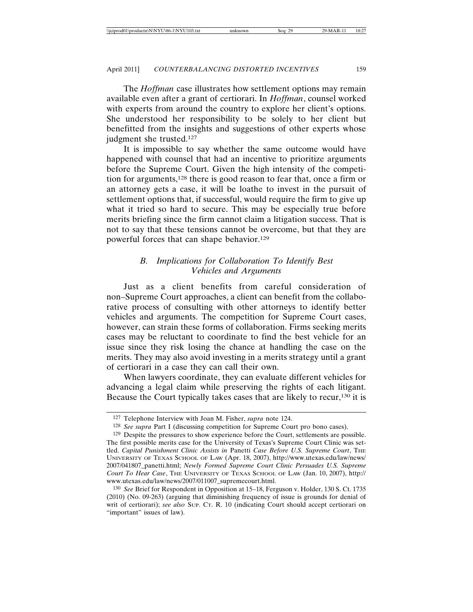The *Hoffman* case illustrates how settlement options may remain available even after a grant of certiorari. In *Hoffman*, counsel worked with experts from around the country to explore her client's options. She understood her responsibility to be solely to her client but benefitted from the insights and suggestions of other experts whose judgment she trusted.127

It is impossible to say whether the same outcome would have happened with counsel that had an incentive to prioritize arguments before the Supreme Court. Given the high intensity of the competition for arguments,128 there is good reason to fear that, once a firm or an attorney gets a case, it will be loathe to invest in the pursuit of settlement options that, if successful, would require the firm to give up what it tried so hard to secure. This may be especially true before merits briefing since the firm cannot claim a litigation success. That is not to say that these tensions cannot be overcome, but that they are powerful forces that can shape behavior.129

# *B. Implications for Collaboration To Identify Best Vehicles and Arguments*

Just as a client benefits from careful consideration of non–Supreme Court approaches, a client can benefit from the collaborative process of consulting with other attorneys to identify better vehicles and arguments. The competition for Supreme Court cases, however, can strain these forms of collaboration. Firms seeking merits cases may be reluctant to coordinate to find the best vehicle for an issue since they risk losing the chance at handling the case on the merits. They may also avoid investing in a merits strategy until a grant of certiorari in a case they can call their own.

When lawyers coordinate, they can evaluate different vehicles for advancing a legal claim while preserving the rights of each litigant. Because the Court typically takes cases that are likely to recur,130 it is

<sup>127</sup> Telephone Interview with Joan M. Fisher, *supra* note 124.

<sup>128</sup> *See supra* Part I (discussing competition for Supreme Court pro bono cases).

<sup>129</sup> Despite the pressures to show experience before the Court, settlements are possible. The first possible merits case for the University of Texas's Supreme Court Clinic was settled. *Capital Punishment Clinic Assists in* Panetti *Case Before U.S. Supreme Court*, THE UNIVERSITY OF TEXAS SCHOOL OF LAW (Apr. 18, 2007), http://www.utexas.edu/law/news/ 2007/041807\_panetti.html; *Newly Formed Supreme Court Clinic Persuades U.S. Supreme Court To Hear Case*, THE UNIVERSITY OF TEXAS SCHOOL OF LAW (Jan. 10, 2007), http:// www.utexas.edu/law/news/2007/011007\_supremecourt.html.

<sup>130</sup> *See* Brief for Respondent in Opposition at 15–18, Ferguson v. Holder, 130 S. Ct. 1735 (2010) (No. 09-263) (arguing that diminishing frequency of issue is grounds for denial of writ of certiorari); *see also* SUP. CT. R. 10 (indicating Court should accept certiorari on "important" issues of law).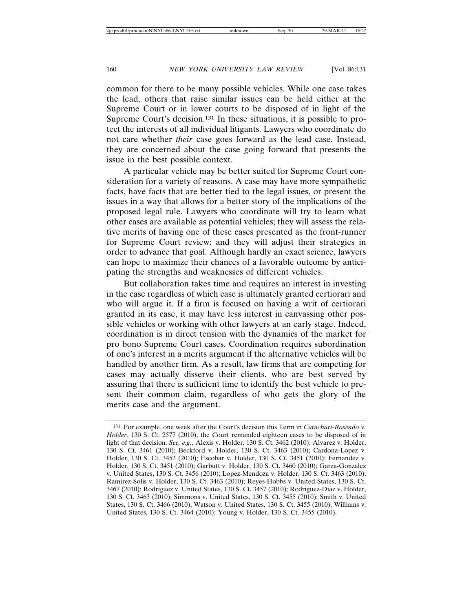common for there to be many possible vehicles. While one case takes the lead, others that raise similar issues can be held either at the Supreme Court or in lower courts to be disposed of in light of the Supreme Court's decision.<sup>131</sup> In these situations, it is possible to protect the interests of all individual litigants. Lawyers who coordinate do not care whether *their* case goes forward as the lead case. Instead, they are concerned about the case going forward that presents the issue in the best possible context.

A particular vehicle may be better suited for Supreme Court consideration for a variety of reasons. A case may have more sympathetic facts, have facts that are better tied to the legal issues, or present the issues in a way that allows for a better story of the implications of the proposed legal rule. Lawyers who coordinate will try to learn what other cases are available as potential vehicles; they will assess the relative merits of having one of these cases presented as the front-runner for Supreme Court review; and they will adjust their strategies in order to advance that goal. Although hardly an exact science, lawyers can hope to maximize their chances of a favorable outcome by anticipating the strengths and weaknesses of different vehicles.

But collaboration takes time and requires an interest in investing in the case regardless of which case is ultimately granted certiorari and who will argue it. If a firm is focused on having a writ of certiorari granted in its case, it may have less interest in canvassing other possible vehicles or working with other lawyers at an early stage. Indeed, coordination is in direct tension with the dynamics of the market for pro bono Supreme Court cases. Coordination requires subordination of one's interest in a merits argument if the alternative vehicles will be handled by another firm. As a result, law firms that are competing for cases may actually disserve their clients, who are best served by assuring that there is sufficient time to identify the best vehicle to present their common claim, regardless of who gets the glory of the merits case and the argument.

<sup>131</sup> For example, one week after the Court's decision this Term in *Carachuri-Rosendo v. Holder*, 130 S. Ct. 2577 (2010), the Court remanded eighteen cases to be disposed of in light of that decision. *See, e.g.*, Alexis v. Holder, 130 S. Ct. 3462 (2010); Alvarez v. Holder, 130 S. Ct. 3461 (2010); Beckford v. Holder, 130 S. Ct. 3463 (2010); Cardona-Lopez v. Holder, 130 S. Ct. 3452 (2010); Escobar v. Holder, 130 S. Ct. 3451 (2010); Fernandez v. Holder, 130 S. Ct. 3451 (2010); Garbutt v. Holder, 130 S. Ct. 3460 (2010); Garza-Gonzalez v. United States, 130 S. Ct. 3456 (2010); Lopez-Mendoza v. Holder, 130 S. Ct. 3463 (2010); Ramirez-Solis v. Holder, 130 S. Ct. 3463 (2010); Reyes-Hobbs v. United States, 130 S. Ct. 3467 (2010); Rodriguez v. United States, 130 S. Ct. 3457 (2010); Rodriguez-Diaz v. Holder, 130 S. Ct. 3463 (2010); Simmons v. United States, 130 S. Ct. 3455 (2010); Smith v. United States, 130 S. Ct. 3466 (2010); Watson v. United States, 130 S. Ct. 3455 (2010); Williams v. United States, 130 S. Ct. 3464 (2010); Young v. Holder, 130 S. Ct. 3455 (2010).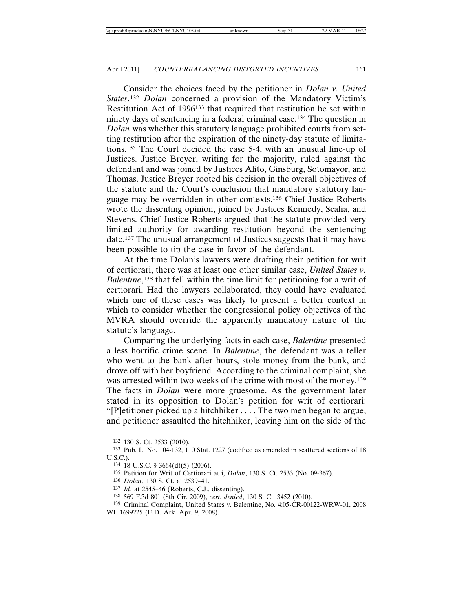Consider the choices faced by the petitioner in *Dolan v. United States*. <sup>132</sup> *Dolan* concerned a provision of the Mandatory Victim's Restitution Act of 1996133 that required that restitution be set within ninety days of sentencing in a federal criminal case.134 The question in *Dolan* was whether this statutory language prohibited courts from setting restitution after the expiration of the ninety-day statute of limitations.135 The Court decided the case 5-4, with an unusual line-up of Justices. Justice Breyer, writing for the majority, ruled against the defendant and was joined by Justices Alito, Ginsburg, Sotomayor, and Thomas. Justice Breyer rooted his decision in the overall objectives of the statute and the Court's conclusion that mandatory statutory language may be overridden in other contexts.136 Chief Justice Roberts wrote the dissenting opinion, joined by Justices Kennedy, Scalia, and Stevens. Chief Justice Roberts argued that the statute provided very limited authority for awarding restitution beyond the sentencing date.137 The unusual arrangement of Justices suggests that it may have been possible to tip the case in favor of the defendant.

At the time Dolan's lawyers were drafting their petition for writ of certiorari, there was at least one other similar case, *United States v. Balentine*, 138 that fell within the time limit for petitioning for a writ of certiorari. Had the lawyers collaborated, they could have evaluated which one of these cases was likely to present a better context in which to consider whether the congressional policy objectives of the MVRA should override the apparently mandatory nature of the statute's language.

Comparing the underlying facts in each case, *Balentine* presented a less horrific crime scene. In *Balentine*, the defendant was a teller who went to the bank after hours, stole money from the bank, and drove off with her boyfriend. According to the criminal complaint, she was arrested within two weeks of the crime with most of the money.<sup>139</sup> The facts in *Dolan* were more gruesome. As the government later stated in its opposition to Dolan's petition for writ of certiorari: "[P]etitioner picked up a hitchhiker . . . . The two men began to argue, and petitioner assaulted the hitchhiker, leaving him on the side of the

<sup>132</sup> 130 S. Ct. 2533 (2010).

<sup>133</sup> Pub. L. No. 104-132, 110 Stat. 1227 (codified as amended in scattered sections of 18 U.S.C.).

<sup>134</sup> 18 U.S.C. § 3664(d)(5) (2006).

<sup>135</sup> Petition for Writ of Certiorari at i, *Dolan*, 130 S. Ct. 2533 (No. 09-367).

<sup>136</sup> *Dolan*, 130 S. Ct. at 2539–41.

<sup>137</sup> *Id.* at 2545–46 (Roberts, C.J., dissenting).

<sup>138</sup> 569 F.3d 801 (8th Cir. 2009), *cert. denied*, 130 S. Ct. 3452 (2010).

<sup>139</sup> Criminal Complaint, United States v. Balentine, No. 4:05-CR-00122-WRW-01, 2008 WL 1699225 (E.D. Ark. Apr. 9, 2008).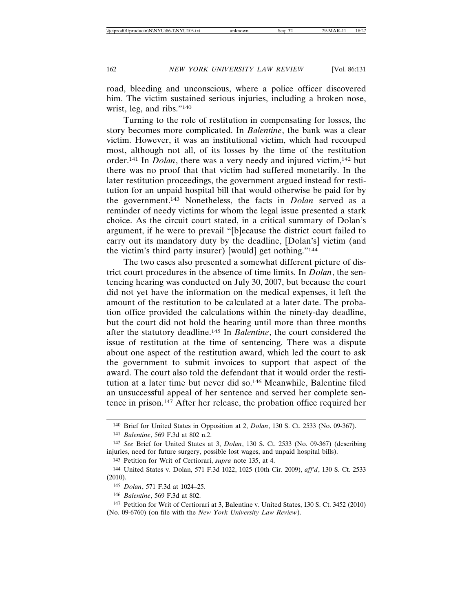road, bleeding and unconscious, where a police officer discovered him. The victim sustained serious injuries, including a broken nose, wrist, leg, and ribs."140

Turning to the role of restitution in compensating for losses, the story becomes more complicated. In *Balentine*, the bank was a clear victim. However, it was an institutional victim, which had recouped most, although not all, of its losses by the time of the restitution order.141 In *Dolan*, there was a very needy and injured victim,142 but there was no proof that that victim had suffered monetarily. In the later restitution proceedings, the government argued instead for restitution for an unpaid hospital bill that would otherwise be paid for by the government.143 Nonetheless, the facts in *Dolan* served as a reminder of needy victims for whom the legal issue presented a stark choice. As the circuit court stated, in a critical summary of Dolan's argument, if he were to prevail "[b]ecause the district court failed to carry out its mandatory duty by the deadline, [Dolan's] victim (and the victim's third party insurer) [would] get nothing."144

The two cases also presented a somewhat different picture of district court procedures in the absence of time limits. In *Dolan*, the sentencing hearing was conducted on July 30, 2007, but because the court did not yet have the information on the medical expenses, it left the amount of the restitution to be calculated at a later date. The probation office provided the calculations within the ninety-day deadline, but the court did not hold the hearing until more than three months after the statutory deadline.145 In *Balentine*, the court considered the issue of restitution at the time of sentencing. There was a dispute about one aspect of the restitution award, which led the court to ask the government to submit invoices to support that aspect of the award. The court also told the defendant that it would order the restitution at a later time but never did so.146 Meanwhile, Balentine filed an unsuccessful appeal of her sentence and served her complete sentence in prison.147 After her release, the probation office required her

<sup>140</sup> Brief for United States in Opposition at 2, *Dolan*, 130 S. Ct. 2533 (No. 09-367).

<sup>141</sup> *Balentine*, 569 F.3d at 802 n.2.

<sup>142</sup> *See* Brief for United States at 3, *Dolan*, 130 S. Ct. 2533 (No. 09-367) (describing injuries, need for future surgery, possible lost wages, and unpaid hospital bills).

<sup>143</sup> Petition for Writ of Certiorari, *supra* note 135, at 4.

<sup>144</sup> United States v. Dolan, 571 F.3d 1022, 1025 (10th Cir. 2009), *aff'd*, 130 S. Ct. 2533 (2010).

<sup>145</sup> *Dolan*, 571 F.3d at 1024–25.

<sup>146</sup> *Balentine*, 569 F.3d at 802.

<sup>147</sup> Petition for Writ of Certiorari at 3, Balentine v. United States, 130 S. Ct. 3452 (2010) (No. 09-6760) (on file with the *New York University Law Review*).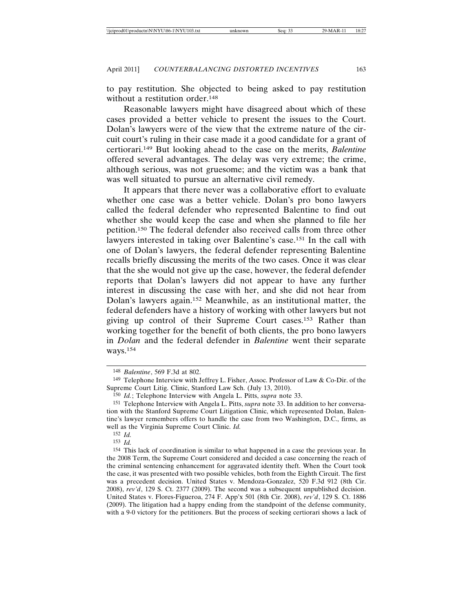to pay restitution. She objected to being asked to pay restitution without a restitution order.<sup>148</sup>

Reasonable lawyers might have disagreed about which of these cases provided a better vehicle to present the issues to the Court. Dolan's lawyers were of the view that the extreme nature of the circuit court's ruling in their case made it a good candidate for a grant of certiorari.149 But looking ahead to the case on the merits, *Balentine* offered several advantages. The delay was very extreme; the crime, although serious, was not gruesome; and the victim was a bank that was well situated to pursue an alternative civil remedy.

It appears that there never was a collaborative effort to evaluate whether one case was a better vehicle. Dolan's pro bono lawyers called the federal defender who represented Balentine to find out whether she would keep the case and when she planned to file her petition.150 The federal defender also received calls from three other lawyers interested in taking over Balentine's case.151 In the call with one of Dolan's lawyers, the federal defender representing Balentine recalls briefly discussing the merits of the two cases. Once it was clear that the she would not give up the case, however, the federal defender reports that Dolan's lawyers did not appear to have any further interest in discussing the case with her, and she did not hear from Dolan's lawyers again.152 Meanwhile, as an institutional matter, the federal defenders have a history of working with other lawyers but not giving up control of their Supreme Court cases.153 Rather than working together for the benefit of both clients, the pro bono lawyers in *Dolan* and the federal defender in *Balentine* went their separate ways.154

<sup>148</sup> *Balentine*, 569 F.3d at 802.

<sup>149</sup> Telephone Interview with Jeffrey L. Fisher, Assoc. Professor of Law & Co-Dir. of the Supreme Court Litig. Clinic, Stanford Law Sch. (July 13, 2010).

<sup>150</sup> *Id.*; Telephone Interview with Angela L. Pitts, *supra* note 33.

<sup>151</sup> Telephone Interview with Angela L. Pitts, *supra* note 33. In addition to her conversation with the Stanford Supreme Court Litigation Clinic, which represented Dolan, Balentine's lawyer remembers offers to handle the case from two Washington, D.C., firms, as well as the Virginia Supreme Court Clinic. *Id.*

<sup>152</sup> *Id.* 153 *Id.*

<sup>154</sup> This lack of coordination is similar to what happened in a case the previous year. In the 2008 Term, the Supreme Court considered and decided a case concerning the reach of the criminal sentencing enhancement for aggravated identity theft. When the Court took the case, it was presented with two possible vehicles, both from the Eighth Circuit. The first was a precedent decision. United States v. Mendoza-Gonzalez, 520 F.3d 912 (8th Cir. 2008), *rev'd*, 129 S. Ct. 2377 (2009). The second was a subsequent unpublished decision. United States v. Flores-Figueroa, 274 F. App'x 501 (8th Cir. 2008), *rev'd*, 129 S. Ct. 1886 (2009). The litigation had a happy ending from the standpoint of the defense community, with a 9-0 victory for the petitioners. But the process of seeking certiorari shows a lack of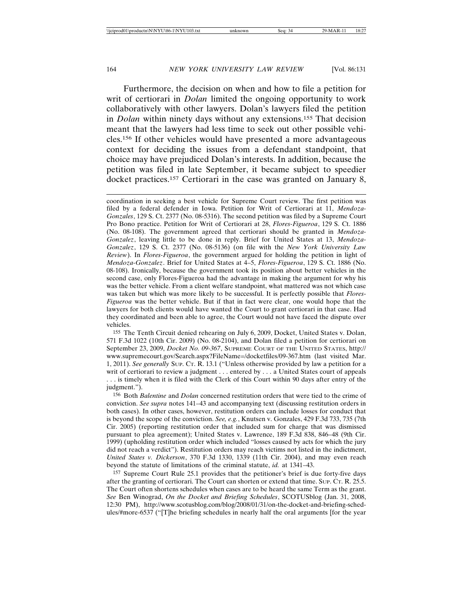Furthermore, the decision on when and how to file a petition for writ of certiorari in *Dolan* limited the ongoing opportunity to work collaboratively with other lawyers. Dolan's lawyers filed the petition in *Dolan* within ninety days without any extensions.155 That decision meant that the lawyers had less time to seek out other possible vehicles.156 If other vehicles would have presented a more advantageous context for deciding the issues from a defendant standpoint, that choice may have prejudiced Dolan's interests. In addition, because the petition was filed in late September, it became subject to speedier docket practices.157 Certiorari in the case was granted on January 8,

coordination in seeking a best vehicle for Supreme Court review. The first petition was filed by a federal defender in Iowa. Petition for Writ of Certiorari at 11, *Mendoza-Gonzales*, 129 S. Ct. 2377 (No. 08-5316). The second petition was filed by a Supreme Court Pro Bono practice. Petition for Writ of Certiorari at 28, *Flores-Figueroa*, 129 S. Ct. 1886 (No. 08-108). The government agreed that certiorari should be granted in *Mendoza-Gonzalez*, leaving little to be done in reply. Brief for United States at 13, *Mendoza-Gonzalez*, 129 S. Ct. 2377 (No. 08-5136) (on file with the *New York University Law Review*). In *Flores-Figueroa*, the government argued for holding the petition in light of *Mendoza-Gonzalez*. Brief for United States at 4–5, *Flores-Figueroa*, 129 S. Ct. 1886 (No. 08-108). Ironically, because the government took its position about better vehicles in the second case, only Flores-Figueroa had the advantage in making the argument for why his was the better vehicle. From a client welfare standpoint, what mattered was not which case was taken but which was more likely to be successful. It is perfectly possible that *Flores-Figueroa* was the better vehicle. But if that in fact were clear, one would hope that the lawyers for both clients would have wanted the Court to grant certiorari in that case. Had they coordinated and been able to agree, the Court would not have faced the dispute over vehicles.

155 The Tenth Circuit denied rehearing on July 6, 2009, Docket, United States v. Dolan, 571 F.3d 1022 (10th Cir. 2009) (No. 08-2104), and Dolan filed a petition for certiorari on September 23, 2009, *Docket No. 09-367*, SUPREME COURT OF THE UNITED STATES, http:// www.supremecourt.gov/Search.aspx?FileName=/docketfiles/09-367.htm (last visited Mar. 1, 2011). *See generally* SUP. CT. R. 13.1 ("Unless otherwise provided by law a petition for a writ of certiorari to review a judgment . . . entered by . . . a United States court of appeals . . . is timely when it is filed with the Clerk of this Court within 90 days after entry of the judgment.").

156 Both *Balentine* and *Dolan* concerned restitution orders that were tied to the crime of conviction. *See supra* notes 141–43 and accompanying text (discussing restitution orders in both cases). In other cases, however, restitution orders can include losses for conduct that is beyond the scope of the conviction. *See, e.g.*, Knutsen v. Gonzales, 429 F.3d 733, 735 (7th Cir. 2005) (reporting restitution order that included sum for charge that was dismissed pursuant to plea agreement); United States v. Lawrence, 189 F.3d 838, 846–48 (9th Cir. 1999) (upholding restitution order which included "losses caused by acts for which the jury did not reach a verdict"). Restitution orders may reach victims not listed in the indictment, *United States v. Dickerson*, 370 F.3d 1330, 1339 (11th Cir. 2004), and may even reach beyond the statute of limitations of the criminal statute, *id.* at 1341–43.

157 Supreme Court Rule 25.1 provides that the petitioner's brief is due forty-five days after the granting of certiorari. The Court can shorten or extend that time. SUP. CT. R. 25.5. The Court often shortens schedules when cases are to be heard the same Term as the grant. *See* Ben Winograd, *On the Docket and Briefing Schedules*, SCOTUSblog (Jan. 31, 2008, 12:30 PM), http://www.scotusblog.com/blog/2008/01/31/on-the-docket-and-briefing-schedules/#more-6537 ("[T]he briefing schedules in nearly half the oral arguments [for the year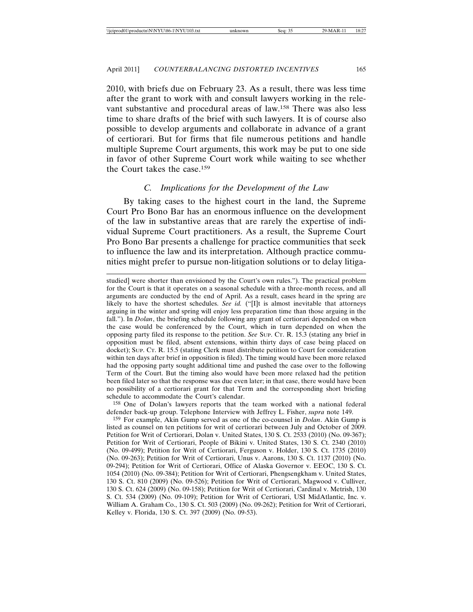2010, with briefs due on February 23. As a result, there was less time after the grant to work with and consult lawyers working in the relevant substantive and procedural areas of law.158 There was also less time to share drafts of the brief with such lawyers. It is of course also possible to develop arguments and collaborate in advance of a grant of certiorari. But for firms that file numerous petitions and handle multiple Supreme Court arguments, this work may be put to one side in favor of other Supreme Court work while waiting to see whether the Court takes the case.159

#### *C. Implications for the Development of the Law*

By taking cases to the highest court in the land, the Supreme Court Pro Bono Bar has an enormous influence on the development of the law in substantive areas that are rarely the expertise of individual Supreme Court practitioners. As a result, the Supreme Court Pro Bono Bar presents a challenge for practice communities that seek to influence the law and its interpretation. Although practice communities might prefer to pursue non-litigation solutions or to delay litiga-

studied] were shorter than envisioned by the Court's own rules."). The practical problem for the Court is that it operates on a seasonal schedule with a three-month recess, and all arguments are conducted by the end of April. As a result, cases heard in the spring are likely to have the shortest schedules. *See id.* ("[I]t is almost inevitable that attorneys arguing in the winter and spring will enjoy less preparation time than those arguing in the fall."). In *Dolan*, the briefing schedule following any grant of certiorari depended on when the case would be conferenced by the Court, which in turn depended on when the opposing party filed its response to the petition. *See* SUP. CT. R. 15.3 (stating any brief in opposition must be filed, absent extensions, within thirty days of case being placed on docket); SUP. CT. R. 15.5 (stating Clerk must distribute petition to Court for consideration within ten days after brief in opposition is filed). The timing would have been more relaxed had the opposing party sought additional time and pushed the case over to the following Term of the Court. But the timing also would have been more relaxed had the petition been filed later so that the response was due even later; in that case, there would have been no possibility of a certiorari grant for that Term and the corresponding short briefing schedule to accommodate the Court's calendar.

158 One of Dolan's lawyers reports that the team worked with a national federal defender back-up group. Telephone Interview with Jeffrey L. Fisher, *supra* note 149.

159 For example, Akin Gump served as one of the co-counsel in *Dolan*. Akin Gump is listed as counsel on ten petitions for writ of certiorari between July and October of 2009. Petition for Writ of Certiorari, Dolan v. United States, 130 S. Ct. 2533 (2010) (No. 09-367); Petition for Writ of Certiorari, People of Bikini v. United States, 130 S. Ct. 2340 (2010) (No. 09-499); Petition for Writ of Certiorari, Ferguson v. Holder, 130 S. Ct. 1735 (2010) (No. 09-263); Petition for Writ of Certiorari, Unus v. Aarons, 130 S. Ct. 1137 (2010) (No. 09-294); Petition for Writ of Certiorari, Office of Alaska Governor v. EEOC, 130 S. Ct. 1054 (2010) (No. 09-384); Petition for Writ of Certiorari, Phengsengkham v. United States, 130 S. Ct. 810 (2009) (No. 09-526); Petition for Writ of Certiorari, Magwood v. Culliver, 130 S. Ct. 624 (2009) (No. 09-158); Petition for Writ of Certiorari, Cardinal v. Metrish, 130 S. Ct. 534 (2009) (No. 09-109); Petition for Writ of Certiorari, USI MidAtlantic, Inc. v. William A. Graham Co., 130 S. Ct. 503 (2009) (No. 09-262); Petition for Writ of Certiorari, Kelley v. Florida, 130 S. Ct. 397 (2009) (No. 09-53).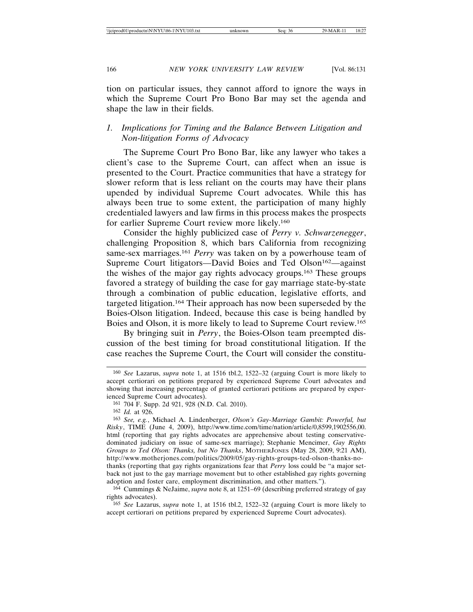tion on particular issues, they cannot afford to ignore the ways in which the Supreme Court Pro Bono Bar may set the agenda and shape the law in their fields.

### *1. Implications for Timing and the Balance Between Litigation and Non-litigation Forms of Advocacy*

The Supreme Court Pro Bono Bar, like any lawyer who takes a client's case to the Supreme Court, can affect when an issue is presented to the Court. Practice communities that have a strategy for slower reform that is less reliant on the courts may have their plans upended by individual Supreme Court advocates. While this has always been true to some extent, the participation of many highly credentialed lawyers and law firms in this process makes the prospects for earlier Supreme Court review more likely.160

Consider the highly publicized case of *Perry v. Schwarzenegger*, challenging Proposition 8, which bars California from recognizing same-sex marriages.161 *Perry* was taken on by a powerhouse team of Supreme Court litigators—David Boies and Ted Olson<sup>162</sup>—against the wishes of the major gay rights advocacy groups.163 These groups favored a strategy of building the case for gay marriage state-by-state through a combination of public education, legislative efforts, and targeted litigation.164 Their approach has now been superseded by the Boies-Olson litigation. Indeed, because this case is being handled by Boies and Olson, it is more likely to lead to Supreme Court review.165

By bringing suit in *Perry*, the Boies-Olson team preempted discussion of the best timing for broad constitutional litigation. If the case reaches the Supreme Court, the Court will consider the constitu-

164 Cummings & NeJaime, *supra* note 8, at 1251–69 (describing preferred strategy of gay rights advocates).

<sup>160</sup> *See* Lazarus, *supra* note 1, at 1516 tbl.2, 1522–32 (arguing Court is more likely to accept certiorari on petitions prepared by experienced Supreme Court advocates and showing that increasing percentage of granted certiorari petitions are prepared by experienced Supreme Court advocates).

<sup>161</sup> 704 F. Supp. 2d 921, 928 (N.D. Cal. 2010).

<sup>162</sup> *Id.* at 926.

<sup>163</sup> *See, e.g.*, Michael A. Lindenberger, *Olson's Gay-Marriage Gambit: Powerful, but Risky*, TIME (June 4, 2009), http://www.time.com/time/nation/article/0,8599,1902556,00. html (reporting that gay rights advocates are apprehensive about testing conservativedominated judiciary on issue of same-sex marriage); Stephanie Mencimer, *Gay Rights Groups to Ted Olson: Thanks, but No Thanks*, MOTHERJONES (May 28, 2009, 9:21 AM), http://www.motherjones.com/politics/2009/05/gay-rights-groups-ted-olson-thanks-nothanks (reporting that gay rights organizations fear that *Perry* loss could be "a major setback not just to the gay marriage movement but to other established gay rights governing adoption and foster care, employment discrimination, and other matters.").

<sup>165</sup> *See* Lazarus, *supra* note 1, at 1516 tbl.2, 1522–32 (arguing Court is more likely to accept certiorari on petitions prepared by experienced Supreme Court advocates).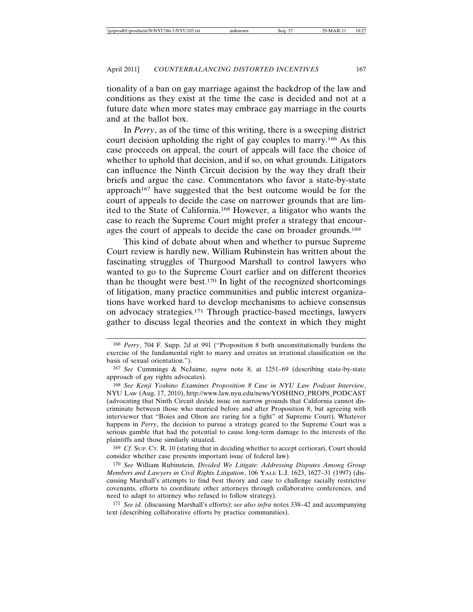tionality of a ban on gay marriage against the backdrop of the law and conditions as they exist at the time the case is decided and not at a future date when more states may embrace gay marriage in the courts and at the ballot box.

In *Perry*, as of the time of this writing, there is a sweeping district court decision upholding the right of gay couples to marry.166 As this case proceeds on appeal, the court of appeals will face the choice of whether to uphold that decision, and if so, on what grounds. Litigators can influence the Ninth Circuit decision by the way they draft their briefs and argue the case. Commentators who favor a state-by-state approach167 have suggested that the best outcome would be for the court of appeals to decide the case on narrower grounds that are limited to the State of California.168 However, a litigator who wants the case to reach the Supreme Court might prefer a strategy that encourages the court of appeals to decide the case on broader grounds.169

This kind of debate about when and whether to pursue Supreme Court review is hardly new. William Rubinstein has written about the fascinating struggles of Thurgood Marshall to control lawyers who wanted to go to the Supreme Court earlier and on different theories than he thought were best.170 In light of the recognized shortcomings of litigation, many practice communities and public interest organizations have worked hard to develop mechanisms to achieve consensus on advocacy strategies.171 Through practice-based meetings, lawyers gather to discuss legal theories and the context in which they might

169 *Cf.* SUP. CT. R. 10 (stating that in deciding whether to accept certiorari, Court should consider whether case presents important issue of federal law).

170 *See* William Rubinstein, *Divided We Litigate: Addressing Disputes Among Group Members and Lawyers in Civil Rights Litigation*, 106 YALE L.J. 1623, 1627–31 (1997) (discussing Marshall's attempts to find best theory and case to challenge racially restrictive covenants, efforts to coordinate other attorneys through collaborative conferences, and need to adapt to attorney who refused to follow strategy).

171 *See id.* (discussing Marshall's efforts); *see also infra* notes 338–42 and accompanying text (describing collaborative efforts by practice communities).

<sup>166</sup> *Perry*, 704 F. Supp. 2d at 991 ("Proposition 8 both unconstitutionally burdens the exercise of the fundamental right to marry and creates an irrational classification on the basis of sexual orientation.").

<sup>167</sup> *See* Cummings & NeJaime, *supra* note 8, at 1251–69 (describing state-by-state approach of gay rights advocates).

<sup>168</sup> *See Kenji Yoshino Examines Proposition 8 Case in NYU Law Podcast Interview*, NYU LAW (Aug. 17, 2010), http://www.law.nyu.edu/news/YOSHINO\_PROP8\_PODCAST (advocating that Ninth Circuit decide issue on narrow grounds that California cannot discriminate between those who married before and after Proposition 8, but agreeing with interviewer that "Boies and Olson are raring for a fight" at Supreme Court). Whatever happens in *Perry*, the decision to pursue a strategy geared to the Supreme Court was a serious gamble that had the potential to cause long-term damage to the interests of the plaintiffs and those similarly situated.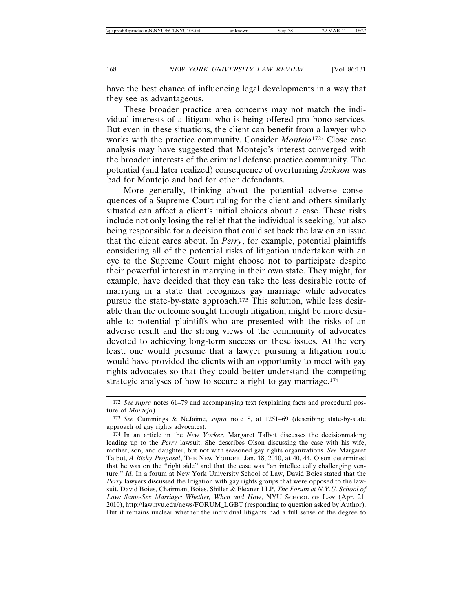have the best chance of influencing legal developments in a way that they see as advantageous.

These broader practice area concerns may not match the individual interests of a litigant who is being offered pro bono services. But even in these situations, the client can benefit from a lawyer who works with the practice community. Consider *Montejo*172: Close case analysis may have suggested that Montejo's interest converged with the broader interests of the criminal defense practice community. The potential (and later realized) consequence of overturning *Jackson* was bad for Montejo and bad for other defendants.

More generally, thinking about the potential adverse consequences of a Supreme Court ruling for the client and others similarly situated can affect a client's initial choices about a case. These risks include not only losing the relief that the individual is seeking, but also being responsible for a decision that could set back the law on an issue that the client cares about. In *Perry*, for example, potential plaintiffs considering all of the potential risks of litigation undertaken with an eye to the Supreme Court might choose not to participate despite their powerful interest in marrying in their own state. They might, for example, have decided that they can take the less desirable route of marrying in a state that recognizes gay marriage while advocates pursue the state-by-state approach.173 This solution, while less desirable than the outcome sought through litigation, might be more desirable to potential plaintiffs who are presented with the risks of an adverse result and the strong views of the community of advocates devoted to achieving long-term success on these issues. At the very least, one would presume that a lawyer pursuing a litigation route would have provided the clients with an opportunity to meet with gay rights advocates so that they could better understand the competing strategic analyses of how to secure a right to gay marriage.174

<sup>172</sup> *See supra* notes 61–79 and accompanying text (explaining facts and procedural posture of *Montejo*).

<sup>173</sup> *See* Cummings & NeJaime, *supra* note 8, at 1251–69 (describing state-by-state approach of gay rights advocates).

<sup>174</sup> In an article in the *New Yorker*, Margaret Talbot discusses the decisionmaking leading up to the *Perry* lawsuit. She describes Olson discussing the case with his wife, mother, son, and daughter, but not with seasoned gay rights organizations. *See* Margaret Talbot, *A Risky Proposal*, THE NEW YORKER, Jan. 18, 2010, at 40, 44. Olson determined that he was on the "right side" and that the case was "an intellectually challenging venture." *Id.* In a forum at New York University School of Law, David Boies stated that the *Perry* lawyers discussed the litigation with gay rights groups that were opposed to the lawsuit. David Boies, Chairman, Boies, Shiller & Flexner LLP, *The Forum at N.Y.U. School of Law: Same-Sex Marriage: Whether, When and How*, NYU SCHOOL OF LAW (Apr. 21, 2010), http://law.nyu.edu/news/FORUM\_LGBT (responding to question asked by Author). But it remains unclear whether the individual litigants had a full sense of the degree to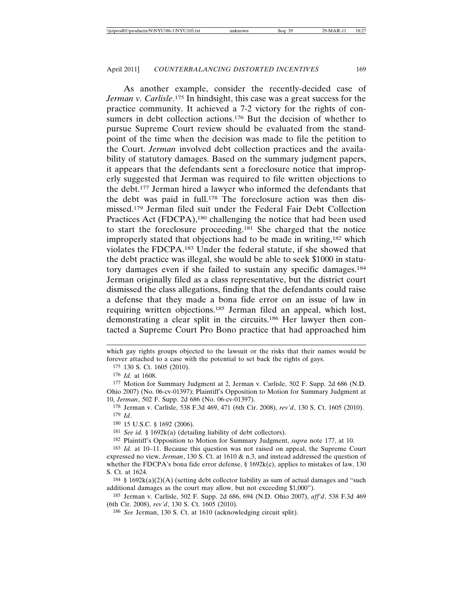As another example, consider the recently-decided case of *Jerman v. Carlisle*. 175 In hindsight, this case was a great success for the practice community. It achieved a 7-2 victory for the rights of consumers in debt collection actions.<sup>176</sup> But the decision of whether to pursue Supreme Court review should be evaluated from the standpoint of the time when the decision was made to file the petition to the Court. *Jerman* involved debt collection practices and the availability of statutory damages. Based on the summary judgment papers, it appears that the defendants sent a foreclosure notice that improperly suggested that Jerman was required to file written objections to the debt.177 Jerman hired a lawyer who informed the defendants that the debt was paid in full.178 The foreclosure action was then dismissed.179 Jerman filed suit under the Federal Fair Debt Collection Practices Act (FDCPA),<sup>180</sup> challenging the notice that had been used to start the foreclosure proceeding.181 She charged that the notice improperly stated that objections had to be made in writing,182 which violates the FDCPA.183 Under the federal statute, if she showed that the debt practice was illegal, she would be able to seek \$1000 in statutory damages even if she failed to sustain any specific damages.184 Jerman originally filed as a class representative, but the district court dismissed the class allegations, finding that the defendants could raise a defense that they made a bona fide error on an issue of law in requiring written objections.185 Jerman filed an appeal, which lost, demonstrating a clear split in the circuits.186 Her lawyer then contacted a Supreme Court Pro Bono practice that had approached him

which gay rights groups objected to the lawsuit or the risks that their names would be forever attached to a case with the potential to set back the rights of gays.

177 Motion for Summary Judgment at 2, Jerman v. Carlisle, 502 F. Supp. 2d 686 (N.D. Ohio 2007) (No. 06-cv-01397); Plaintiff's Opposition to Motion for Summary Judgment at 10, *Jerman*, 502 F. Supp. 2d 686 (No. 06-cv-01397).

178 Jerman v. Carlisle, 538 F.3d 469, 471 (6th Cir. 2008), *rev'd*, 130 S. Ct. 1605 (2010). 179 *Id*.

180 15 U.S.C. § 1692 (2006).

181 *See id.* § 1692k(a) (detailing liability of debt collectors).

182 Plaintiff's Opposition to Motion for Summary Judgment, *supra* note 177, at 10.

183 *Id.* at 10–11. Because this question was not raised on appeal, the Supreme Court expressed no view, *Jerman*, 130 S. Ct. at 1610 & n.3, and instead addressed the question of whether the FDCPA's bona fide error defense,  $\S$  1692k(c), applies to mistakes of law, 130 S. Ct. at 1624.

 $184 \text{ }\frac{8}{3} 1692k(a)(2)(A)$  (setting debt collector liability as sum of actual damages and "such additional damages as the court may allow, but not exceeding \$1,000").

185 Jerman v. Carlisle, 502 F. Supp. 2d 686, 694 (N.D. Ohio 2007), *aff'd*, 538 F.3d 469 (6th Cir. 2008), *rev'd*, 130 S. Ct. 1605 (2010).

186 *See* Jerman, 130 S. Ct. at 1610 (acknowledging circuit split).

<sup>175</sup> 130 S. Ct. 1605 (2010).

<sup>176</sup> *Id.* at 1608.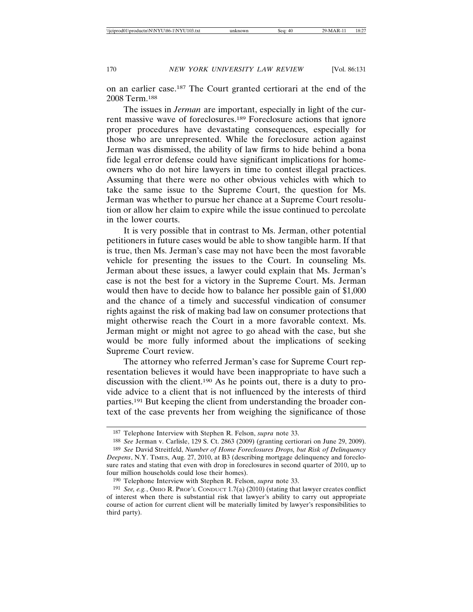on an earlier case.187 The Court granted certiorari at the end of the 2008 Term.188

The issues in *Jerman* are important, especially in light of the current massive wave of foreclosures.189 Foreclosure actions that ignore proper procedures have devastating consequences, especially for those who are unrepresented. While the foreclosure action against Jerman was dismissed, the ability of law firms to hide behind a bona fide legal error defense could have significant implications for homeowners who do not hire lawyers in time to contest illegal practices. Assuming that there were no other obvious vehicles with which to take the same issue to the Supreme Court, the question for Ms. Jerman was whether to pursue her chance at a Supreme Court resolution or allow her claim to expire while the issue continued to percolate in the lower courts.

It is very possible that in contrast to Ms. Jerman, other potential petitioners in future cases would be able to show tangible harm. If that is true, then Ms. Jerman's case may not have been the most favorable vehicle for presenting the issues to the Court. In counseling Ms. Jerman about these issues, a lawyer could explain that Ms. Jerman's case is not the best for a victory in the Supreme Court. Ms. Jerman would then have to decide how to balance her possible gain of \$1,000 and the chance of a timely and successful vindication of consumer rights against the risk of making bad law on consumer protections that might otherwise reach the Court in a more favorable context. Ms. Jerman might or might not agree to go ahead with the case, but she would be more fully informed about the implications of seeking Supreme Court review.

The attorney who referred Jerman's case for Supreme Court representation believes it would have been inappropriate to have such a discussion with the client.190 As he points out, there is a duty to provide advice to a client that is not influenced by the interests of third parties.191 But keeping the client from understanding the broader context of the case prevents her from weighing the significance of those

<sup>187</sup> Telephone Interview with Stephen R. Felson, *supra* note 33.

<sup>188</sup> *See* Jerman v. Carlisle, 129 S. Ct. 2863 (2009) (granting certiorari on June 29, 2009).

<sup>189</sup> *See* David Streitfeld, *Number of Home Foreclosures Drops, but Risk of Delinquency Deepens*, N.Y. TIMES, Aug. 27, 2010, at B3 (describing mortgage delinquency and foreclosure rates and stating that even with drop in foreclosures in second quarter of 2010, up to four million households could lose their homes).

<sup>190</sup> Telephone Interview with Stephen R. Felson, *supra* note 33.

<sup>191</sup> *See, e.g.*, OHIO R. PROF'L CONDUCT 1.7(a) (2010) (stating that lawyer creates conflict of interest when there is substantial risk that lawyer's ability to carry out appropriate course of action for current client will be materially limited by lawyer's responsibilities to third party).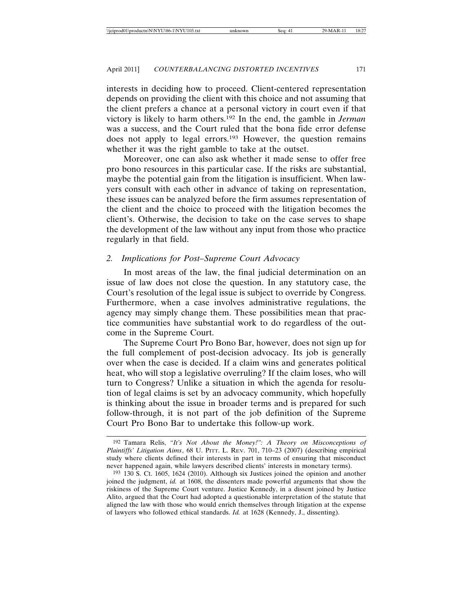interests in deciding how to proceed. Client-centered representation depends on providing the client with this choice and not assuming that the client prefers a chance at a personal victory in court even if that victory is likely to harm others.192 In the end, the gamble in *Jerman* was a success, and the Court ruled that the bona fide error defense does not apply to legal errors.193 However, the question remains whether it was the right gamble to take at the outset.

Moreover, one can also ask whether it made sense to offer free pro bono resources in this particular case. If the risks are substantial, maybe the potential gain from the litigation is insufficient. When lawyers consult with each other in advance of taking on representation, these issues can be analyzed before the firm assumes representation of the client and the choice to proceed with the litigation becomes the client's. Otherwise, the decision to take on the case serves to shape the development of the law without any input from those who practice regularly in that field.

## *2. Implications for Post–Supreme Court Advocacy*

In most areas of the law, the final judicial determination on an issue of law does not close the question. In any statutory case, the Court's resolution of the legal issue is subject to override by Congress. Furthermore, when a case involves administrative regulations, the agency may simply change them. These possibilities mean that practice communities have substantial work to do regardless of the outcome in the Supreme Court.

The Supreme Court Pro Bono Bar, however, does not sign up for the full complement of post-decision advocacy. Its job is generally over when the case is decided. If a claim wins and generates political heat, who will stop a legislative overruling? If the claim loses, who will turn to Congress? Unlike a situation in which the agenda for resolution of legal claims is set by an advocacy community, which hopefully is thinking about the issue in broader terms and is prepared for such follow-through, it is not part of the job definition of the Supreme Court Pro Bono Bar to undertake this follow-up work.

<sup>192</sup> Tamara Relis, *"It's Not About the Money!": A Theory on Misconceptions of Plaintiffs' Litigation Aims*, 68 U. PITT. L. REV. 701, 710–23 (2007) (describing empirical study where clients defined their interests in part in terms of ensuring that misconduct never happened again, while lawyers described clients' interests in monetary terms).

<sup>193</sup> 130 S. Ct. 1605, 1624 (2010). Although six Justices joined the opinion and another joined the judgment, *id.* at 1608, the dissenters made powerful arguments that show the riskiness of the Supreme Court venture. Justice Kennedy, in a dissent joined by Justice Alito, argued that the Court had adopted a questionable interpretation of the statute that aligned the law with those who would enrich themselves through litigation at the expense of lawyers who followed ethical standards. *Id.* at 1628 (Kennedy, J., dissenting).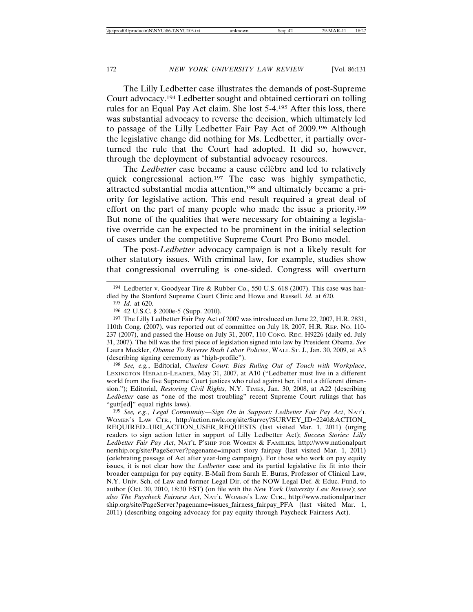The Lilly Ledbetter case illustrates the demands of post-Supreme Court advocacy.194 Ledbetter sought and obtained certiorari on tolling rules for an Equal Pay Act claim. She lost 5-4.195 After this loss, there was substantial advocacy to reverse the decision, which ultimately led to passage of the Lilly Ledbetter Fair Pay Act of 2009.196 Although the legislative change did nothing for Ms. Ledbetter, it partially overturned the rule that the Court had adopted. It did so, however, through the deployment of substantial advocacy resources.

The *Ledbetter* case became a cause célèbre and led to relatively quick congressional action.197 The case was highly sympathetic, attracted substantial media attention,198 and ultimately became a priority for legislative action. This end result required a great deal of effort on the part of many people who made the issue a priority.199 But none of the qualities that were necessary for obtaining a legislative override can be expected to be prominent in the initial selection of cases under the competitive Supreme Court Pro Bono model.

The post-*Ledbetter* advocacy campaign is not a likely result for other statutory issues. With criminal law, for example, studies show that congressional overruling is one-sided. Congress will overturn

198 *See, e.g.*, Editorial, *Clueless Court: Bias Ruling Out of Touch with Workplace*, LEXINGTON HERALD-LEADER, May 31, 2007, at A10 ("Ledbetter must live in a different world from the five Supreme Court justices who ruled against her, if not a different dimension."); Editorial, *Restoring Civil Rights*, N.Y. TIMES, Jan. 30, 2008, at A22 (describing *Ledbetter* case as "one of the most troubling" recent Supreme Court rulings that has "gutt[ed]" equal rights laws).

199 *See, e.g.*, *Legal Community—Sign On in Support: Ledbetter Fair Pay Act*, NAT'L WOMEN'S LAW CTR., http://action.nwlc.org/site/Survey?SURVEY\_ID=2240&ACTION\_ REQUIRED=URI\_ACTION\_USER\_REQUESTS (last visited Mar. 1, 2011) (urging readers to sign action letter in support of Lilly Ledbetter Act); *Success Stories: Lilly Ledbetter Fair Pay Act*, NAT'L P'SHIP FOR WOMEN & FAMILIES, http://www.nationalpart nership.org/site/PageServer?pagename=impact\_story\_fairpay (last visited Mar. 1, 2011) (celebrating passage of Act after year-long campaign). For those who work on pay equity issues, it is not clear how the *Ledbetter* case and its partial legislative fix fit into their broader campaign for pay equity. E-Mail from Sarah E. Burns, Professor of Clinical Law, N.Y. Univ. Sch. of Law and former Legal Dir. of the NOW Legal Def. & Educ. Fund, to author (Oct. 30, 2010, 18:30 EST) (on file with the *New York University Law Review*); *see also The Paycheck Fairness Act*, NAT'L WOMEN'S LAW CTR., http://www.nationalpartner ship.org/site/PageServer?pagename=issues\_fairness\_fairpay\_PFA (last visited Mar. 1, 2011) (describing ongoing advocacy for pay equity through Paycheck Fairness Act).

<sup>194</sup> Ledbetter v. Goodyear Tire & Rubber Co., 550 U.S. 618 (2007). This case was handled by the Stanford Supreme Court Clinic and Howe and Russell. *Id.* at 620.

<sup>195</sup> *Id.* at 620.

<sup>196</sup> 42 U.S.C. § 2000e-5 (Supp. 2010).

<sup>197</sup> The Lilly Ledbetter Fair Pay Act of 2007 was introduced on June 22, 2007, H.R. 2831, 110th Cong. (2007), was reported out of committee on July 18, 2007, H.R. REP. NO. 110- 237 (2007), and passed the House on July 31, 2007, 110 CONG. REC. H9226 (daily ed. July 31, 2007). The bill was the first piece of legislation signed into law by President Obama. *See* Laura Meckler, *Obama To Reverse Bush Labor Policies*, WALL ST. J., Jan. 30, 2009, at A3 (describing signing ceremony as "high-profile").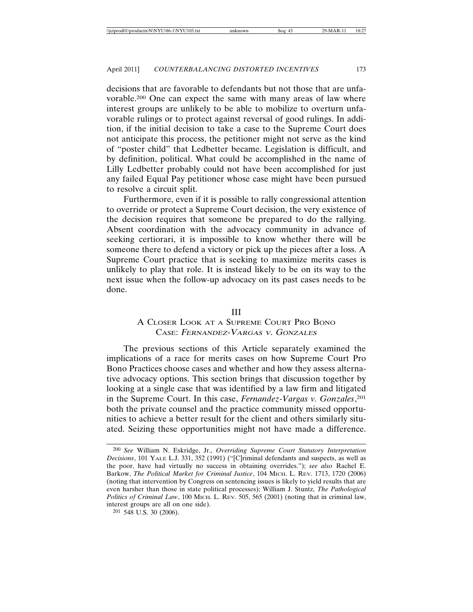decisions that are favorable to defendants but not those that are unfavorable.200 One can expect the same with many areas of law where interest groups are unlikely to be able to mobilize to overturn unfavorable rulings or to protect against reversal of good rulings. In addition, if the initial decision to take a case to the Supreme Court does not anticipate this process, the petitioner might not serve as the kind of "poster child" that Ledbetter became. Legislation is difficult, and by definition, political. What could be accomplished in the name of Lilly Ledbetter probably could not have been accomplished for just any failed Equal Pay petitioner whose case might have been pursued to resolve a circuit split.

Furthermore, even if it is possible to rally congressional attention to override or protect a Supreme Court decision, the very existence of the decision requires that someone be prepared to do the rallying. Absent coordination with the advocacy community in advance of seeking certiorari, it is impossible to know whether there will be someone there to defend a victory or pick up the pieces after a loss. A Supreme Court practice that is seeking to maximize merits cases is unlikely to play that role. It is instead likely to be on its way to the next issue when the follow-up advocacy on its past cases needs to be done.

#### III

# A CLOSER LOOK AT A SUPREME COURT PRO BONO CASE: <sup>F</sup>ERNANDEZ-VARGAS <sup>V</sup>. GONZALES

The previous sections of this Article separately examined the implications of a race for merits cases on how Supreme Court Pro Bono Practices choose cases and whether and how they assess alternative advocacy options. This section brings that discussion together by looking at a single case that was identified by a law firm and litigated in the Supreme Court. In this case, *Fernandez-Vargas v. Gonzales*, 201 both the private counsel and the practice community missed opportunities to achieve a better result for the client and others similarly situated. Seizing these opportunities might not have made a difference.

<sup>200</sup> *See* William N. Eskridge, Jr., *Overriding Supreme Court Statutory Interpretation Decisions*, 101 YALE L.J. 331, 352 (1991) ("[C]riminal defendants and suspects, as well as the poor, have had virtually no success in obtaining overrides."); *see also* Rachel E. Barkow, *The Political Market for Criminal Justice*, 104 MICH. L. REV. 1713, 1720 (2006) (noting that intervention by Congress on sentencing issues is likely to yield results that are even harsher than those in state political processes); William J. Stuntz, *The Pathological Politics of Criminal Law*, 100 MICH. L. REV. 505, 565 (2001) (noting that in criminal law, interest groups are all on one side).

<sup>201</sup> 548 U.S. 30 (2006).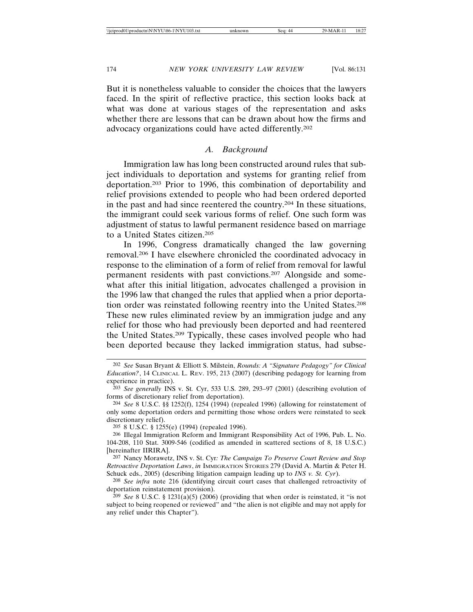But it is nonetheless valuable to consider the choices that the lawyers faced. In the spirit of reflective practice, this section looks back at what was done at various stages of the representation and asks whether there are lessons that can be drawn about how the firms and advocacy organizations could have acted differently.202

#### *A. Background*

Immigration law has long been constructed around rules that subject individuals to deportation and systems for granting relief from deportation.203 Prior to 1996, this combination of deportability and relief provisions extended to people who had been ordered deported in the past and had since reentered the country.204 In these situations, the immigrant could seek various forms of relief. One such form was adjustment of status to lawful permanent residence based on marriage to a United States citizen.205

In 1996, Congress dramatically changed the law governing removal.206 I have elsewhere chronicled the coordinated advocacy in response to the elimination of a form of relief from removal for lawful permanent residents with past convictions.207 Alongside and somewhat after this initial litigation, advocates challenged a provision in the 1996 law that changed the rules that applied when a prior deportation order was reinstated following reentry into the United States.208 These new rules eliminated review by an immigration judge and any relief for those who had previously been deported and had reentered the United States.209 Typically, these cases involved people who had been deported because they lacked immigration status, had subse-

205 8 U.S.C. § 1255(e) (1994) (repealed 1996).

<sup>202</sup> *See* Susan Bryant & Elliott S. Milstein, *Rounds: A "Signature Pedagogy" for Clinical Education?*, 14 CLINICAL L. REV. 195, 213 (2007) (describing pedagogy for learning from experience in practice).

<sup>203</sup> *See generally* INS v. St*.* Cyr, 533 U.S. 289, 293–97 (2001) (describing evolution of forms of discretionary relief from deportation).

<sup>204</sup> *See* 8 U.S.C. §§ 1252(f), 1254 (1994) (repealed 1996) (allowing for reinstatement of only some deportation orders and permitting those whose orders were reinstated to seek discretionary relief).

<sup>206</sup> Illegal Immigration Reform and Immigrant Responsibility Act of 1996, Pub. L. No. 104-208, 110 Stat. 3009-546 (codified as amended in scattered sections of 8, 18 U.S.C.) [hereinafter IIRIRA].

<sup>207</sup> Nancy Morawetz, INS v. St. Cyr*: The Campaign To Preserve Court Review and Stop Retroactive Deportation Laws*, *in* IMMIGRATION STORIES 279 (David A. Martin & Peter H. Schuck eds., 2005) (describing litigation campaign leading up to *INS v. St. Cyr*).

<sup>208</sup> *See infra* note 216 (identifying circuit court cases that challenged retroactivity of deportation reinstatement provision).

<sup>&</sup>lt;sup>209</sup> *See* 8 U.S.C. § 1231(a)(5) (2006) (providing that when order is reinstated, it "is not subject to being reopened or reviewed" and "the alien is not eligible and may not apply for any relief under this Chapter").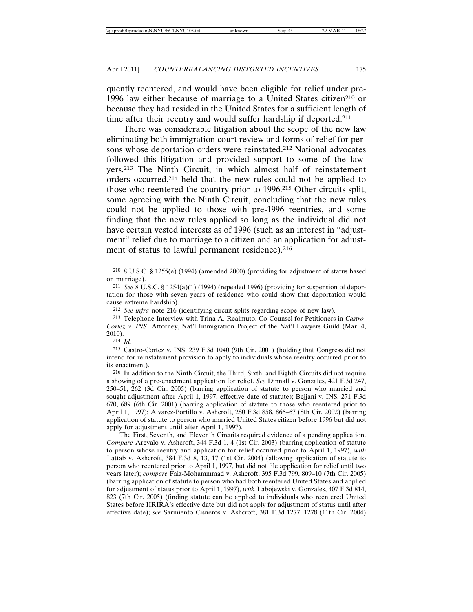quently reentered, and would have been eligible for relief under pre-1996 law either because of marriage to a United States citizen<sup>210</sup> or because they had resided in the United States for a sufficient length of time after their reentry and would suffer hardship if deported.<sup>211</sup>

There was considerable litigation about the scope of the new law eliminating both immigration court review and forms of relief for persons whose deportation orders were reinstated.212 National advocates followed this litigation and provided support to some of the lawyers.213 The Ninth Circuit, in which almost half of reinstatement orders occurred,214 held that the new rules could not be applied to those who reentered the country prior to 1996.215 Other circuits split, some agreeing with the Ninth Circuit, concluding that the new rules could not be applied to those with pre-1996 reentries, and some finding that the new rules applied so long as the individual did not have certain vested interests as of 1996 (such as an interest in "adjustment" relief due to marriage to a citizen and an application for adjustment of status to lawful permanent residence).<sup>216</sup>

212 *See infra* note 216 (identifying circuit splits regarding scope of new law).

213 Telephone Interview with Trina A. Realmuto, Co-Counsel for Petitioners in *Castro-Cortez v. INS*, Attorney, Nat'l Immigration Project of the Nat'l Lawyers Guild (Mar. 4, 2010).

214 *Id.*

215 Castro-Cortez v. INS, 239 F.3d 1040 (9th Cir. 2001) (holding that Congress did not intend for reinstatement provision to apply to individuals whose reentry occurred prior to its enactment).

216 In addition to the Ninth Circuit, the Third, Sixth, and Eighth Circuits did not require a showing of a pre-enactment application for relief. *See* Dinnall v. Gonzales, 421 F.3d 247, 250–51, 262 (3d Cir. 2005) (barring application of statute to person who married and sought adjustment after April 1, 1997, effective date of statute); Bejjani v. INS, 271 F.3d 670, 689 (6th Cir. 2001) (barring application of statute to those who reentered prior to April 1, 1997); Alvarez-Portillo v. Ashcroft, 280 F.3d 858, 866–67 (8th Cir. 2002) (barring application of statute to person who married United States citizen before 1996 but did not apply for adjustment until after April 1, 1997).

The First, Seventh, and Eleventh Circuits required evidence of a pending application. *Compare* Arevalo v. Ashcroft, 344 F.3d 1, 4 (1st Cir. 2003) (barring application of statute to person whose reentry and application for relief occurred prior to April 1, 1997), *with* Lattab v. Ashcroft, 384 F.3d 8, 13, 17 (1st Cir. 2004) (allowing application of statute to person who reentered prior to April 1, 1997, but did not file application for relief until two years later); *compare* Faiz-Mohammmad v. Ashcroft, 395 F.3d 799, 809–10 (7th Cir. 2005) (barring application of statute to person who had both reentered United States and applied for adjustment of status prior to April 1, 1997), *with* Labojewski v. Gonzales, 407 F.3d 814, 823 (7th Cir. 2005) (finding statute can be applied to individuals who reentered United States before IIRIRA's effective date but did not apply for adjustment of status until after effective date); *see* Sarmiento Cisneros v. Ashcroft, 381 F.3d 1277, 1278 (11th Cir. 2004)

 $2^{10}$  8 U.S.C. § 1255(e) (1994) (amended 2000) (providing for adjustment of status based on marriage).

<sup>211</sup> *See* 8 U.S.C. § 1254(a)(1) (1994) (repealed 1996) (providing for suspension of deportation for those with seven years of residence who could show that deportation would cause extreme hardship).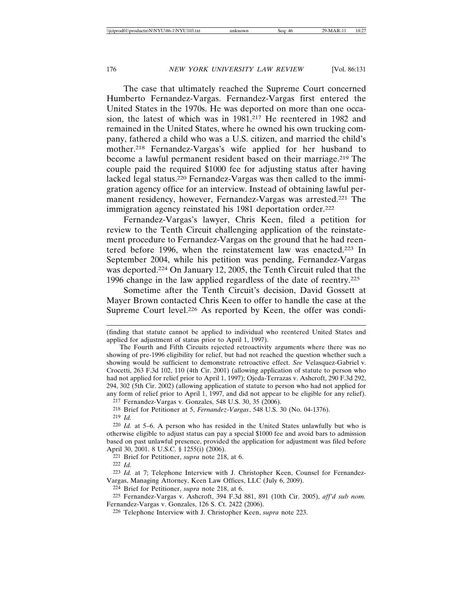The case that ultimately reached the Supreme Court concerned Humberto Fernandez-Vargas. Fernandez-Vargas first entered the United States in the 1970s. He was deported on more than one occasion, the latest of which was in 1981.217 He reentered in 1982 and remained in the United States, where he owned his own trucking company, fathered a child who was a U.S. citizen, and married the child's mother.218 Fernandez-Vargas's wife applied for her husband to become a lawful permanent resident based on their marriage.219 The couple paid the required \$1000 fee for adjusting status after having lacked legal status.220 Fernandez-Vargas was then called to the immigration agency office for an interview. Instead of obtaining lawful permanent residency, however, Fernandez-Vargas was arrested.221 The immigration agency reinstated his 1981 deportation order.<sup>222</sup>

Fernandez-Vargas's lawyer, Chris Keen, filed a petition for review to the Tenth Circuit challenging application of the reinstatement procedure to Fernandez-Vargas on the ground that he had reentered before 1996, when the reinstatement law was enacted.223 In September 2004, while his petition was pending, Fernandez-Vargas was deported.224 On January 12, 2005, the Tenth Circuit ruled that the 1996 change in the law applied regardless of the date of reentry.225

Sometime after the Tenth Circuit's decision, David Gossett at Mayer Brown contacted Chris Keen to offer to handle the case at the Supreme Court level.226 As reported by Keen, the offer was condi-

217 Fernandez-Vargas v. Gonzales, 548 U.S. 30, 35 (2006).

221 Brief for Petitioner, *supra* note 218, at 6.

<sup>(</sup>finding that statute cannot be applied to individual who reentered United States and applied for adjustment of status prior to April 1, 1997).

The Fourth and Fifth Circuits rejected retroactivity arguments where there was no showing of pre-1996 eligibility for relief, but had not reached the question whether such a showing would be sufficient to demonstrate retroactive effect. *See* Velasquez-Gabriel v. Crocetti, 263 F.3d 102, 110 (4th Cir. 2001) (allowing application of statute to person who had not applied for relief prior to April 1, 1997); Ojeda-Terrazas v. Ashcroft, 290 F.3d 292, 294, 302 (5th Cir. 2002) (allowing application of statute to person who had not applied for any form of relief prior to April 1, 1997, and did not appear to be eligible for any relief).

<sup>218</sup> Brief for Petitioner at 5, *Fernandez-Vargas*, 548 U.S. 30 (No. 04-1376).

<sup>219</sup> *Id.*

<sup>220</sup> *Id.* at 5–6. A person who has resided in the United States unlawfully but who is otherwise eligible to adjust status can pay a special \$1000 fee and avoid bars to admission based on past unlawful presence, provided the application for adjustment was filed before April 30, 2001. 8 U.S.C. § 1255(i) (2006).

<sup>222</sup> *Id.*

<sup>223</sup> *Id.* at 7; Telephone Interview with J. Christopher Keen, Counsel for Fernandez-Vargas, Managing Attorney, Keen Law Offices, LLC (July 6, 2009).

<sup>224</sup> Brief for Petitioner, *supra* note 218, at 6.

<sup>225</sup> Fernandez-Vargas v. Ashcroft, 394 F.3d 881, 891 (10th Cir. 2005), *aff'd sub nom.* Fernandez-Vargas v. Gonzales, 126 S. Ct. 2422 (2006).

<sup>226</sup> Telephone Interview with J. Christopher Keen, *supra* note 223.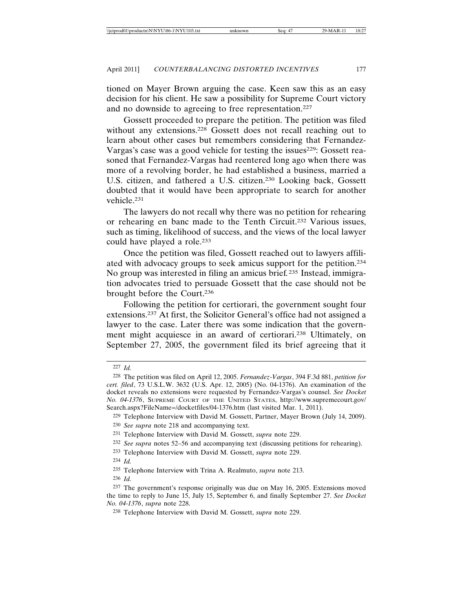tioned on Mayer Brown arguing the case. Keen saw this as an easy decision for his client. He saw a possibility for Supreme Court victory and no downside to agreeing to free representation.<sup>227</sup>

Gossett proceeded to prepare the petition. The petition was filed without any extensions.<sup>228</sup> Gossett does not recall reaching out to learn about other cases but remembers considering that Fernandez-Vargas's case was a good vehicle for testing the issues<sup>229</sup>: Gossett reasoned that Fernandez-Vargas had reentered long ago when there was more of a revolving border, he had established a business, married a U.S. citizen, and fathered a U.S. citizen.230 Looking back, Gossett doubted that it would have been appropriate to search for another vehicle.231

The lawyers do not recall why there was no petition for rehearing or rehearing en banc made to the Tenth Circuit.232 Various issues, such as timing, likelihood of success, and the views of the local lawyer could have played a role.233

Once the petition was filed, Gossett reached out to lawyers affiliated with advocacy groups to seek amicus support for the petition.234 No group was interested in filing an amicus brief*.*235 Instead, immigration advocates tried to persuade Gossett that the case should not be brought before the Court.236

Following the petition for certiorari, the government sought four extensions.237 At first, the Solicitor General's office had not assigned a lawyer to the case. Later there was some indication that the government might acquiesce in an award of certiorari.238 Ultimately, on September 27, 2005, the government filed its brief agreeing that it

234 *Id.*

236 *Id.*

<sup>227</sup> *Id.*

<sup>228</sup> The petition was filed on April 12, 2005. *Fernandez-Vargas*, 394 F.3d 881, *petition for cert. filed*, 73 U.S.L.W. 3632 (U.S. Apr. 12, 2005) (No. 04-1376). An examination of the docket reveals no extensions were requested by Fernandez-Vargas's counsel. *See Docket No. 04-1376*, SUPREME COURT OF THE UNITED STATES, http://www.supremecourt.gov/ Search.aspx?FileName=/docketfiles/04-1376.htm (last visited Mar. 1, 2011).

<sup>229</sup> Telephone Interview with David M. Gossett, Partner, Mayer Brown (July 14, 2009).

<sup>230</sup> *See supra* note 218 and accompanying text.

<sup>231</sup> Telephone Interview with David M. Gossett, *supra* note 229.

<sup>232</sup> *See supra* notes 52–56 and accompanying text (discussing petitions for rehearing).

<sup>233</sup> Telephone Interview with David M. Gossett, *supra* note 229.

<sup>235</sup> Telephone Interview with Trina A. Realmuto, *supra* note 213.

<sup>237</sup> The government's response originally was due on May 16, 2005. Extensions moved the time to reply to June 15, July 15, September 6, and finally September 27. *See Docket No. 04-1376*, *supra* note 228.

<sup>238</sup> Telephone Interview with David M. Gossett, *supra* note 229.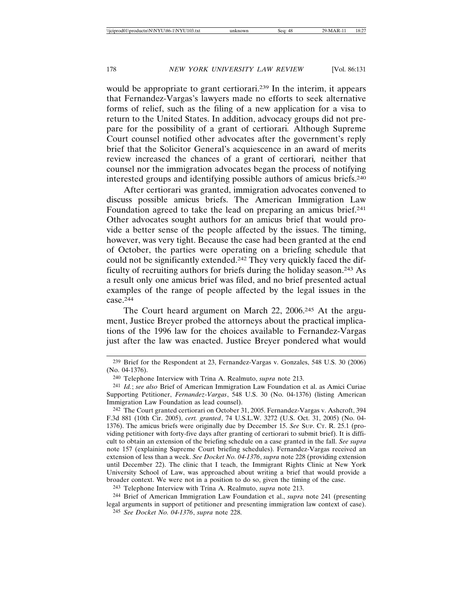would be appropriate to grant certiorari.<sup>239</sup> In the interim, it appears that Fernandez-Vargas's lawyers made no efforts to seek alternative forms of relief, such as the filing of a new application for a visa to return to the United States. In addition, advocacy groups did not prepare for the possibility of a grant of certiorari*.* Although Supreme Court counsel notified other advocates after the government's reply brief that the Solicitor General's acquiescence in an award of merits review increased the chances of a grant of certiorari*,* neither that counsel nor the immigration advocates began the process of notifying interested groups and identifying possible authors of amicus briefs.240

After certiorari was granted, immigration advocates convened to discuss possible amicus briefs. The American Immigration Law Foundation agreed to take the lead on preparing an amicus brief.<sup>241</sup> Other advocates sought authors for an amicus brief that would provide a better sense of the people affected by the issues. The timing, however, was very tight. Because the case had been granted at the end of October, the parties were operating on a briefing schedule that could not be significantly extended.242 They very quickly faced the difficulty of recruiting authors for briefs during the holiday season.243 As a result only one amicus brief was filed, and no brief presented actual examples of the range of people affected by the legal issues in the case.244

The Court heard argument on March 22, 2006.245 At the argument, Justice Breyer probed the attorneys about the practical implications of the 1996 law for the choices available to Fernandez-Vargas just after the law was enacted. Justice Breyer pondered what would

<sup>239</sup> Brief for the Respondent at 23, Fernandez-Vargas v. Gonzales, 548 U.S. 30 (2006) (No. 04-1376).

<sup>240</sup> Telephone Interview with Trina A. Realmuto, *supra* note 213.

<sup>241</sup> *Id.*; *see also* Brief of American Immigration Law Foundation et al. as Amici Curiae Supporting Petitioner, *Fernandez-Vargas*, 548 U.S. 30 (No. 04-1376) (listing American Immigration Law Foundation as lead counsel).

<sup>242</sup> The Court granted certiorari on October 31, 2005. Fernandez-Vargas v. Ashcroft, 394 F.3d 881 (10th Cir. 2005), *cert. granted*, 74 U.S.L.W. 3272 (U.S. Oct. 31, 2005) (No. 04- 1376). The amicus briefs were originally due by December 15. *See* SUP. CT. R. 25.1 (providing petitioner with forty-five days after granting of certiorari to submit brief). It is difficult to obtain an extension of the briefing schedule on a case granted in the fall. *See supra* note 157 (explaining Supreme Court briefing schedules). Fernandez-Vargas received an extension of less than a week. *See Docket No. 04-1376*, *supra* note 228 (providing extension until December 22). The clinic that I teach, the Immigrant Rights Clinic at New York University School of Law, was approached about writing a brief that would provide a broader context. We were not in a position to do so, given the timing of the case.

<sup>243</sup> Telephone Interview with Trina A. Realmuto, *supra* note 213.

<sup>244</sup> Brief of American Immigration Law Foundation et al., *supra* note 241 (presenting legal arguments in support of petitioner and presenting immigration law context of case). 245 *See Docket No. 04-1376*, *supra* note 228.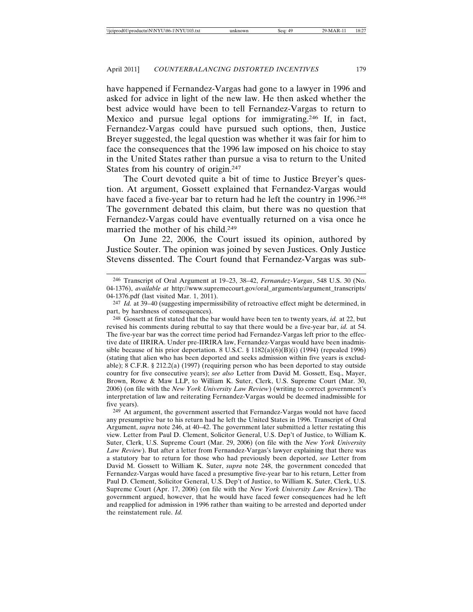have happened if Fernandez-Vargas had gone to a lawyer in 1996 and asked for advice in light of the new law. He then asked whether the best advice would have been to tell Fernandez-Vargas to return to Mexico and pursue legal options for immigrating.246 If, in fact, Fernandez-Vargas could have pursued such options, then, Justice Breyer suggested, the legal question was whether it was fair for him to face the consequences that the 1996 law imposed on his choice to stay in the United States rather than pursue a visa to return to the United States from his country of origin.247

The Court devoted quite a bit of time to Justice Breyer's question. At argument, Gossett explained that Fernandez-Vargas would have faced a five-year bar to return had he left the country in 1996.<sup>248</sup> The government debated this claim, but there was no question that Fernandez-Vargas could have eventually returned on a visa once he married the mother of his child.249

On June 22, 2006, the Court issued its opinion, authored by Justice Souter. The opinion was joined by seven Justices. Only Justice Stevens dissented. The Court found that Fernandez-Vargas was sub-

247 *Id.* at 39–40 (suggesting impermissibility of retroactive effect might be determined, in part, by harshness of consequences).

248 Gossett at first stated that the bar would have been ten to twenty years, *id.* at 22, but revised his comments during rebuttal to say that there would be a five-year bar, *id.* at 54. The five-year bar was the correct time period had Fernandez-Vargas left prior to the effective date of IIRIRA. Under pre-IIRIRA law, Fernandez-Vargas would have been inadmissible because of his prior deportation. 8 U.S.C.  $\S$  1182(a)(6)(B)(i) (1994) (repealed 1996) (stating that alien who has been deported and seeks admission within five years is excludable); 8 C.F.R. § 212.2(a) (1997) (requiring person who has been deported to stay outside country for five consecutive years); *see also* Letter from David M. Gossett, Esq., Mayer, Brown, Rowe & Maw LLP, to William K. Suter, Clerk, U.S. Supreme Court (Mar. 30, 2006) (on file with the *New York University Law Review*) (writing to correct government's interpretation of law and reiterating Fernandez-Vargas would be deemed inadmissible for five years).

249 At argument, the government asserted that Fernandez-Vargas would not have faced any presumptive bar to his return had he left the United States in 1996. Transcript of Oral Argument, *supra* note 246, at 40–42. The government later submitted a letter restating this view. Letter from Paul D. Clement, Solicitor General, U.S. Dep't of Justice, to William K. Suter, Clerk, U.S. Supreme Court (Mar. 29, 2006) (on file with the *New York University Law Review*). But after a letter from Fernandez-Vargas's lawyer explaining that there was a statutory bar to return for those who had previously been deported, *see* Letter from David M. Gossett to William K. Suter, *supra* note 248, the government conceded that Fernandez-Vargas would have faced a presumptive five-year bar to his return, Letter from Paul D. Clement, Solicitor General, U.S. Dep't of Justice, to William K. Suter, Clerk, U.S. Supreme Court (Apr. 17, 2006) (on file with the *New York University Law Review*). The government argued, however, that he would have faced fewer consequences had he left and reapplied for admission in 1996 rather than waiting to be arrested and deported under the reinstatement rule. *Id.*

<sup>246</sup> Transcript of Oral Argument at 19–23, 38–42, *Fernandez-Vargas*, 548 U.S. 30 (No. 04-1376), *available at* http://www.supremecourt.gov/oral\_arguments/argument\_transcripts/ 04-1376.pdf (last visited Mar. 1, 2011).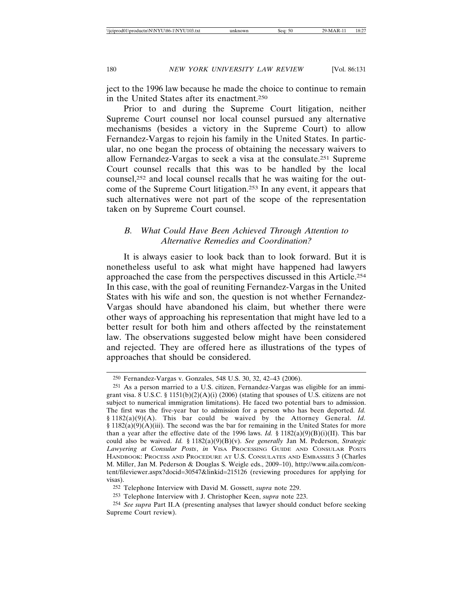ject to the 1996 law because he made the choice to continue to remain in the United States after its enactment.250

Prior to and during the Supreme Court litigation, neither Supreme Court counsel nor local counsel pursued any alternative mechanisms (besides a victory in the Supreme Court) to allow Fernandez-Vargas to rejoin his family in the United States. In particular, no one began the process of obtaining the necessary waivers to allow Fernandez-Vargas to seek a visa at the consulate.251 Supreme Court counsel recalls that this was to be handled by the local counsel,252 and local counsel recalls that he was waiting for the outcome of the Supreme Court litigation.253 In any event, it appears that such alternatives were not part of the scope of the representation taken on by Supreme Court counsel.

## *B. What Could Have Been Achieved Through Attention to Alternative Remedies and Coordination?*

It is always easier to look back than to look forward. But it is nonetheless useful to ask what might have happened had lawyers approached the case from the perspectives discussed in this Article.254 In this case, with the goal of reuniting Fernandez-Vargas in the United States with his wife and son, the question is not whether Fernandez-Vargas should have abandoned his claim, but whether there were other ways of approaching his representation that might have led to a better result for both him and others affected by the reinstatement law. The observations suggested below might have been considered and rejected. They are offered here as illustrations of the types of approaches that should be considered.

<sup>250</sup> Fernandez-Vargas v. Gonzales, 548 U.S. 30, 32, 42–43 (2006).

<sup>251</sup> As a person married to a U.S. citizen, Fernandez-Vargas was eligible for an immigrant visa. 8 U.S.C. § 1151(b)(2)(A)(i) (2006) (stating that spouses of U.S. citizens are not subject to numerical immigration limitations). He faced two potential bars to admission. The first was the five-year bar to admission for a person who has been deported. *Id.* § 1182(a)(9)(A). This bar could be waived by the Attorney General. *Id.*  $§$  1182(a)(9)(A)(iii). The second was the bar for remaining in the United States for more than a year after the effective date of the 1996 laws. *Id.* § 1182(a)(9)(B)(i)(II). This bar could also be waived. *Id.* § 1182(a)(9)(B)(v). *See generally* Jan M. Pederson, *Strategic Lawyering at Consular Posts*, *in* VISA PROCESSING GUIDE AND CONSULAR POSTS HANDBOOK: PROCESS AND PROCEDURE AT U.S. CONSULATES AND EMBASSIES 3 (Charles M. Miller, Jan M. Pederson & Douglas S. Weigle eds., 2009–10), http://www.aila.com/content/fileviewer.aspx?docid=30547&linkid=215126 (reviewing procedures for applying for visas).

<sup>252</sup> Telephone Interview with David M. Gossett, *supra* note 229.

<sup>253</sup> Telephone Interview with J. Christopher Keen, *supra* note 223.

<sup>254</sup> *See supra* Part II.A (presenting analyses that lawyer should conduct before seeking Supreme Court review).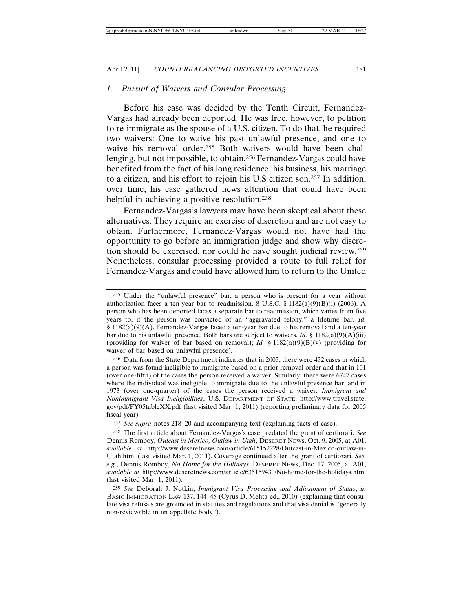#### *1. Pursuit of Waivers and Consular Processing*

Before his case was decided by the Tenth Circuit, Fernandez-Vargas had already been deported. He was free, however, to petition to re-immigrate as the spouse of a U.S. citizen. To do that, he required two waivers: One to waive his past unlawful presence, and one to waive his removal order.<sup>255</sup> Both waivers would have been challenging, but not impossible, to obtain.256 Fernandez-Vargas could have benefited from the fact of his long residence, his business, his marriage to a citizen, and his effort to rejoin his U.S citizen son.257 In addition, over time, his case gathered news attention that could have been helpful in achieving a positive resolution.<sup>258</sup>

Fernandez-Vargas's lawyers may have been skeptical about these alternatives. They require an exercise of discretion and are not easy to obtain. Furthermore, Fernandez-Vargas would not have had the opportunity to go before an immigration judge and show why discretion should be exercised, nor could he have sought judicial review.259 Nonetheless, consular processing provided a route to full relief for Fernandez-Vargas and could have allowed him to return to the United

256 Data from the State Department indicates that in 2005, there were 452 cases in which a person was found ineligible to immigrate based on a prior removal order and that in 101 (over one-fifth) of the cases the person received a waiver. Similarly, there were 6747 cases where the individual was ineligible to immigrate due to the unlawful presence bar, and in 1973 (over one-quarter) of the cases the person received a waiver. *Immigrant and Nonimmigrant Visa Ineligibilities*, U.S. DEPARTMENT OF STATE, http://www.travel.state. gov/pdf/FY05tableXX.pdf (last visited Mar. 1, 2011) (reporting preliminary data for 2005 fiscal year).

257 *See supra* notes 218–20 and accompanying text (explaining facts of case).

258 The first article about Fernandez-Vargas's case predated the grant of certiorari. *See* Dennis Romboy, *Outcast in Mexico, Outlaw in Utah*, DESERET NEWS, Oct. 9, 2005, at A01, *available at* http://www.deseretnews.com/article/615152228/Outcast-in-Mexico-outlaw-in-Utah.html (last visited Mar. 1, 2011). Coverage continued after the grant of certiorari. *See, e.g.*, Dennis Romboy, *No Home for the Holidays*, DESERET NEWS, Dec. 17, 2005, at A01, *available at* http://www.deseretnews.com/article/635169430/No-home-for-the-holidays.html (last visited Mar. 1, 2011).

259 *See* Deborah J. Notkin, *Immigrant Visa Processing and Adjustment of Status*, *in* BASIC IMMIGRATION LAW 137, 144–45 (Cyrus D. Mehta ed., 2010) (explaining that consulate visa refusals are grounded in statutes and regulations and that visa denial is "generally non-reviewable in an appellate body").

<sup>255</sup> Under the "unlawful presence" bar, a person who is present for a year without authorization faces a ten-year bar to readmission. 8 U.S.C. § 1182(a)(9)(B)(i) (2006). A person who has been deported faces a separate bar to readmission, which varies from five years to, if the person was convicted of an "aggravated felony," a lifetime bar. *Id.* § 1182(a)(9)(A). Fernandez-Vargas faced a ten-year bar due to his removal and a ten-year bar due to his unlawful presence. Both bars are subject to waivers. *Id.* § 1182(a)(9)(A)(iii) (providing for waiver of bar based on removal); *Id.* § 1182(a)(9)(B)(v) (providing for waiver of bar based on unlawful presence).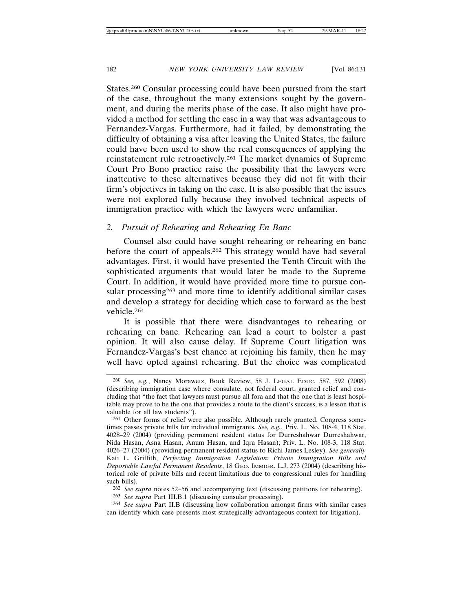States.260 Consular processing could have been pursued from the start of the case, throughout the many extensions sought by the government, and during the merits phase of the case. It also might have provided a method for settling the case in a way that was advantageous to Fernandez-Vargas. Furthermore, had it failed, by demonstrating the difficulty of obtaining a visa after leaving the United States, the failure could have been used to show the real consequences of applying the reinstatement rule retroactively.261 The market dynamics of Supreme Court Pro Bono practice raise the possibility that the lawyers were inattentive to these alternatives because they did not fit with their firm's objectives in taking on the case. It is also possible that the issues were not explored fully because they involved technical aspects of immigration practice with which the lawyers were unfamiliar.

#### *2. Pursuit of Rehearing and Rehearing En Banc*

Counsel also could have sought rehearing or rehearing en banc before the court of appeals.262 This strategy would have had several advantages. First, it would have presented the Tenth Circuit with the sophisticated arguments that would later be made to the Supreme Court. In addition, it would have provided more time to pursue consular processing<sup>263</sup> and more time to identify additional similar cases and develop a strategy for deciding which case to forward as the best vehicle.264

It is possible that there were disadvantages to rehearing or rehearing en banc. Rehearing can lead a court to bolster a past opinion. It will also cause delay. If Supreme Court litigation was Fernandez-Vargas's best chance at rejoining his family, then he may well have opted against rehearing. But the choice was complicated

263 *See supra* Part III.B.1 (discussing consular processing).

<sup>260</sup> *See, e.g.*, Nancy Morawetz, Book Review, 58 J. LEGAL EDUC. 587, 592 (2008) (describing immigration case where consulate, not federal court, granted relief and concluding that "the fact that lawyers must pursue all fora and that the one that is least hospitable may prove to be the one that provides a route to the client's success, is a lesson that is valuable for all law students").

<sup>261</sup> Other forms of relief were also possible. Although rarely granted, Congress sometimes passes private bills for individual immigrants. *See, e.g.*, Priv. L. No. 108-4, 118 Stat. 4028–29 (2004) (providing permanent resident status for Durreshahwar Durreshahwar, Nida Hasan, Asna Hasan, Anum Hasan, and Iqra Hasan); Priv. L. No. 108-3, 118 Stat. 4026–27 (2004) (providing permanent resident status to Richi James Lesley). *See generally* Kati L. Griffith, *Perfecting Immigration Legislation: Private Immigration Bills and Deportable Lawful Permanent Residents*, 18 GEO. IMMIGR. L.J. 273 (2004) (describing historical role of private bills and recent limitations due to congressional rules for handling such bills).

<sup>262</sup> *See supra* notes 52–56 and accompanying text (discussing petitions for rehearing).

<sup>264</sup> *See supra* Part II.B (discussing how collaboration amongst firms with similar cases can identify which case presents most strategically advantageous context for litigation).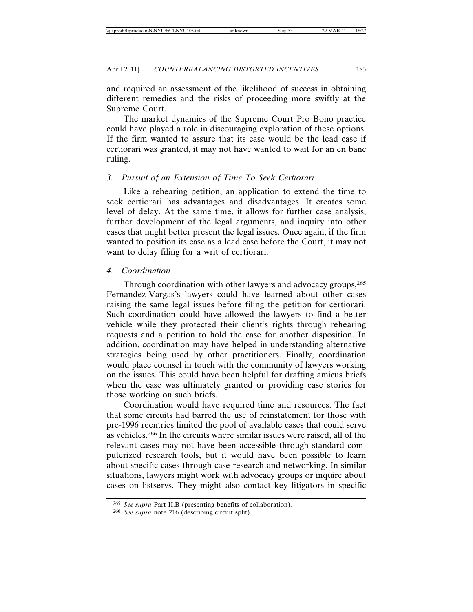and required an assessment of the likelihood of success in obtaining different remedies and the risks of proceeding more swiftly at the Supreme Court.

The market dynamics of the Supreme Court Pro Bono practice could have played a role in discouraging exploration of these options. If the firm wanted to assure that its case would be the lead case if certiorari was granted, it may not have wanted to wait for an en banc ruling.

## *3. Pursuit of an Extension of Time To Seek Certiorari*

Like a rehearing petition, an application to extend the time to seek certiorari has advantages and disadvantages. It creates some level of delay. At the same time, it allows for further case analysis, further development of the legal arguments, and inquiry into other cases that might better present the legal issues. Once again, if the firm wanted to position its case as a lead case before the Court, it may not want to delay filing for a writ of certiorari.

#### *4. Coordination*

Through coordination with other lawyers and advocacy groups,  $265$ Fernandez-Vargas's lawyers could have learned about other cases raising the same legal issues before filing the petition for certiorari. Such coordination could have allowed the lawyers to find a better vehicle while they protected their client's rights through rehearing requests and a petition to hold the case for another disposition. In addition, coordination may have helped in understanding alternative strategies being used by other practitioners. Finally, coordination would place counsel in touch with the community of lawyers working on the issues. This could have been helpful for drafting amicus briefs when the case was ultimately granted or providing case stories for those working on such briefs.

Coordination would have required time and resources. The fact that some circuits had barred the use of reinstatement for those with pre-1996 reentries limited the pool of available cases that could serve as vehicles.266 In the circuits where similar issues were raised, all of the relevant cases may not have been accessible through standard computerized research tools, but it would have been possible to learn about specific cases through case research and networking. In similar situations, lawyers might work with advocacy groups or inquire about cases on listservs. They might also contact key litigators in specific

<sup>265</sup> *See supra* Part II.B (presenting benefits of collaboration).

<sup>266</sup> *See supra* note 216 (describing circuit split).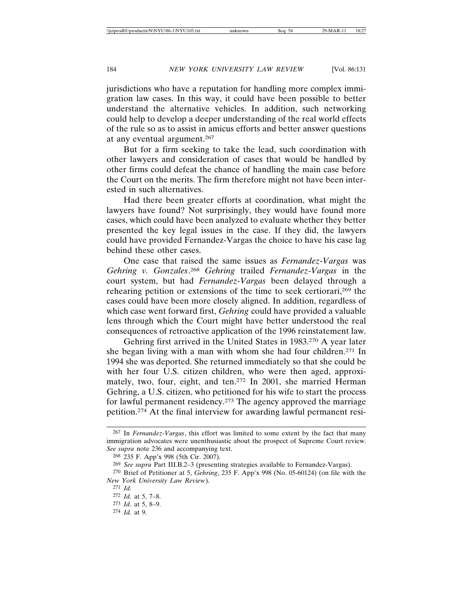jurisdictions who have a reputation for handling more complex immigration law cases. In this way, it could have been possible to better understand the alternative vehicles. In addition, such networking could help to develop a deeper understanding of the real world effects of the rule so as to assist in amicus efforts and better answer questions at any eventual argument.267

But for a firm seeking to take the lead, such coordination with other lawyers and consideration of cases that would be handled by other firms could defeat the chance of handling the main case before the Court on the merits. The firm therefore might not have been interested in such alternatives.

Had there been greater efforts at coordination, what might the lawyers have found? Not surprisingly, they would have found more cases, which could have been analyzed to evaluate whether they better presented the key legal issues in the case. If they did, the lawyers could have provided Fernandez-Vargas the choice to have his case lag behind these other cases.

One case that raised the same issues as *Fernandez-Vargas* was *Gehring v. Gonzales*. <sup>268</sup> *Gehring* trailed *Fernandez-Vargas* in the court system, but had *Fernandez-Vargas* been delayed through a rehearing petition or extensions of the time to seek certiorari,269 the cases could have been more closely aligned. In addition, regardless of which case went forward first, *Gehring* could have provided a valuable lens through which the Court might have better understood the real consequences of retroactive application of the 1996 reinstatement law.

Gehring first arrived in the United States in 1983.270 A year later she began living with a man with whom she had four children.271 In 1994 she was deported. She returned immediately so that she could be with her four U.S. citizen children, who were then aged, approximately, two, four, eight, and ten.272 In 2001, she married Herman Gehring, a U.S. citizen, who petitioned for his wife to start the process for lawful permanent residency.273 The agency approved the marriage petition.274 At the final interview for awarding lawful permanent resi-

<sup>267</sup> In *Fernandez-Vargas*, this effort was limited to some extent by the fact that many immigration advocates were unenthusiastic about the prospect of Supreme Court review. *See supra* note 236 and accompanying text.

<sup>268</sup> 235 F. App'x 998 (5th Cir. 2007).

<sup>269</sup> *See supra* Part III.B.2–3 (presenting strategies available to Fernandez-Vargas).

<sup>270</sup> Brief of Petitioner at 5, *Gehring*, 235 F. App'x 998 (No. 05-60124) (on file with the *New York University Law Review*).

<sup>271</sup> *Id.*

<sup>272</sup> *Id.* at 5, 7–8.

<sup>273</sup> *Id*. at 5, 8–9.

<sup>274</sup> *Id.* at 9.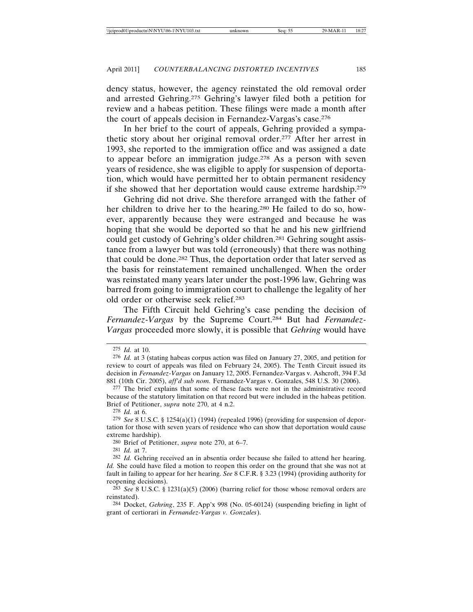dency status, however, the agency reinstated the old removal order and arrested Gehring.275 Gehring's lawyer filed both a petition for review and a habeas petition. These filings were made a month after the court of appeals decision in Fernandez-Vargas's case.276

In her brief to the court of appeals, Gehring provided a sympathetic story about her original removal order.277 After her arrest in 1993, she reported to the immigration office and was assigned a date to appear before an immigration judge.278 As a person with seven years of residence, she was eligible to apply for suspension of deportation, which would have permitted her to obtain permanent residency if she showed that her deportation would cause extreme hardship.279

Gehring did not drive. She therefore arranged with the father of her children to drive her to the hearing.280 He failed to do so, however, apparently because they were estranged and because he was hoping that she would be deported so that he and his new girlfriend could get custody of Gehring's older children.<sup>281</sup> Gehring sought assistance from a lawyer but was told (erroneously) that there was nothing that could be done.282 Thus, the deportation order that later served as the basis for reinstatement remained unchallenged. When the order was reinstated many years later under the post-1996 law, Gehring was barred from going to immigration court to challenge the legality of her old order or otherwise seek relief.283

The Fifth Circuit held Gehring's case pending the decision of *Fernandez-Vargas* by the Supreme Court.284 But had *Fernandez-Vargas* proceeded more slowly, it is possible that *Gehring* would have

<sup>275</sup> *Id.* at 10.

<sup>276</sup> *Id.* at 3 (stating habeas corpus action was filed on January 27, 2005, and petition for review to court of appeals was filed on February 24, 2005). The Tenth Circuit issued its decision in *Fernandez-Vargas* on January 12, 2005. Fernandez-Vargas v. Ashcroft, 394 F.3d 881 (10th Cir. 2005), *aff'd sub nom.* Fernandez-Vargas v. Gonzales, 548 U.S. 30 (2006).

<sup>277</sup> The brief explains that some of these facts were not in the administrative record because of the statutory limitation on that record but were included in the habeas petition. Brief of Petitioner, *supra* note 270, at 4 n.2.

<sup>278</sup> *Id.* at 6.

<sup>279</sup> *See* 8 U.S.C. § 1254(a)(1) (1994) (repealed 1996) (providing for suspension of deportation for those with seven years of residence who can show that deportation would cause extreme hardship).

<sup>280</sup> Brief of Petitioner, *supra* note 270, at 6–7.

<sup>281</sup> *Id.* at 7.

<sup>282</sup> *Id.* Gehring received an in absentia order because she failed to attend her hearing. *Id.* She could have filed a motion to reopen this order on the ground that she was not at fault in failing to appear for her hearing. *See* 8 C.F.R. § 3.23 (1994) (providing authority for reopening decisions).

<sup>283</sup> *See* 8 U.S.C. § 1231(a)(5) (2006) (barring relief for those whose removal orders are reinstated).

<sup>284</sup> Docket, *Gehring*, 235 F. App'x 998 (No. 05-60124) (suspending briefing in light of grant of certiorari in *Fernandez-Vargas v. Gonzales*).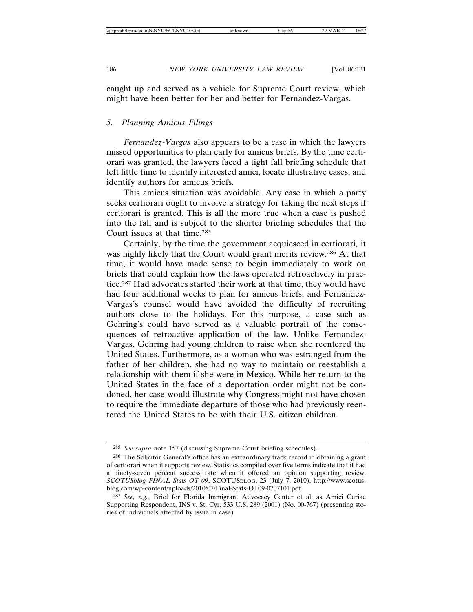caught up and served as a vehicle for Supreme Court review, which might have been better for her and better for Fernandez-Vargas.

#### *5. Planning Amicus Filings*

*Fernandez-Vargas* also appears to be a case in which the lawyers missed opportunities to plan early for amicus briefs. By the time certiorari was granted, the lawyers faced a tight fall briefing schedule that left little time to identify interested amici, locate illustrative cases, and identify authors for amicus briefs.

This amicus situation was avoidable. Any case in which a party seeks certiorari ought to involve a strategy for taking the next steps if certiorari is granted. This is all the more true when a case is pushed into the fall and is subject to the shorter briefing schedules that the Court issues at that time.285

Certainly, by the time the government acquiesced in certiorari*,* it was highly likely that the Court would grant merits review.286 At that time, it would have made sense to begin immediately to work on briefs that could explain how the laws operated retroactively in practice.287 Had advocates started their work at that time, they would have had four additional weeks to plan for amicus briefs, and Fernandez-Vargas's counsel would have avoided the difficulty of recruiting authors close to the holidays. For this purpose, a case such as Gehring's could have served as a valuable portrait of the consequences of retroactive application of the law. Unlike Fernandez-Vargas, Gehring had young children to raise when she reentered the United States. Furthermore, as a woman who was estranged from the father of her children, she had no way to maintain or reestablish a relationship with them if she were in Mexico. While her return to the United States in the face of a deportation order might not be condoned, her case would illustrate why Congress might not have chosen to require the immediate departure of those who had previously reentered the United States to be with their U.S. citizen children.

<sup>285</sup> *See supra* note 157 (discussing Supreme Court briefing schedules).

<sup>286</sup> The Solicitor General's office has an extraordinary track record in obtaining a grant of certiorari when it supports review. Statistics compiled over five terms indicate that it had a ninety-seven percent success rate when it offered an opinion supporting review. *SCOTUSblog FINAL Stats OT 09*, SCOTUSBLOG, 23 (July 7, 2010), http://www.scotusblog.com/wp-content/uploads/2010/07/Final-Stats-OT09-0707101.pdf.

<sup>287</sup> *See, e.g.*, Brief for Florida Immigrant Advocacy Center et al. as Amici Curiae Supporting Respondent, INS v. St. Cyr, 533 U.S. 289 (2001) (No. 00-767) (presenting stories of individuals affected by issue in case).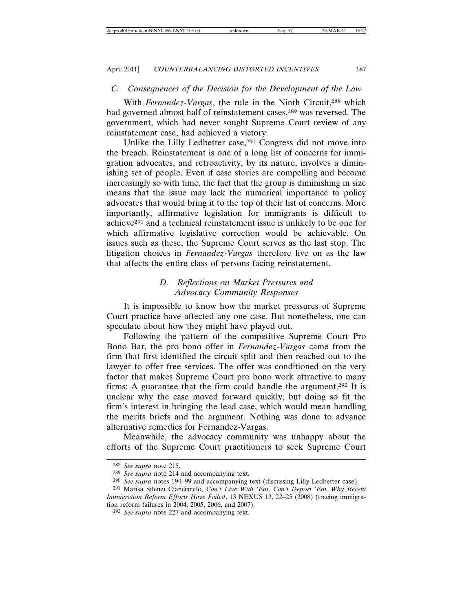## *C. Consequences of the Decision for the Development of the Law*

With *Fernandez-Vargas*, the rule in the Ninth Circuit,<sup>288</sup> which had governed almost half of reinstatement cases,<sup>289</sup> was reversed. The government, which had never sought Supreme Court review of any reinstatement case, had achieved a victory.

Unlike the Lilly Ledbetter case,290 Congress did not move into the breach. Reinstatement is one of a long list of concerns for immigration advocates, and retroactivity, by its nature, involves a diminishing set of people. Even if case stories are compelling and become increasingly so with time, the fact that the group is diminishing in size means that the issue may lack the numerical importance to policy advocates that would bring it to the top of their list of concerns. More importantly, affirmative legislation for immigrants is difficult to achieve291 and a technical reinstatement issue is unlikely to be one for which affirmative legislative correction would be achievable. On issues such as these, the Supreme Court serves as the last stop. The litigation choices in *Fernandez-Vargas* therefore live on as the law that affects the entire class of persons facing reinstatement.

# *D. Reflections on Market Pressures and Advocacy Community Responses*

It is impossible to know how the market pressures of Supreme Court practice have affected any one case. But nonetheless, one can speculate about how they might have played out.

Following the pattern of the competitive Supreme Court Pro Bono Bar, the pro bono offer in *Fernandez-Vargas* came from the firm that first identified the circuit split and then reached out to the lawyer to offer free services. The offer was conditioned on the very factor that makes Supreme Court pro bono work attractive to many firms: A guarantee that the firm could handle the argument.292 It is unclear why the case moved forward quickly, but doing so fit the firm's interest in bringing the lead case, which would mean handling the merits briefs and the argument. Nothing was done to advance alternative remedies for Fernandez-Vargas.

Meanwhile, the advocacy community was unhappy about the efforts of the Supreme Court practitioners to seek Supreme Court

<sup>288</sup> *See supra* note 215.

<sup>289</sup> *See supra* note 214 and accompanying text.

<sup>290</sup> *See supra* notes 194–99 and accompanying text (discussing Lilly Ledbetter case).

<sup>291</sup> Marisa Silenzi Cianciarulo, *Can't Live With 'Em, Can't Deport 'Em, Why Recent Immigration Reform Efforts Have Failed*, 13 NEXUS 13, 22–25 (2008) (tracing immigration reform failures in 2004, 2005, 2006, and 2007).

<sup>292</sup> *See supra* note 227 and accompanying text.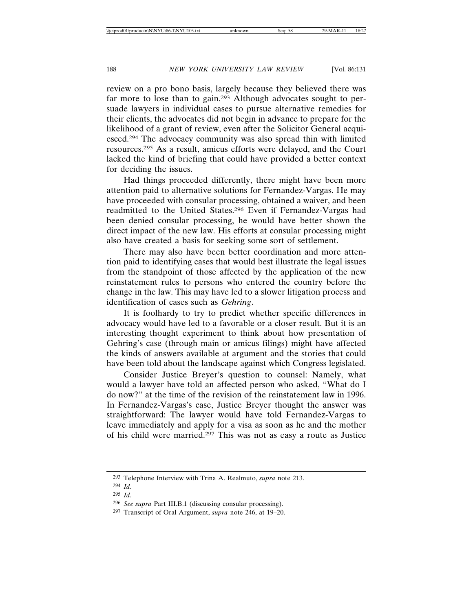review on a pro bono basis, largely because they believed there was far more to lose than to gain.293 Although advocates sought to persuade lawyers in individual cases to pursue alternative remedies for their clients, the advocates did not begin in advance to prepare for the likelihood of a grant of review, even after the Solicitor General acquiesced.294 The advocacy community was also spread thin with limited resources.295 As a result, amicus efforts were delayed, and the Court lacked the kind of briefing that could have provided a better context for deciding the issues.

Had things proceeded differently, there might have been more attention paid to alternative solutions for Fernandez-Vargas. He may have proceeded with consular processing, obtained a waiver, and been readmitted to the United States.296 Even if Fernandez-Vargas had been denied consular processing, he would have better shown the direct impact of the new law. His efforts at consular processing might also have created a basis for seeking some sort of settlement.

There may also have been better coordination and more attention paid to identifying cases that would best illustrate the legal issues from the standpoint of those affected by the application of the new reinstatement rules to persons who entered the country before the change in the law. This may have led to a slower litigation process and identification of cases such as *Gehring*.

It is foolhardy to try to predict whether specific differences in advocacy would have led to a favorable or a closer result. But it is an interesting thought experiment to think about how presentation of Gehring's case (through main or amicus filings) might have affected the kinds of answers available at argument and the stories that could have been told about the landscape against which Congress legislated.

Consider Justice Breyer's question to counsel: Namely, what would a lawyer have told an affected person who asked, "What do I do now?" at the time of the revision of the reinstatement law in 1996. In Fernandez-Vargas's case, Justice Breyer thought the answer was straightforward: The lawyer would have told Fernandez-Vargas to leave immediately and apply for a visa as soon as he and the mother of his child were married.297 This was not as easy a route as Justice

<sup>293</sup> Telephone Interview with Trina A. Realmuto, *supra* note 213.

<sup>294</sup> *Id.*

<sup>295</sup> *Id.*

<sup>296</sup> *See supra* Part III.B.1 (discussing consular processing).

<sup>297</sup> Transcript of Oral Argument, *supra* note 246, at 19–20.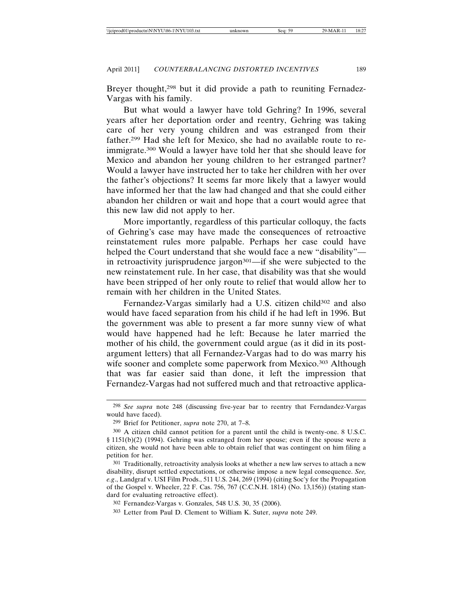Breyer thought,<sup>298</sup> but it did provide a path to reuniting Fernadez-Vargas with his family.

But what would a lawyer have told Gehring? In 1996, several years after her deportation order and reentry, Gehring was taking care of her very young children and was estranged from their father.299 Had she left for Mexico, she had no available route to reimmigrate.300 Would a lawyer have told her that she should leave for Mexico and abandon her young children to her estranged partner? Would a lawyer have instructed her to take her children with her over the father's objections? It seems far more likely that a lawyer would have informed her that the law had changed and that she could either abandon her children or wait and hope that a court would agree that this new law did not apply to her.

More importantly, regardless of this particular colloquy, the facts of Gehring's case may have made the consequences of retroactive reinstatement rules more palpable. Perhaps her case could have helped the Court understand that she would face a new "disability" in retroactivity jurisprudence jargon $301$ —if she were subjected to the new reinstatement rule. In her case, that disability was that she would have been stripped of her only route to relief that would allow her to remain with her children in the United States.

Fernandez-Vargas similarly had a U.S. citizen child<sup>302</sup> and also would have faced separation from his child if he had left in 1996. But the government was able to present a far more sunny view of what would have happened had he left: Because he later married the mother of his child, the government could argue (as it did in its postargument letters) that all Fernandez-Vargas had to do was marry his wife sooner and complete some paperwork from Mexico.<sup>303</sup> Although that was far easier said than done, it left the impression that Fernandez-Vargas had not suffered much and that retroactive applica-

<sup>298</sup> *See supra* note 248 (discussing five-year bar to reentry that Ferndandez-Vargas would have faced).

<sup>299</sup> Brief for Petitioner, *supra* note 270, at 7–8.

<sup>300</sup> A citizen child cannot petition for a parent until the child is twenty-one. 8 U.S.C. § 1151(b)(2) (1994). Gehring was estranged from her spouse; even if the spouse were a citizen, she would not have been able to obtain relief that was contingent on him filing a petition for her.

<sup>301</sup> Traditionally, retroactivity analysis looks at whether a new law serves to attach a new disability, disrupt settled expectations, or otherwise impose a new legal consequence. *See, e.g*., Landgraf v. USI Film Prods., 511 U.S. 244, 269 (1994) (citing Soc'y for the Propagation of the Gospel v. Wheeler, 22 F. Cas. 756, 767 (C.C.N.H. 1814) (No. 13,156)) (stating standard for evaluating retroactive effect).

<sup>302</sup> Fernandez-Vargas v. Gonzales, 548 U.S. 30, 35 (2006).

<sup>303</sup> Letter from Paul D. Clement to William K. Suter, *supra* note 249.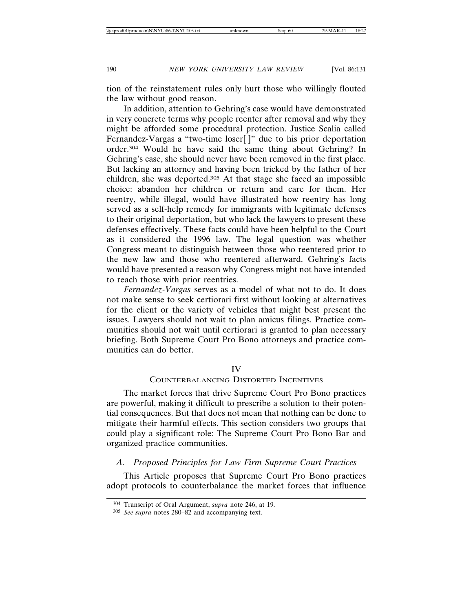tion of the reinstatement rules only hurt those who willingly flouted the law without good reason.

In addition, attention to Gehring's case would have demonstrated in very concrete terms why people reenter after removal and why they might be afforded some procedural protection. Justice Scalia called Fernandez-Vargas a "two-time loser[]" due to his prior deportation order.304 Would he have said the same thing about Gehring? In Gehring's case, she should never have been removed in the first place. But lacking an attorney and having been tricked by the father of her children, she was deported.305 At that stage she faced an impossible choice: abandon her children or return and care for them. Her reentry, while illegal, would have illustrated how reentry has long served as a self-help remedy for immigrants with legitimate defenses to their original deportation, but who lack the lawyers to present these defenses effectively. These facts could have been helpful to the Court as it considered the 1996 law. The legal question was whether Congress meant to distinguish between those who reentered prior to the new law and those who reentered afterward. Gehring's facts would have presented a reason why Congress might not have intended to reach those with prior reentries.

*Fernandez-Vargas* serves as a model of what not to do. It does not make sense to seek certiorari first without looking at alternatives for the client or the variety of vehicles that might best present the issues. Lawyers should not wait to plan amicus filings. Practice communities should not wait until certiorari is granted to plan necessary briefing. Both Supreme Court Pro Bono attorneys and practice communities can do better.

#### IV

## COUNTERBALANCING DISTORTED INCENTIVES

The market forces that drive Supreme Court Pro Bono practices are powerful, making it difficult to prescribe a solution to their potential consequences. But that does not mean that nothing can be done to mitigate their harmful effects. This section considers two groups that could play a significant role: The Supreme Court Pro Bono Bar and organized practice communities.

#### *A. Proposed Principles for Law Firm Supreme Court Practices*

This Article proposes that Supreme Court Pro Bono practices adopt protocols to counterbalance the market forces that influence

<sup>304</sup> Transcript of Oral Argument, *supra* note 246, at 19.

<sup>305</sup> *See supra* notes 280–82 and accompanying text.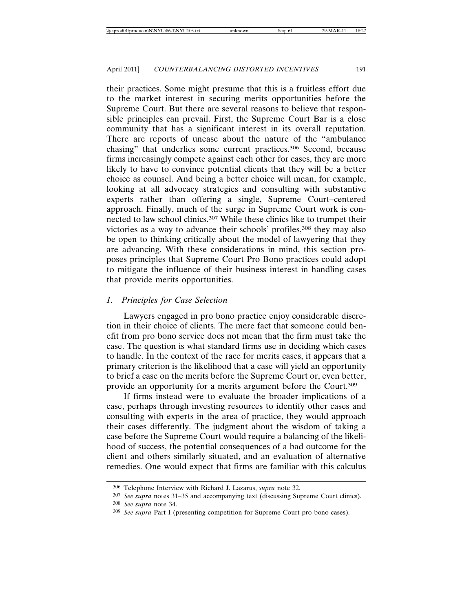their practices. Some might presume that this is a fruitless effort due to the market interest in securing merits opportunities before the Supreme Court. But there are several reasons to believe that responsible principles can prevail. First, the Supreme Court Bar is a close community that has a significant interest in its overall reputation. There are reports of unease about the nature of the "ambulance chasing" that underlies some current practices.306 Second, because firms increasingly compete against each other for cases, they are more likely to have to convince potential clients that they will be a better choice as counsel. And being a better choice will mean, for example, looking at all advocacy strategies and consulting with substantive experts rather than offering a single, Supreme Court–centered approach. Finally, much of the surge in Supreme Court work is connected to law school clinics.307 While these clinics like to trumpet their victories as a way to advance their schools' profiles,<sup>308</sup> they may also be open to thinking critically about the model of lawyering that they are advancing. With these considerations in mind, this section proposes principles that Supreme Court Pro Bono practices could adopt to mitigate the influence of their business interest in handling cases that provide merits opportunities.

#### *1. Principles for Case Selection*

Lawyers engaged in pro bono practice enjoy considerable discretion in their choice of clients. The mere fact that someone could benefit from pro bono service does not mean that the firm must take the case. The question is what standard firms use in deciding which cases to handle. In the context of the race for merits cases, it appears that a primary criterion is the likelihood that a case will yield an opportunity to brief a case on the merits before the Supreme Court or, even better, provide an opportunity for a merits argument before the Court.309

If firms instead were to evaluate the broader implications of a case, perhaps through investing resources to identify other cases and consulting with experts in the area of practice, they would approach their cases differently. The judgment about the wisdom of taking a case before the Supreme Court would require a balancing of the likelihood of success, the potential consequences of a bad outcome for the client and others similarly situated, and an evaluation of alternative remedies. One would expect that firms are familiar with this calculus

<sup>306</sup> Telephone Interview with Richard J. Lazarus, *supra* note 32.

<sup>307</sup> *See supra* notes 31–35 and accompanying text (discussing Supreme Court clinics). 308 *See supra* note 34.

<sup>309</sup> *See supra* Part I (presenting competition for Supreme Court pro bono cases).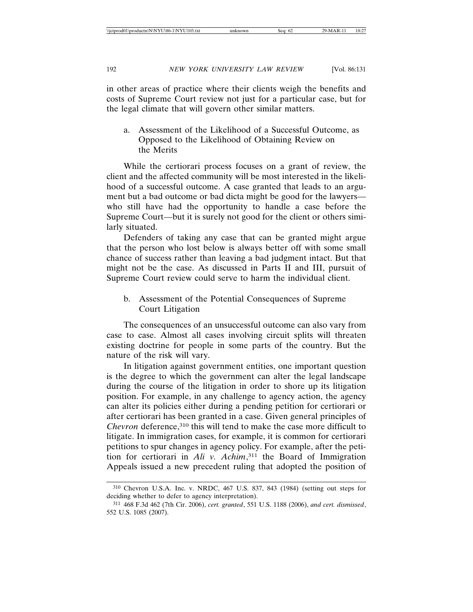in other areas of practice where their clients weigh the benefits and costs of Supreme Court review not just for a particular case, but for the legal climate that will govern other similar matters.

a. Assessment of the Likelihood of a Successful Outcome, as Opposed to the Likelihood of Obtaining Review on the Merits

While the certiorari process focuses on a grant of review, the client and the affected community will be most interested in the likelihood of a successful outcome. A case granted that leads to an argument but a bad outcome or bad dicta might be good for the lawyers who still have had the opportunity to handle a case before the Supreme Court—but it is surely not good for the client or others similarly situated.

Defenders of taking any case that can be granted might argue that the person who lost below is always better off with some small chance of success rather than leaving a bad judgment intact. But that might not be the case. As discussed in Parts II and III, pursuit of Supreme Court review could serve to harm the individual client.

b. Assessment of the Potential Consequences of Supreme Court Litigation

The consequences of an unsuccessful outcome can also vary from case to case. Almost all cases involving circuit splits will threaten existing doctrine for people in some parts of the country. But the nature of the risk will vary.

In litigation against government entities, one important question is the degree to which the government can alter the legal landscape during the course of the litigation in order to shore up its litigation position. For example, in any challenge to agency action, the agency can alter its policies either during a pending petition for certiorari or after certiorari has been granted in a case. Given general principles of *Chevron* deference,<sup>310</sup> this will tend to make the case more difficult to litigate. In immigration cases, for example, it is common for certiorari petitions to spur changes in agency policy. For example, after the petition for certiorari in *Ali v. Achim*, 311 the Board of Immigration Appeals issued a new precedent ruling that adopted the position of

<sup>310</sup> Chevron U.S.A. Inc. v. NRDC, 467 U.S. 837, 843 (1984) (setting out steps for deciding whether to defer to agency interpretation).

<sup>311</sup> 468 F.3d 462 (7th Cir. 2006), *cert. granted*, 551 U.S. 1188 (2006), *and cert. dismissed*, 552 U.S. 1085 (2007).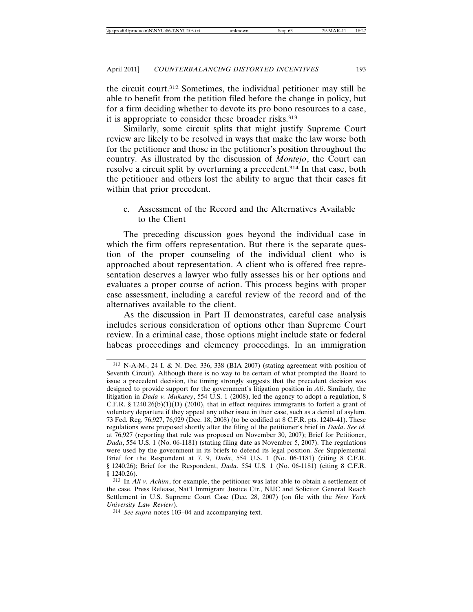the circuit court.312 Sometimes, the individual petitioner may still be able to benefit from the petition filed before the change in policy, but for a firm deciding whether to devote its pro bono resources to a case, it is appropriate to consider these broader risks.<sup>313</sup>

Similarly, some circuit splits that might justify Supreme Court review are likely to be resolved in ways that make the law worse both for the petitioner and those in the petitioner's position throughout the country. As illustrated by the discussion of *Montejo*, the Court can resolve a circuit split by overturning a precedent.314 In that case, both the petitioner and others lost the ability to argue that their cases fit within that prior precedent.

c. Assessment of the Record and the Alternatives Available to the Client

The preceding discussion goes beyond the individual case in which the firm offers representation. But there is the separate question of the proper counseling of the individual client who is approached about representation. A client who is offered free representation deserves a lawyer who fully assesses his or her options and evaluates a proper course of action. This process begins with proper case assessment, including a careful review of the record and of the alternatives available to the client.

As the discussion in Part II demonstrates, careful case analysis includes serious consideration of options other than Supreme Court review. In a criminal case, those options might include state or federal habeas proceedings and clemency proceedings. In an immigration

<sup>312</sup> N-A-M-, 24 I. & N. Dec. 336, 338 (BIA 2007) (stating agreement with position of Seventh Circuit). Although there is no way to be certain of what prompted the Board to issue a precedent decision, the timing strongly suggests that the precedent decision was designed to provide support for the government's litigation position in *Ali*. Similarly, the litigation in *Dada v. Mukasey*, 554 U.S. 1 (2008), led the agency to adopt a regulation, 8 C.F.R. § 1240.26(b)(1)(D) (2010), that in effect requires immigrants to forfeit a grant of voluntary departure if they appeal any other issue in their case, such as a denial of asylum. 73 Fed. Reg. 76,927, 76,929 (Dec. 18, 2008) (to be codified at 8 C.F.R. pts. 1240–41). These regulations were proposed shortly after the filing of the petitioner's brief in *Dada*. *See id.* at 76,927 (reporting that rule was proposed on November 30, 2007); Brief for Petitioner, *Dada*, 554 U.S. 1 (No. 06-1181) (stating filing date as November 5, 2007). The regulations were used by the government in its briefs to defend its legal position. *See* Supplemental Brief for the Respondent at 7, 9, *Dada*, 554 U.S. 1 (No. 06-1181) (citing 8 C.F.R. § 1240.26); Brief for the Respondent, *Dada*, 554 U.S. 1 (No. 06-1181) (citing 8 C.F.R. § 1240.26).

<sup>313</sup> In *Ali v. Achim*, for example, the petitioner was later able to obtain a settlement of the case. Press Release, Nat'l Immigrant Justice Ctr., NIJC and Solicitor General Reach Settlement in U.S. Supreme Court Case (Dec. 28, 2007) (on file with the *New York University Law Review*).

<sup>314</sup> *See supra* notes 103–04 and accompanying text.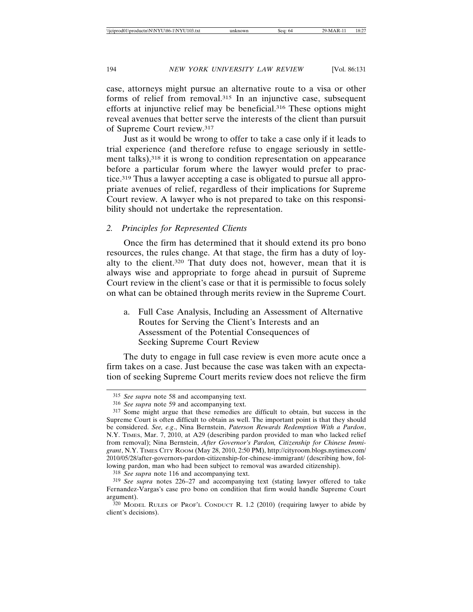case, attorneys might pursue an alternative route to a visa or other forms of relief from removal.315 In an injunctive case, subsequent efforts at injunctive relief may be beneficial.316 These options might reveal avenues that better serve the interests of the client than pursuit of Supreme Court review.317

Just as it would be wrong to offer to take a case only if it leads to trial experience (and therefore refuse to engage seriously in settlement talks),<sup>318</sup> it is wrong to condition representation on appearance before a particular forum where the lawyer would prefer to practice.319 Thus a lawyer accepting a case is obligated to pursue all appropriate avenues of relief, regardless of their implications for Supreme Court review. A lawyer who is not prepared to take on this responsibility should not undertake the representation.

## *2. Principles for Represented Clients*

Once the firm has determined that it should extend its pro bono resources, the rules change. At that stage, the firm has a duty of loyalty to the client.320 That duty does not, however, mean that it is always wise and appropriate to forge ahead in pursuit of Supreme Court review in the client's case or that it is permissible to focus solely on what can be obtained through merits review in the Supreme Court.

a. Full Case Analysis, Including an Assessment of Alternative Routes for Serving the Client's Interests and an Assessment of the Potential Consequences of Seeking Supreme Court Review

The duty to engage in full case review is even more acute once a firm takes on a case. Just because the case was taken with an expectation of seeking Supreme Court merits review does not relieve the firm

318 *See supra* note 116 and accompanying text.

<sup>315</sup> *See supra* note 58 and accompanying text.

<sup>316</sup> *See supra* note 59 and accompanying text.

<sup>317</sup> Some might argue that these remedies are difficult to obtain, but success in the Supreme Court is often difficult to obtain as well. The important point is that they should be considered. *See, e.g*., Nina Bernstein, *Paterson Rewards Redemption With a Pardon*, N.Y. TIMES, Mar. 7, 2010, at A29 (describing pardon provided to man who lacked relief from removal); Nina Bernstein, *After Governor's Pardon, Citizenship for Chinese Immigrant*, N.Y. TIMES CITY ROOM (May 28, 2010, 2:50 PM), http://cityroom.blogs.nytimes.com/ 2010/05/28/after-governors-pardon-citizenship-for-chinese-immigrant/ (describing how, following pardon, man who had been subject to removal was awarded citizenship).

<sup>319</sup> *See supra* notes 226–27 and accompanying text (stating lawyer offered to take Fernandez-Vargas's case pro bono on condition that firm would handle Supreme Court argument).

<sup>320</sup> MODEL RULES OF PROF'L CONDUCT R. 1.2 (2010) (requiring lawyer to abide by client's decisions).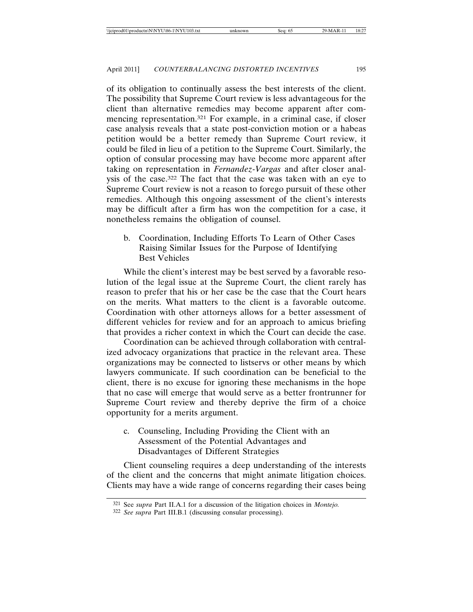of its obligation to continually assess the best interests of the client. The possibility that Supreme Court review is less advantageous for the client than alternative remedies may become apparent after commencing representation.321 For example, in a criminal case, if closer case analysis reveals that a state post-conviction motion or a habeas petition would be a better remedy than Supreme Court review, it could be filed in lieu of a petition to the Supreme Court. Similarly, the option of consular processing may have become more apparent after taking on representation in *Fernandez-Vargas* and after closer analysis of the case.322 The fact that the case was taken with an eye to Supreme Court review is not a reason to forego pursuit of these other remedies. Although this ongoing assessment of the client's interests may be difficult after a firm has won the competition for a case, it nonetheless remains the obligation of counsel.

b. Coordination, Including Efforts To Learn of Other Cases Raising Similar Issues for the Purpose of Identifying Best Vehicles

While the client's interest may be best served by a favorable resolution of the legal issue at the Supreme Court, the client rarely has reason to prefer that his or her case be the case that the Court hears on the merits. What matters to the client is a favorable outcome. Coordination with other attorneys allows for a better assessment of different vehicles for review and for an approach to amicus briefing that provides a richer context in which the Court can decide the case.

Coordination can be achieved through collaboration with centralized advocacy organizations that practice in the relevant area. These organizations may be connected to listservs or other means by which lawyers communicate. If such coordination can be beneficial to the client, there is no excuse for ignoring these mechanisms in the hope that no case will emerge that would serve as a better frontrunner for Supreme Court review and thereby deprive the firm of a choice opportunity for a merits argument.

c. Counseling, Including Providing the Client with an Assessment of the Potential Advantages and Disadvantages of Different Strategies

Client counseling requires a deep understanding of the interests of the client and the concerns that might animate litigation choices. Clients may have a wide range of concerns regarding their cases being

<sup>321</sup> See *supra* Part II.A.1 for a discussion of the litigation choices in *Montejo.*

<sup>322</sup> *See supra* Part III.B.1 (discussing consular processing).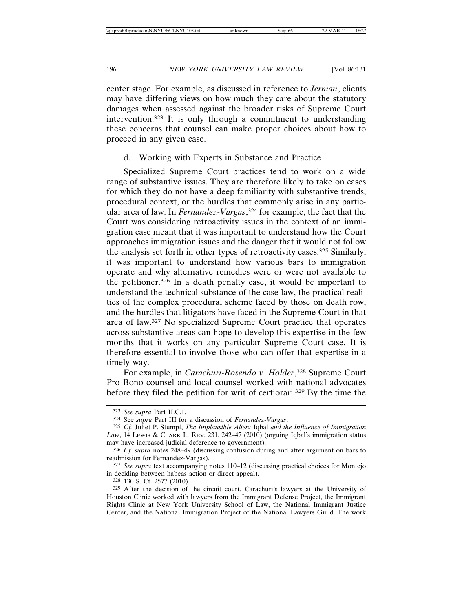center stage. For example, as discussed in reference to *Jerman*, clients may have differing views on how much they care about the statutory damages when assessed against the broader risks of Supreme Court intervention.323 It is only through a commitment to understanding these concerns that counsel can make proper choices about how to proceed in any given case.

### d. Working with Experts in Substance and Practice

Specialized Supreme Court practices tend to work on a wide range of substantive issues. They are therefore likely to take on cases for which they do not have a deep familiarity with substantive trends, procedural context, or the hurdles that commonly arise in any particular area of law. In *Fernandez-Vargas*, 324 for example, the fact that the Court was considering retroactivity issues in the context of an immigration case meant that it was important to understand how the Court approaches immigration issues and the danger that it would not follow the analysis set forth in other types of retroactivity cases.325 Similarly, it was important to understand how various bars to immigration operate and why alternative remedies were or were not available to the petitioner.326 In a death penalty case, it would be important to understand the technical substance of the case law, the practical realities of the complex procedural scheme faced by those on death row, and the hurdles that litigators have faced in the Supreme Court in that area of law.327 No specialized Supreme Court practice that operates across substantive areas can hope to develop this expertise in the few months that it works on any particular Supreme Court case. It is therefore essential to involve those who can offer that expertise in a timely way.

For example, in *Carachuri-Rosendo v. Holder*, 328 Supreme Court Pro Bono counsel and local counsel worked with national advocates before they filed the petition for writ of certiorari.329 By the time the

<sup>323</sup> *See supra* Part II.C.1.

<sup>324</sup> See *supra* Part III for a discussion of *Fernandez-Vargas*.

<sup>325</sup> *Cf.* Juliet P. Stumpf, *The Implausible Alien:* Iqbal *and the Influence of Immigration Law*, 14 LEWIS & CLARK L. REV. 231, 242–47 (2010) (arguing Iqbal's immigration status may have increased judicial deference to government).

<sup>326</sup> *Cf. supra* notes 248–49 (discussing confusion during and after argument on bars to readmission for Fernandez-Vargas).

<sup>327</sup> *See supra* text accompanying notes 110–12 (discussing practical choices for Montejo in deciding between habeas action or direct appeal).

<sup>328</sup> 130 S. Ct. 2577 (2010).

<sup>329</sup> After the decision of the circuit court, Carachuri's lawyers at the University of Houston Clinic worked with lawyers from the Immigrant Defense Project, the Immigrant Rights Clinic at New York University School of Law, the National Immigrant Justice Center, and the National Immigration Project of the National Lawyers Guild. The work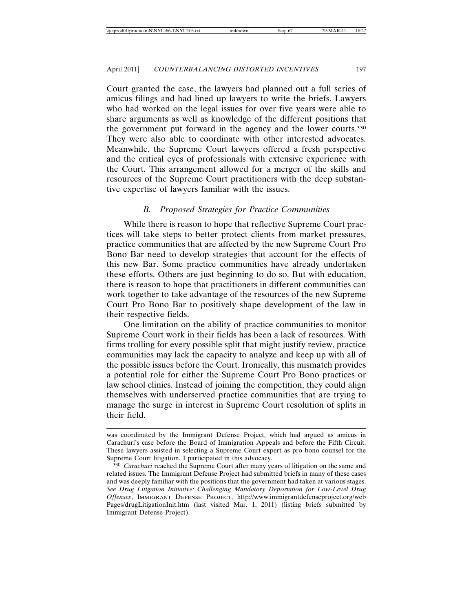Court granted the case, the lawyers had planned out a full series of amicus filings and had lined up lawyers to write the briefs. Lawyers who had worked on the legal issues for over five years were able to share arguments as well as knowledge of the different positions that the government put forward in the agency and the lower courts.330 They were also able to coordinate with other interested advocates. Meanwhile, the Supreme Court lawyers offered a fresh perspective and the critical eyes of professionals with extensive experience with the Court. This arrangement allowed for a merger of the skills and resources of the Supreme Court practitioners with the deep substantive expertise of lawyers familiar with the issues.

### *B. Proposed Strategies for Practice Communities*

While there is reason to hope that reflective Supreme Court practices will take steps to better protect clients from market pressures, practice communities that are affected by the new Supreme Court Pro Bono Bar need to develop strategies that account for the effects of this new Bar. Some practice communities have already undertaken these efforts. Others are just beginning to do so. But with education, there is reason to hope that practitioners in different communities can work together to take advantage of the resources of the new Supreme Court Pro Bono Bar to positively shape development of the law in their respective fields.

One limitation on the ability of practice communities to monitor Supreme Court work in their fields has been a lack of resources. With firms trolling for every possible split that might justify review, practice communities may lack the capacity to analyze and keep up with all of the possible issues before the Court. Ironically, this mismatch provides a potential role for either the Supreme Court Pro Bono practices or law school clinics. Instead of joining the competition, they could align themselves with underserved practice communities that are trying to manage the surge in interest in Supreme Court resolution of splits in their field.

was coordinated by the Immigrant Defense Project, which had argued as amicus in Carachuri's case before the Board of Immigration Appeals and before the Fifth Circuit. These lawyers assisted in selecting a Supreme Court expert as pro bono counsel for the Supreme Court litigation. I participated in this advocacy.

<sup>330</sup> *Carachuri* reached the Supreme Court after many years of litigation on the same and related issues. The Immigrant Defense Project had submitted briefs in many of these cases and was deeply familiar with the positions that the government had taken at various stages. *See Drug Litigation Initiative: Challenging Mandatory Deportation for Low-Level Drug Offenses*, IMMIGRANT DEFENSE PROJECT, http://www.immigrantdefenseproject.org/web Pages/drugLitigationInit.htm (last visited Mar. 1, 2011) (listing briefs submitted by Immigrant Defense Project).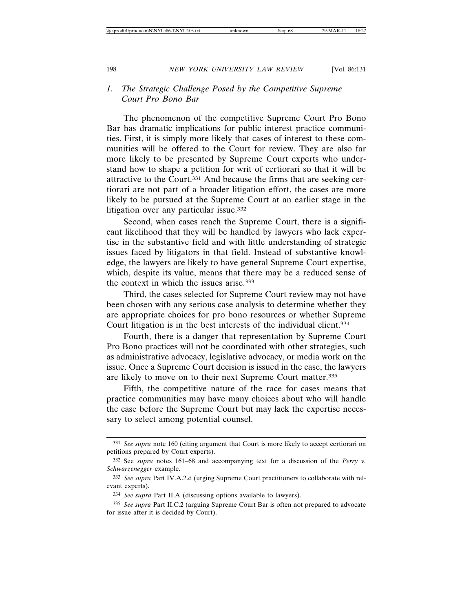# *1. The Strategic Challenge Posed by the Competitive Supreme Court Pro Bono Bar*

The phenomenon of the competitive Supreme Court Pro Bono Bar has dramatic implications for public interest practice communities. First, it is simply more likely that cases of interest to these communities will be offered to the Court for review. They are also far more likely to be presented by Supreme Court experts who understand how to shape a petition for writ of certiorari so that it will be attractive to the Court.331 And because the firms that are seeking certiorari are not part of a broader litigation effort, the cases are more likely to be pursued at the Supreme Court at an earlier stage in the litigation over any particular issue.332

Second, when cases reach the Supreme Court, there is a significant likelihood that they will be handled by lawyers who lack expertise in the substantive field and with little understanding of strategic issues faced by litigators in that field. Instead of substantive knowledge, the lawyers are likely to have general Supreme Court expertise, which, despite its value, means that there may be a reduced sense of the context in which the issues arise.333

Third, the cases selected for Supreme Court review may not have been chosen with any serious case analysis to determine whether they are appropriate choices for pro bono resources or whether Supreme Court litigation is in the best interests of the individual client.334

Fourth, there is a danger that representation by Supreme Court Pro Bono practices will not be coordinated with other strategies, such as administrative advocacy, legislative advocacy, or media work on the issue. Once a Supreme Court decision is issued in the case, the lawyers are likely to move on to their next Supreme Court matter.335

Fifth, the competitive nature of the race for cases means that practice communities may have many choices about who will handle the case before the Supreme Court but may lack the expertise necessary to select among potential counsel.

<sup>331</sup> *See supra* note 160 (citing argument that Court is more likely to accept certiorari on petitions prepared by Court experts).

<sup>332</sup> See *supra* notes 161–68 and accompanying text for a discussion of the *Perry v. Schwarzenegger* example.

<sup>333</sup> *See supra* Part IV.A.2.d (urging Supreme Court practitioners to collaborate with relevant experts).

<sup>334</sup> *See supra* Part II.A (discussing options available to lawyers).

<sup>335</sup> *See supra* Part II.C.2 (arguing Supreme Court Bar is often not prepared to advocate for issue after it is decided by Court).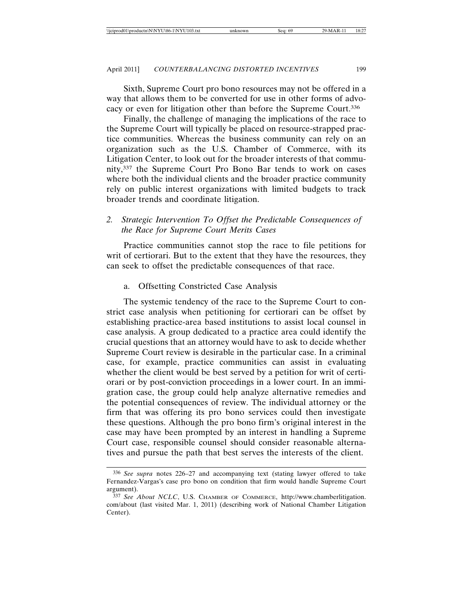Sixth, Supreme Court pro bono resources may not be offered in a way that allows them to be converted for use in other forms of advocacy or even for litigation other than before the Supreme Court.336

Finally, the challenge of managing the implications of the race to the Supreme Court will typically be placed on resource-strapped practice communities. Whereas the business community can rely on an organization such as the U.S. Chamber of Commerce, with its Litigation Center, to look out for the broader interests of that community,337 the Supreme Court Pro Bono Bar tends to work on cases where both the individual clients and the broader practice community rely on public interest organizations with limited budgets to track broader trends and coordinate litigation.

# *2. Strategic Intervention To Offset the Predictable Consequences of the Race for Supreme Court Merits Cases*

Practice communities cannot stop the race to file petitions for writ of certiorari. But to the extent that they have the resources, they can seek to offset the predictable consequences of that race.

## a. Offsetting Constricted Case Analysis

The systemic tendency of the race to the Supreme Court to constrict case analysis when petitioning for certiorari can be offset by establishing practice-area based institutions to assist local counsel in case analysis. A group dedicated to a practice area could identify the crucial questions that an attorney would have to ask to decide whether Supreme Court review is desirable in the particular case. In a criminal case, for example, practice communities can assist in evaluating whether the client would be best served by a petition for writ of certiorari or by post-conviction proceedings in a lower court. In an immigration case, the group could help analyze alternative remedies and the potential consequences of review. The individual attorney or the firm that was offering its pro bono services could then investigate these questions. Although the pro bono firm's original interest in the case may have been prompted by an interest in handling a Supreme Court case, responsible counsel should consider reasonable alternatives and pursue the path that best serves the interests of the client.

<sup>336</sup> *See supra* notes 226–27 and accompanying text (stating lawyer offered to take Fernandez-Vargas's case pro bono on condition that firm would handle Supreme Court argument).

<sup>337</sup> *See About NCLC*, U.S. CHAMBER OF COMMERCE, http://www.chamberlitigation. com/about (last visited Mar. 1, 2011) (describing work of National Chamber Litigation Center).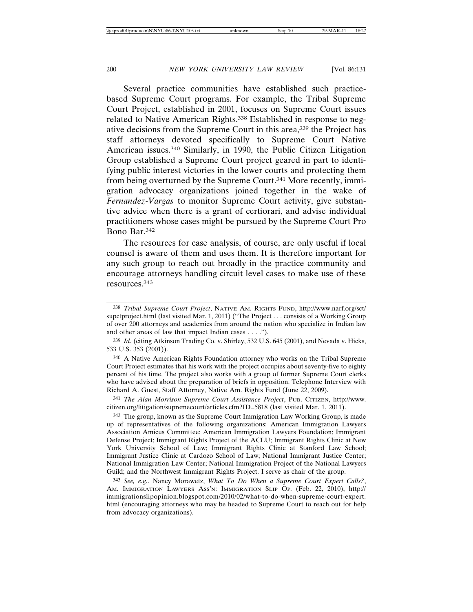Several practice communities have established such practicebased Supreme Court programs. For example, the Tribal Supreme Court Project, established in 2001, focuses on Supreme Court issues related to Native American Rights.338 Established in response to negative decisions from the Supreme Court in this area,339 the Project has staff attorneys devoted specifically to Supreme Court Native American issues.340 Similarly, in 1990, the Public Citizen Litigation Group established a Supreme Court project geared in part to identifying public interest victories in the lower courts and protecting them from being overturned by the Supreme Court.341 More recently, immigration advocacy organizations joined together in the wake of *Fernandez-Vargas* to monitor Supreme Court activity, give substantive advice when there is a grant of certiorari, and advise individual practitioners whose cases might be pursued by the Supreme Court Pro Bono Bar.342

The resources for case analysis, of course, are only useful if local counsel is aware of them and uses them. It is therefore important for any such group to reach out broadly in the practice community and encourage attorneys handling circuit level cases to make use of these resources.343

340 A Native American Rights Foundation attorney who works on the Tribal Supreme Court Project estimates that his work with the project occupies about seventy-five to eighty percent of his time. The project also works with a group of former Supreme Court clerks who have advised about the preparation of briefs in opposition. Telephone Interview with Richard A. Guest, Staff Attorney, Native Am. Rights Fund (June 22, 2009).

341 *The Alan Morrison Supreme Court Assistance Project*, PUB. CITIZEN, http://www. citizen.org/litigation/supremecourt/articles.cfm?ID=5818 (last visited Mar. 1, 2011).

342 The group, known as the Supreme Court Immigration Law Working Group, is made up of representatives of the following organizations: American Immigration Lawyers Association Amicus Committee; American Immigration Lawyers Foundation; Immigrant Defense Project; Immigrant Rights Project of the ACLU; Immigrant Rights Clinic at New York University School of Law; Immigrant Rights Clinic at Stanford Law School; Immigrant Justice Clinic at Cardozo School of Law; National Immigrant Justice Center; National Immigration Law Center; National Immigration Project of the National Lawyers Guild; and the Northwest Immigrant Rights Project. I serve as chair of the group.

343 *See, e.g.*, Nancy Morawetz, *What To Do When a Supreme Court Expert Calls?*, AM. IMMIGRATION LAWYERS ASS'N: IMMIGRATION SLIP OP. (Feb. 22, 2010), http:// immigrationslipopinion.blogspot.com/2010/02/what-to-do-when-supreme-court-expert. html (encouraging attorneys who may be headed to Supreme Court to reach out for help from advocacy organizations).

<sup>338</sup> *Tribal Supreme Court Project*, NATIVE AM. RIGHTS FUND, http://www.narf.org/sct/ supctproject.html (last visited Mar. 1, 2011) ("The Project . . . consists of a Working Group of over 200 attorneys and academics from around the nation who specialize in Indian law and other areas of law that impact Indian cases . . . .").

<sup>339</sup> *Id.* (citing Atkinson Trading Co. v. Shirley, 532 U.S. 645 (2001), and Nevada v. Hicks, 533 U.S. 353 (2001)).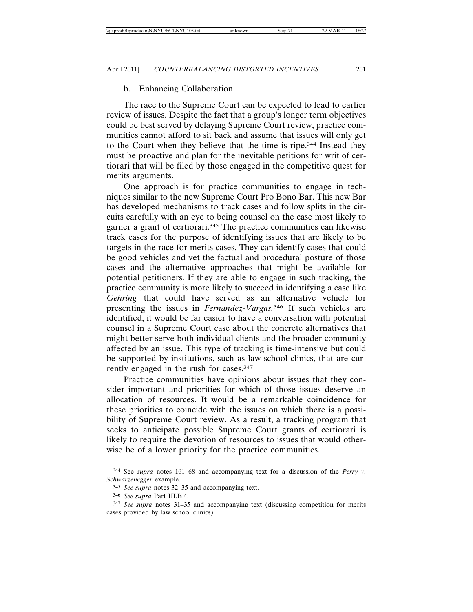#### b. Enhancing Collaboration

The race to the Supreme Court can be expected to lead to earlier review of issues. Despite the fact that a group's longer term objectives could be best served by delaying Supreme Court review, practice communities cannot afford to sit back and assume that issues will only get to the Court when they believe that the time is ripe.344 Instead they must be proactive and plan for the inevitable petitions for writ of certiorari that will be filed by those engaged in the competitive quest for merits arguments.

One approach is for practice communities to engage in techniques similar to the new Supreme Court Pro Bono Bar. This new Bar has developed mechanisms to track cases and follow splits in the circuits carefully with an eye to being counsel on the case most likely to garner a grant of certiorari.345 The practice communities can likewise track cases for the purpose of identifying issues that are likely to be targets in the race for merits cases. They can identify cases that could be good vehicles and vet the factual and procedural posture of those cases and the alternative approaches that might be available for potential petitioners. If they are able to engage in such tracking, the practice community is more likely to succeed in identifying a case like *Gehring* that could have served as an alternative vehicle for presenting the issues in *Fernandez-Vargas.*346 If such vehicles are identified, it would be far easier to have a conversation with potential counsel in a Supreme Court case about the concrete alternatives that might better serve both individual clients and the broader community affected by an issue. This type of tracking is time-intensive but could be supported by institutions, such as law school clinics, that are currently engaged in the rush for cases.347

Practice communities have opinions about issues that they consider important and priorities for which of those issues deserve an allocation of resources. It would be a remarkable coincidence for these priorities to coincide with the issues on which there is a possibility of Supreme Court review. As a result, a tracking program that seeks to anticipate possible Supreme Court grants of certiorari is likely to require the devotion of resources to issues that would otherwise be of a lower priority for the practice communities.

<sup>344</sup> See *supra* notes 161–68 and accompanying text for a discussion of the *Perry v. Schwarzenegger* example.

<sup>345</sup> *See supra* notes 32–35 and accompanying text.

<sup>346</sup> *See supra* Part III.B.4.

<sup>347</sup> *See supra* notes 31–35 and accompanying text (discussing competition for merits cases provided by law school clinics).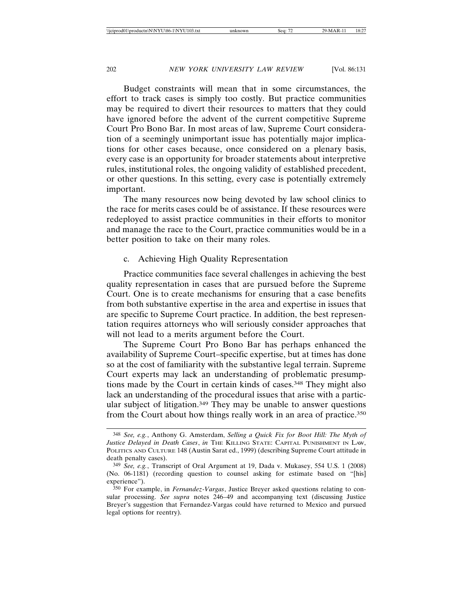Budget constraints will mean that in some circumstances, the effort to track cases is simply too costly. But practice communities may be required to divert their resources to matters that they could have ignored before the advent of the current competitive Supreme Court Pro Bono Bar. In most areas of law, Supreme Court consideration of a seemingly unimportant issue has potentially major implications for other cases because, once considered on a plenary basis, every case is an opportunity for broader statements about interpretive rules, institutional roles, the ongoing validity of established precedent, or other questions. In this setting, every case is potentially extremely important.

The many resources now being devoted by law school clinics to the race for merits cases could be of assistance. If these resources were redeployed to assist practice communities in their efforts to monitor and manage the race to the Court, practice communities would be in a better position to take on their many roles.

## c. Achieving High Quality Representation

Practice communities face several challenges in achieving the best quality representation in cases that are pursued before the Supreme Court. One is to create mechanisms for ensuring that a case benefits from both substantive expertise in the area and expertise in issues that are specific to Supreme Court practice. In addition, the best representation requires attorneys who will seriously consider approaches that will not lead to a merits argument before the Court.

The Supreme Court Pro Bono Bar has perhaps enhanced the availability of Supreme Court–specific expertise, but at times has done so at the cost of familiarity with the substantive legal terrain. Supreme Court experts may lack an understanding of problematic presumptions made by the Court in certain kinds of cases.348 They might also lack an understanding of the procedural issues that arise with a particular subject of litigation.349 They may be unable to answer questions from the Court about how things really work in an area of practice.350

<sup>348</sup> *See, e.g.*, Anthony G. Amsterdam, *Selling a Quick Fix for Boot Hill: The Myth of Justice Delayed in Death Cases*, *in* THE KILLING STATE: CAPITAL PUNISHMENT IN LAW, POLITICS AND CULTURE 148 (Austin Sarat ed., 1999) (describing Supreme Court attitude in death penalty cases).

<sup>349</sup> *See, e.g.*, Transcript of Oral Argument at 19, Dada v. Mukasey, 554 U.S. 1 (2008) (No. 06-1181) (recording question to counsel asking for estimate based on "[his] experience").

<sup>350</sup> For example, in *Fernandez-Vargas*, Justice Breyer asked questions relating to consular processing. *See supra* notes 246–49 and accompanying text (discussing Justice Breyer's suggestion that Fernandez-Vargas could have returned to Mexico and pursued legal options for reentry).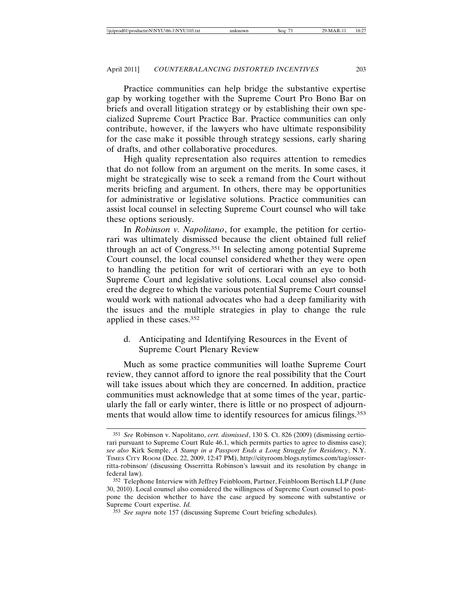Practice communities can help bridge the substantive expertise gap by working together with the Supreme Court Pro Bono Bar on briefs and overall litigation strategy or by establishing their own specialized Supreme Court Practice Bar. Practice communities can only contribute, however, if the lawyers who have ultimate responsibility for the case make it possible through strategy sessions, early sharing of drafts, and other collaborative procedures.

High quality representation also requires attention to remedies that do not follow from an argument on the merits. In some cases, it might be strategically wise to seek a remand from the Court without merits briefing and argument. In others, there may be opportunities for administrative or legislative solutions. Practice communities can assist local counsel in selecting Supreme Court counsel who will take these options seriously.

In *Robinson v. Napolitano*, for example, the petition for certiorari was ultimately dismissed because the client obtained full relief through an act of Congress.351 In selecting among potential Supreme Court counsel, the local counsel considered whether they were open to handling the petition for writ of certiorari with an eye to both Supreme Court and legislative solutions. Local counsel also considered the degree to which the various potential Supreme Court counsel would work with national advocates who had a deep familiarity with the issues and the multiple strategies in play to change the rule applied in these cases.352

## d. Anticipating and Identifying Resources in the Event of Supreme Court Plenary Review

Much as some practice communities will loathe Supreme Court review, they cannot afford to ignore the real possibility that the Court will take issues about which they are concerned. In addition, practice communities must acknowledge that at some times of the year, particularly the fall or early winter, there is little or no prospect of adjournments that would allow time to identify resources for amicus filings.353

<sup>351</sup> *See* Robinson v. Napolitano, *cert. dismissed*, 130 S. Ct. 826 (2009) (dismissing certiorari pursuant to Supreme Court Rule 46.1, which permits parties to agree to dismiss case); *see also* Kirk Semple, *A Stamp in a Passport Ends a Long Struggle for Residency*, N.Y. TIMES CITY ROOM (Dec. 22, 2009, 12:47 PM), http://cityroom.blogs.nytimes.com/tag/osserritta-robinson/ (discussing Osserritta Robinson's lawsuit and its resolution by change in federal law).

<sup>352</sup> Telephone Interview with Jeffrey Feinbloom, Partner, Feinbloom Bertisch LLP (June 30, 2010). Local counsel also considered the willingness of Supreme Court counsel to postpone the decision whether to have the case argued by someone with substantive or Supreme Court expertise. *Id.*

<sup>353</sup> *See supra* note 157 (discussing Supreme Court briefing schedules).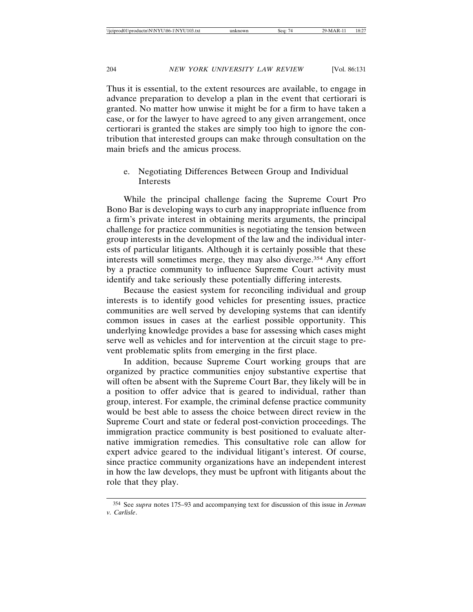Thus it is essential, to the extent resources are available, to engage in advance preparation to develop a plan in the event that certiorari is granted. No matter how unwise it might be for a firm to have taken a case, or for the lawyer to have agreed to any given arrangement, once certiorari is granted the stakes are simply too high to ignore the contribution that interested groups can make through consultation on the main briefs and the amicus process.

e. Negotiating Differences Between Group and Individual Interests

While the principal challenge facing the Supreme Court Pro Bono Bar is developing ways to curb any inappropriate influence from a firm's private interest in obtaining merits arguments, the principal challenge for practice communities is negotiating the tension between group interests in the development of the law and the individual interests of particular litigants. Although it is certainly possible that these interests will sometimes merge, they may also diverge.354 Any effort by a practice community to influence Supreme Court activity must identify and take seriously these potentially differing interests.

Because the easiest system for reconciling individual and group interests is to identify good vehicles for presenting issues, practice communities are well served by developing systems that can identify common issues in cases at the earliest possible opportunity. This underlying knowledge provides a base for assessing which cases might serve well as vehicles and for intervention at the circuit stage to prevent problematic splits from emerging in the first place.

In addition, because Supreme Court working groups that are organized by practice communities enjoy substantive expertise that will often be absent with the Supreme Court Bar, they likely will be in a position to offer advice that is geared to individual, rather than group, interest. For example, the criminal defense practice community would be best able to assess the choice between direct review in the Supreme Court and state or federal post-conviction proceedings. The immigration practice community is best positioned to evaluate alternative immigration remedies. This consultative role can allow for expert advice geared to the individual litigant's interest. Of course, since practice community organizations have an independent interest in how the law develops, they must be upfront with litigants about the role that they play.

<sup>354</sup> See *supra* notes 175–93 and accompanying text for discussion of this issue in *Jerman v. Carlisle*.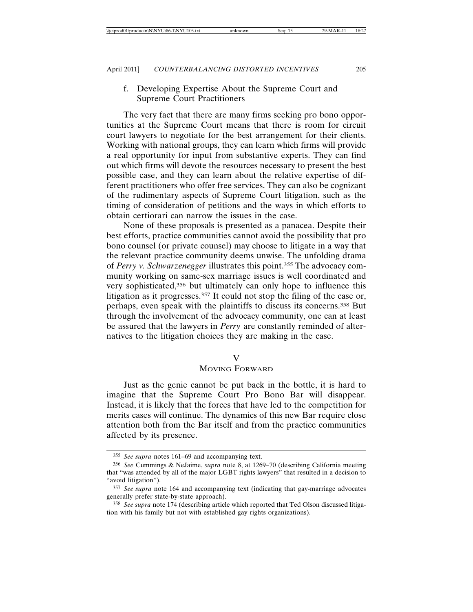f. Developing Expertise About the Supreme Court and Supreme Court Practitioners

The very fact that there are many firms seeking pro bono opportunities at the Supreme Court means that there is room for circuit court lawyers to negotiate for the best arrangement for their clients. Working with national groups, they can learn which firms will provide a real opportunity for input from substantive experts. They can find out which firms will devote the resources necessary to present the best possible case, and they can learn about the relative expertise of different practitioners who offer free services. They can also be cognizant of the rudimentary aspects of Supreme Court litigation, such as the timing of consideration of petitions and the ways in which efforts to obtain certiorari can narrow the issues in the case.

None of these proposals is presented as a panacea. Despite their best efforts, practice communities cannot avoid the possibility that pro bono counsel (or private counsel) may choose to litigate in a way that the relevant practice community deems unwise. The unfolding drama of *Perry v. Schwarzenegger* illustrates this point.355 The advocacy community working on same-sex marriage issues is well coordinated and very sophisticated,<sup>356</sup> but ultimately can only hope to influence this litigation as it progresses.<sup>357</sup> It could not stop the filing of the case or, perhaps, even speak with the plaintiffs to discuss its concerns.358 But through the involvement of the advocacy community, one can at least be assured that the lawyers in *Perry* are constantly reminded of alternatives to the litigation choices they are making in the case.

## V

## MOVING FORWARD

Just as the genie cannot be put back in the bottle, it is hard to imagine that the Supreme Court Pro Bono Bar will disappear. Instead, it is likely that the forces that have led to the competition for merits cases will continue. The dynamics of this new Bar require close attention both from the Bar itself and from the practice communities affected by its presence.

<sup>355</sup> *See supra* notes 161–69 and accompanying text.

<sup>356</sup> *See* Cummings & NeJaime, *supra* note 8, at 1269–70 (describing California meeting that "was attended by all of the major LGBT rights lawyers" that resulted in a decision to "avoid litigation").

<sup>357</sup> *See supra* note 164 and accompanying text (indicating that gay-marriage advocates generally prefer state-by-state approach).

<sup>358</sup> *See supra* note 174 (describing article which reported that Ted Olson discussed litigation with his family but not with established gay rights organizations).